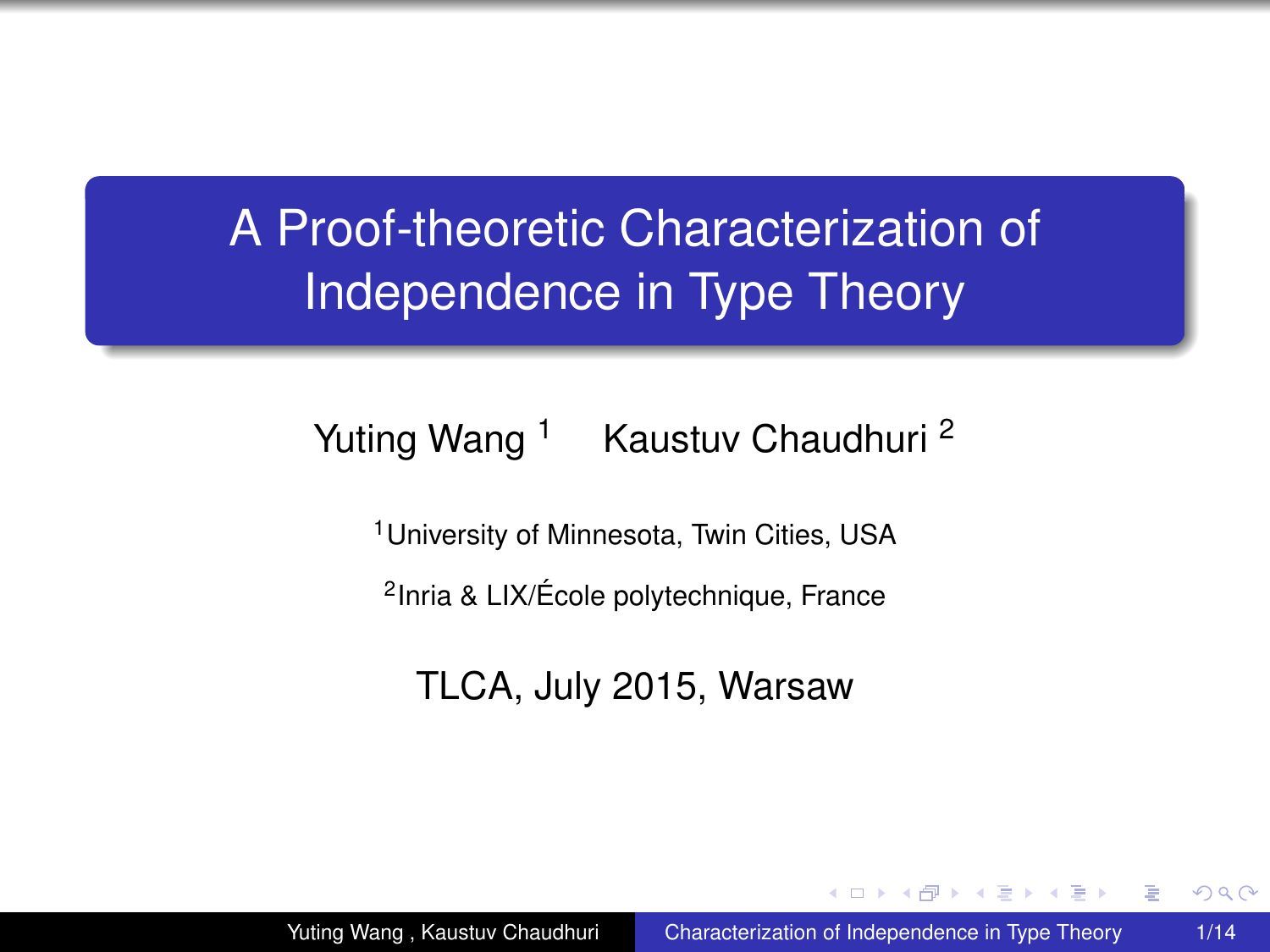# A Proof-theoretic Characterization of Independence in Type Theory

#### Yuting Wang<sup>1</sup> Kaustuv Chaudhuri<sup>2</sup>

<sup>1</sup>University of Minnesota, Twin Cities, USA

2 Inria & LIX/École polytechnique, France

TLCA, July 2015, Warsaw

<span id="page-0-0"></span>4 ଲ ⊧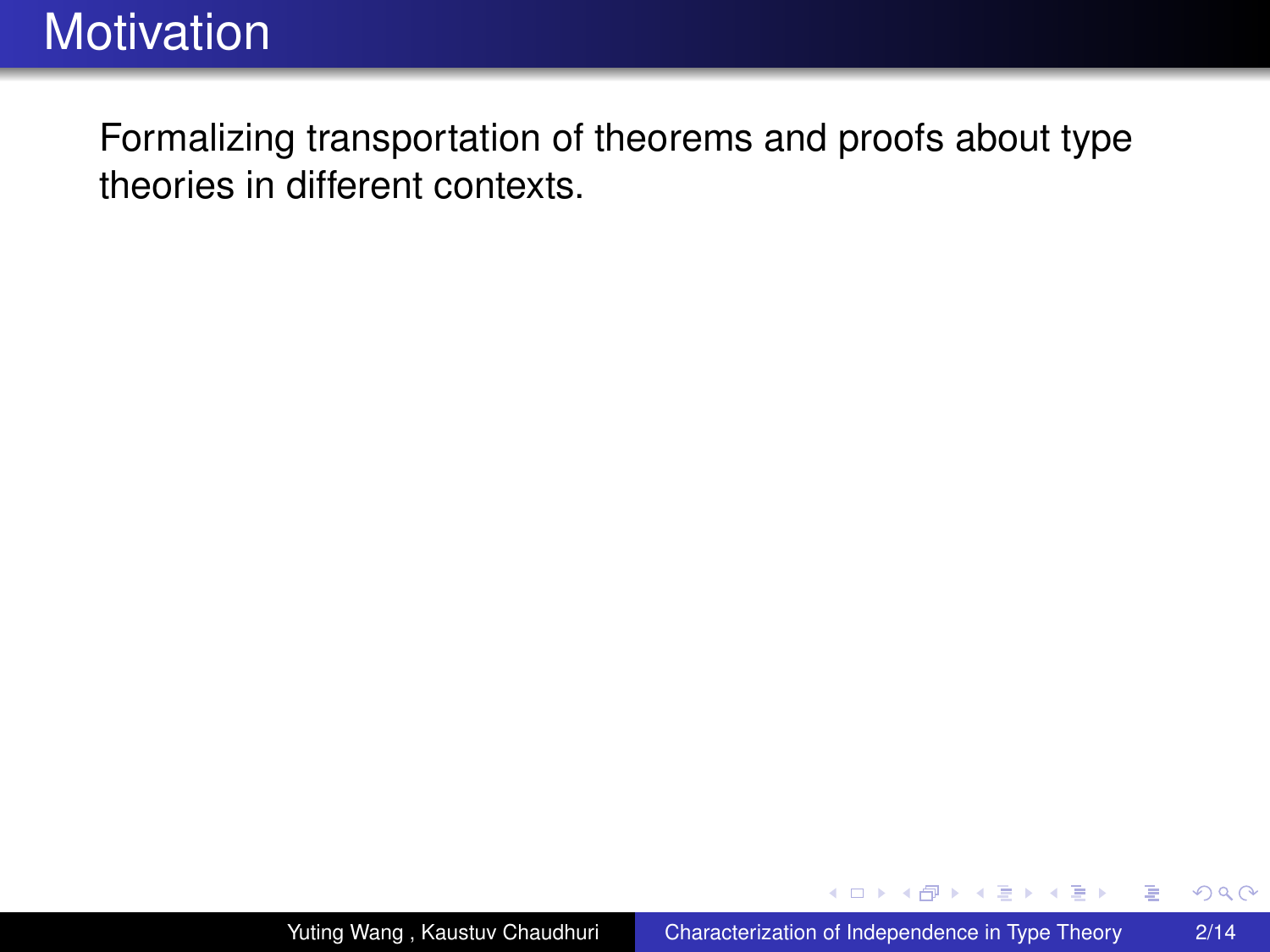Formalizing transportation of theorems and proofs about type theories in different contexts.

4 伊 ▶

4 0 8

ぼう メモト

 $299$ 

B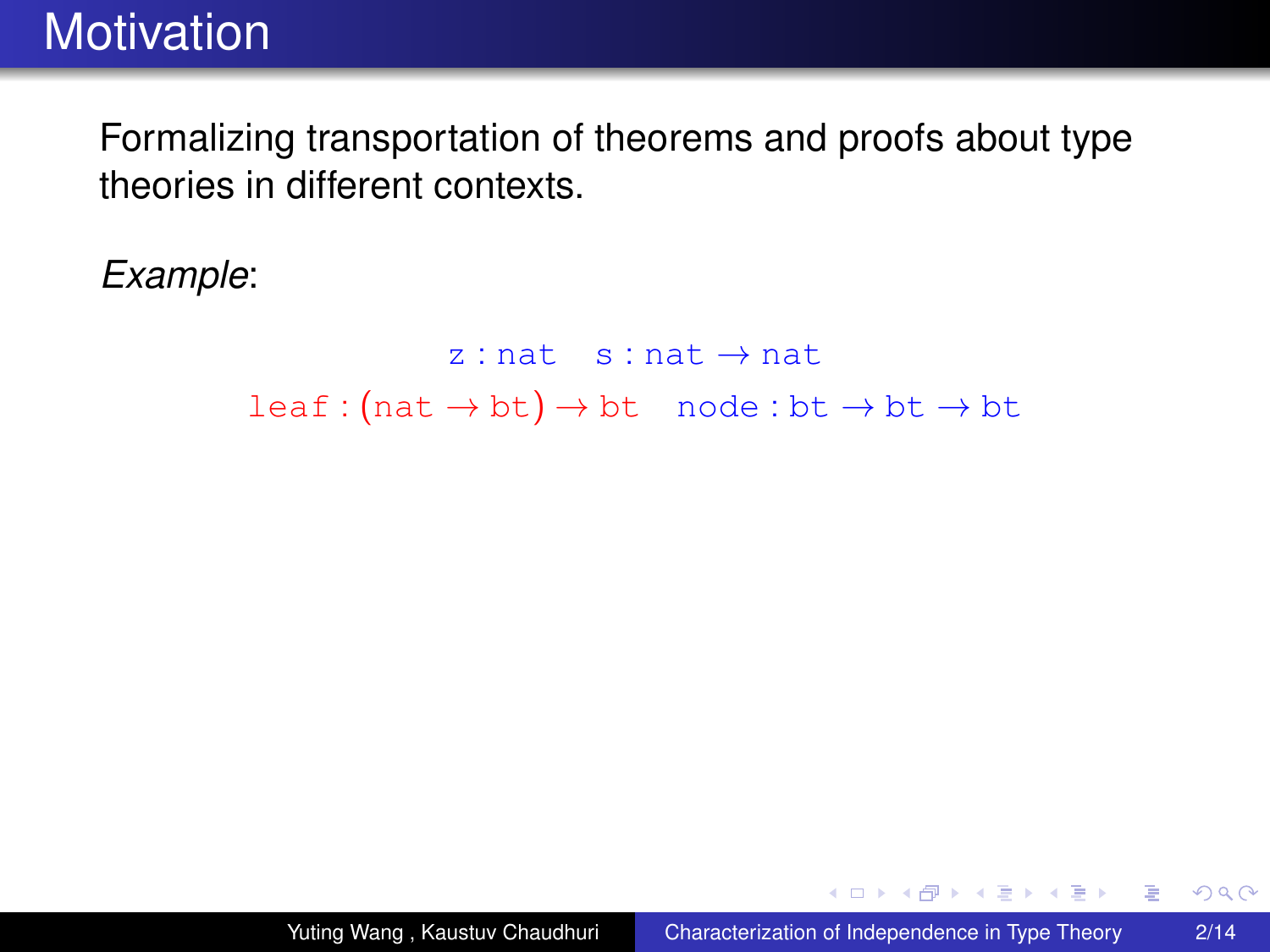Formalizing transportation of theorems and proofs about type theories in different contexts.

*Example*:

 $z : nat$  s : nat  $\rightarrow$  nat  $leaf:(nat \rightarrow bt) \rightarrow bt \mod:bt \rightarrow bt \rightarrow bt$ 

**≮ロト ⊀何 ト ⊀ ヨ ト ⊀ ヨ ト** 

 $299$ 

■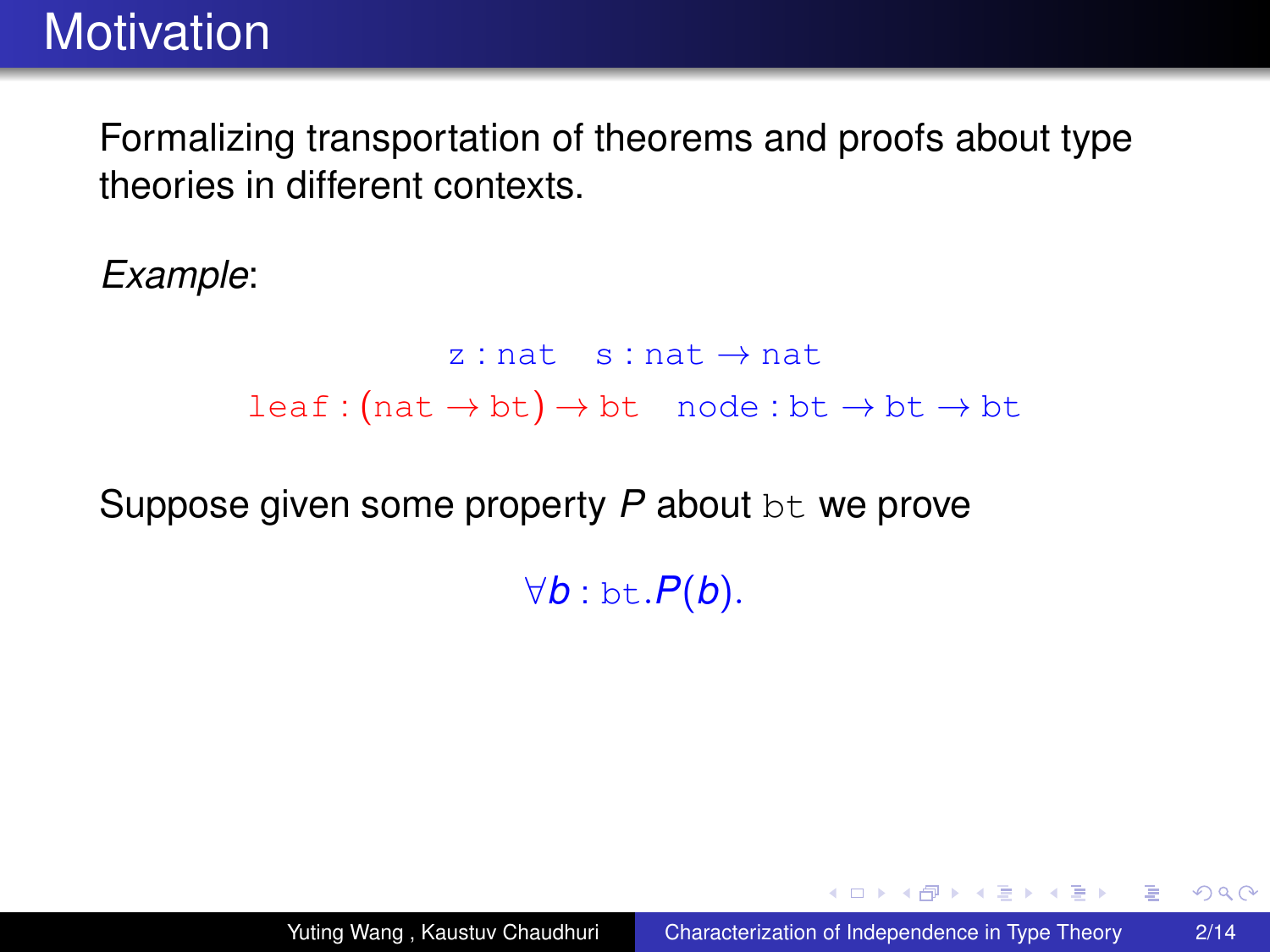Formalizing transportation of theorems and proofs about type theories in different contexts.

*Example*:

 $z : nat$  s : nat  $\rightarrow$  nat  $leaf:(nat \rightarrow bt) \rightarrow bt \mod:bt \rightarrow bt \rightarrow bt$ 

Suppose given some property P about bt we prove

∀*b* : bt.*P*(*b*).

 $2990$ 

K ロ ▶ K 御 ▶ K ヨ ▶ K ヨ ▶ ○ ヨ 〉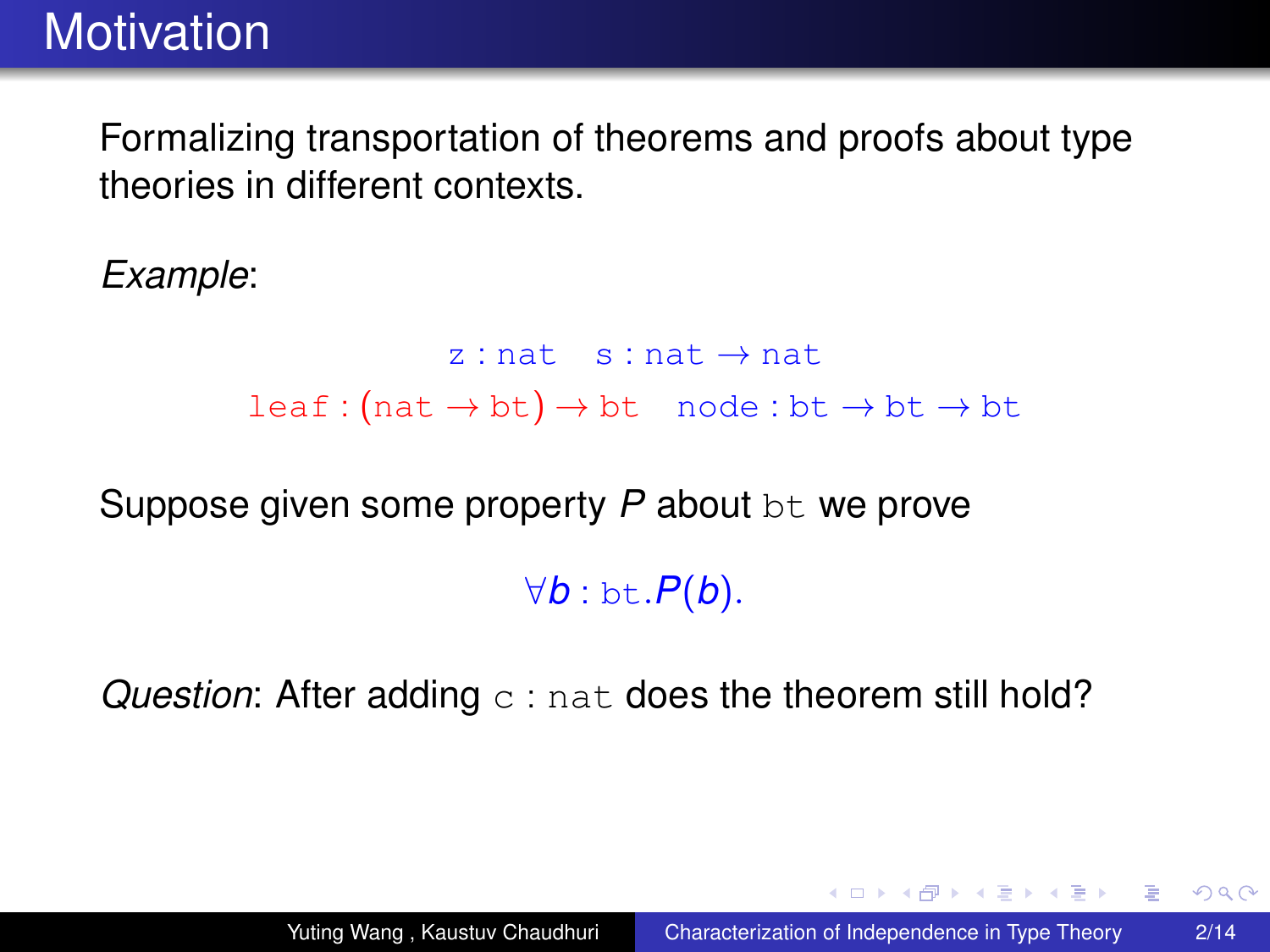Formalizing transportation of theorems and proofs about type theories in different contexts.

*Example*:

 $z : nat$  s : nat  $\rightarrow$  nat  $leaf:(nat \rightarrow bt) \rightarrow bt \mod:bt \rightarrow bt \rightarrow bt$ 

Suppose given some property *P* about bt we prove

∀*b* : bt.*P*(*b*).

*Question*: After adding c : nat does the theorem still hold?

 $2990$ 

イロン イ何ン イヨン イヨン 一ヨー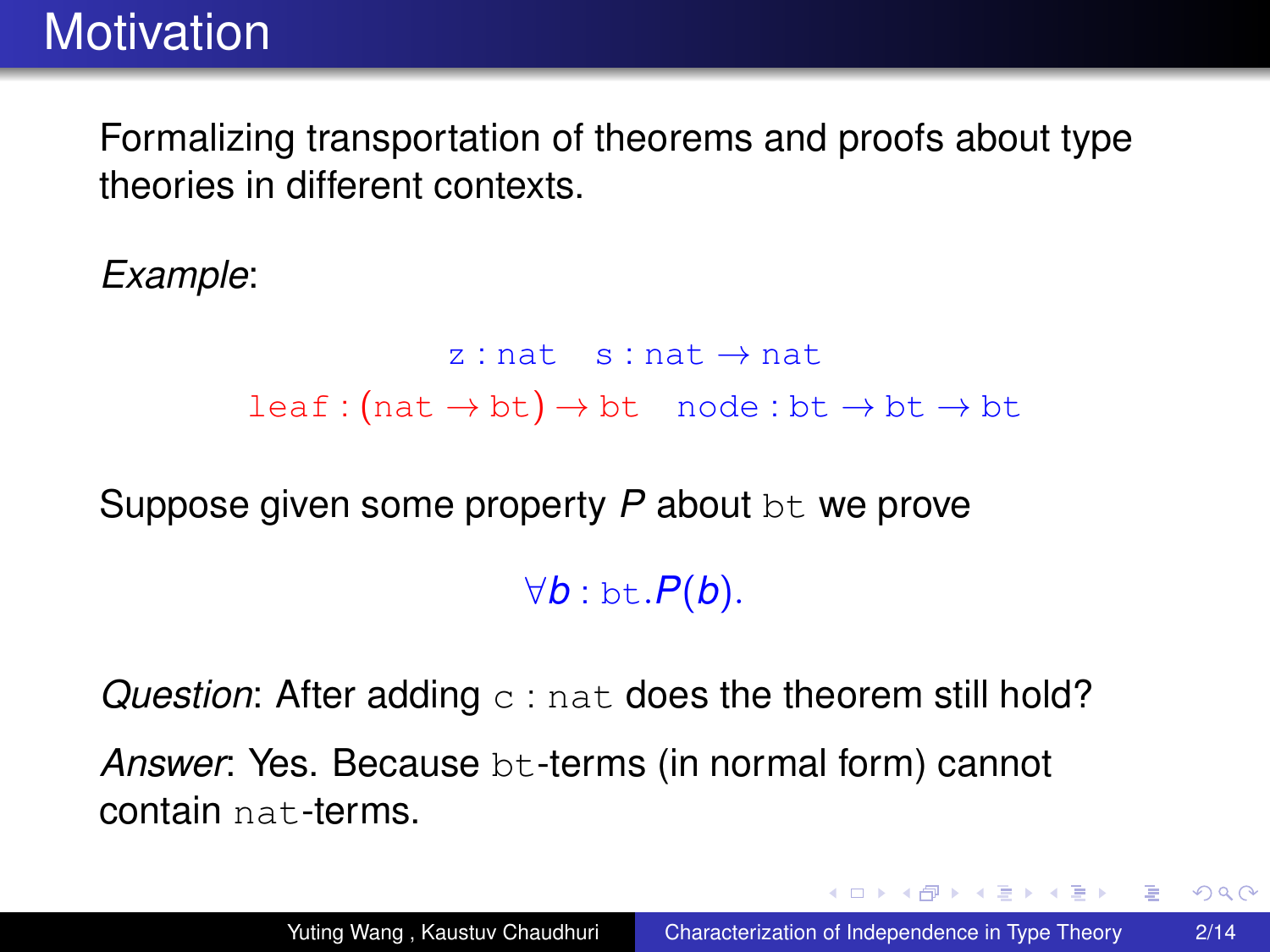Formalizing transportation of theorems and proofs about type theories in different contexts.

*Example*:

 $z : nat$  s : nat  $\rightarrow$  nat  $leaf:(nat \rightarrow bt) \rightarrow bt \mod:bt \rightarrow bt \rightarrow bt$ 

Suppose given some property *P* about bt we prove

∀*b* : bt.*P*(*b*).

*Question*: After adding c : nat does the theorem still hold? *Answer*: Yes. Because bt-terms (in normal form) cannot contain nat-terms.

 $2990$ 

イロン イ何ン イヨン イヨン 一ヨー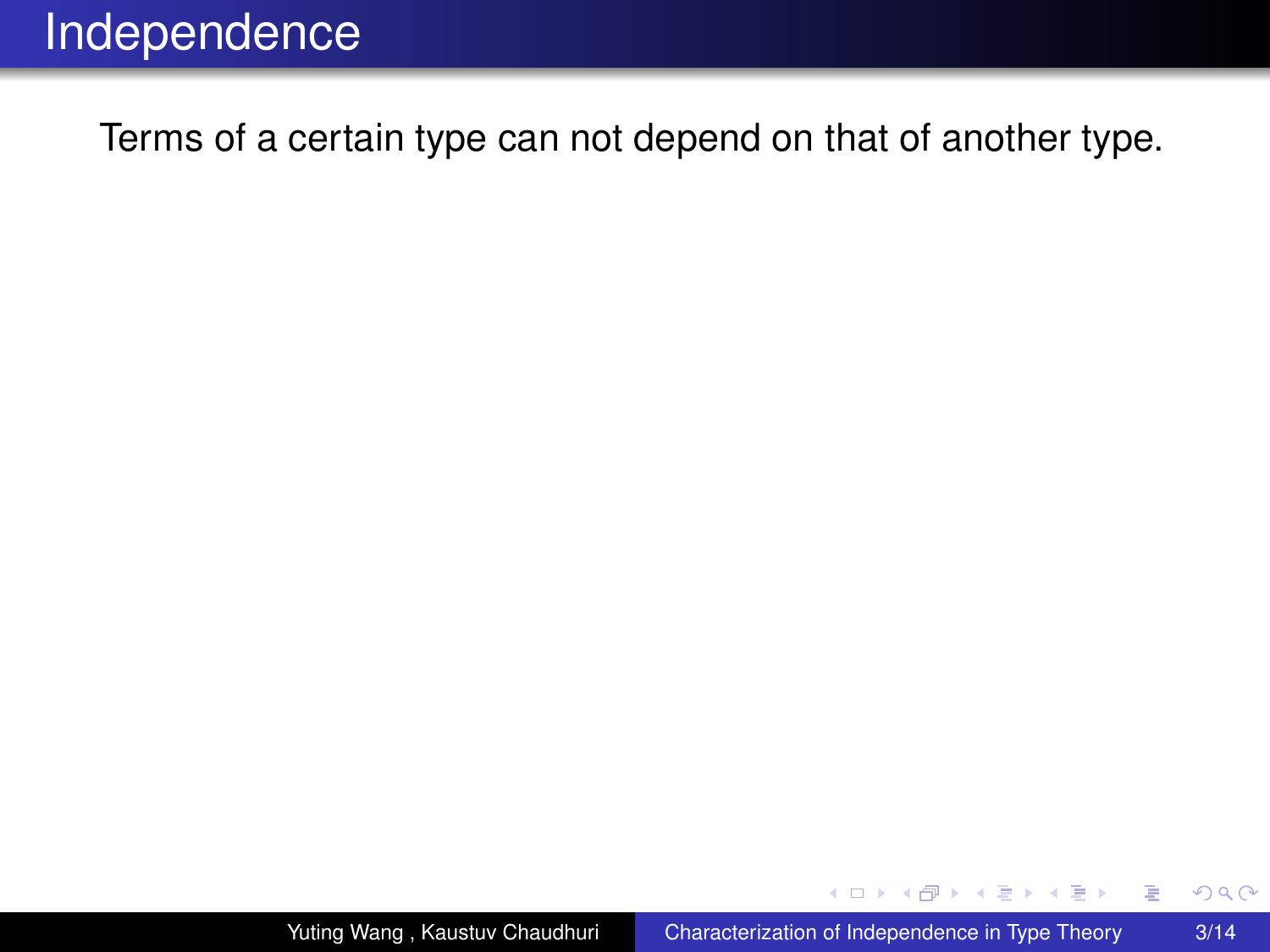(ロ) (伊)

ミメス ミメ

÷.

 $299$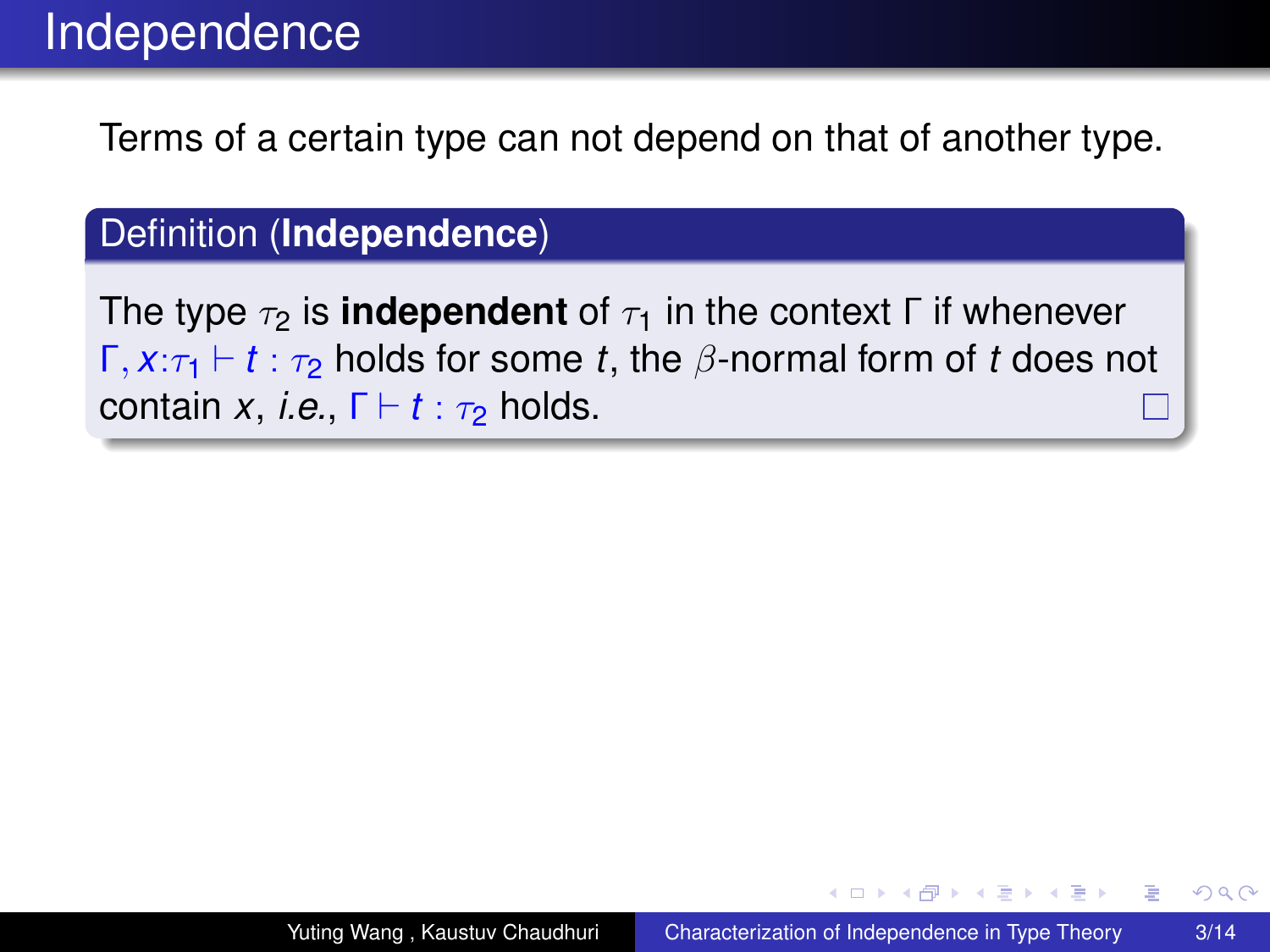#### Definition (**Independence**)

The type  $\tau_2$  is **independent** of  $\tau_1$  in the context Γ if whenever  $Γ, x:τ<sub>1</sub> ⊢ t : τ<sub>2</sub> holds for some t, the β-normal form of t does not$ contain *x*, *i.e.*,  $\Gamma \vdash t : \tau_2$  holds.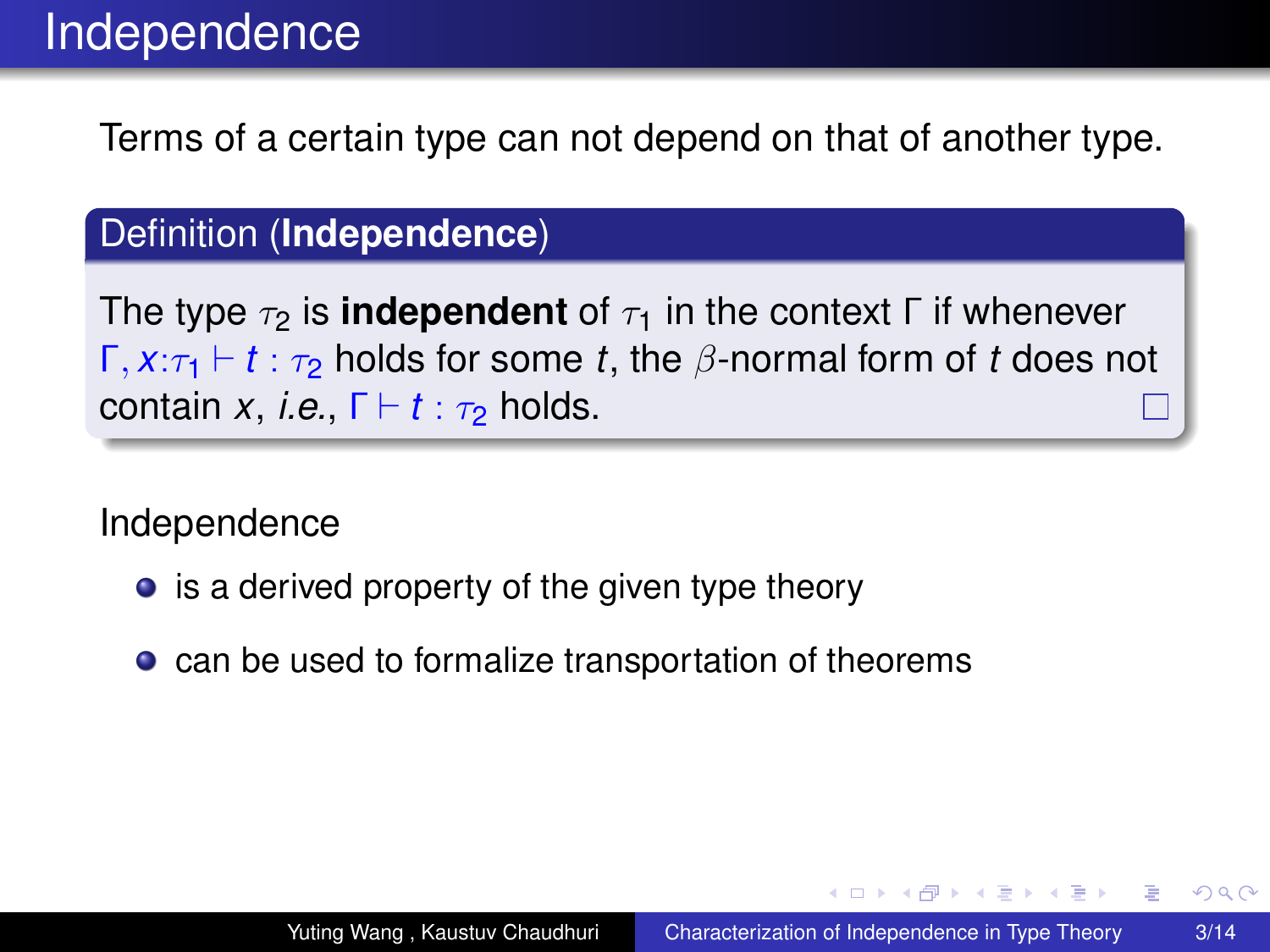#### Definition (**Independence**)

The type  $\tau_2$  is **independent** of  $\tau_1$  in the context  $\Gamma$  if whenever  $Γ, x:τ<sub>1</sub> ⊢ t : τ<sub>2</sub> holds for some t, the β-normal form of t does not$ contain *x*, *i.e.*,  $\Gamma \vdash t : \tau_2$  holds.

Independence

- is a derived property of the given type theory
- can be used to formalize transportation of theorems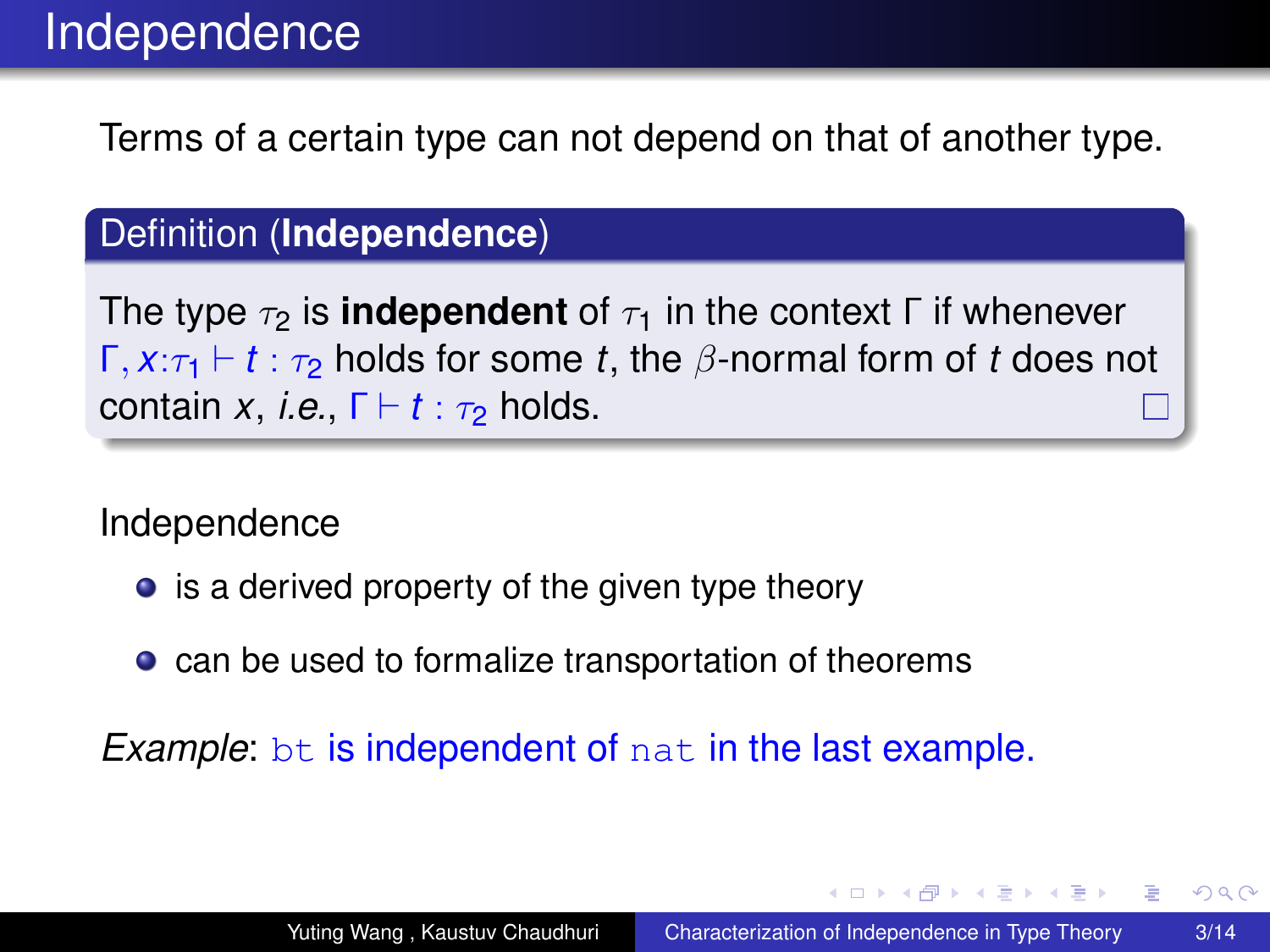#### Definition (**Independence**)

The type  $\tau_2$  is **independent** of  $\tau_1$  in the context Γ if whenever  $Γ, x:τ<sub>1</sub> ⊢ t : τ<sub>2</sub> holds for some t, the β-normal form of t does not$ contain *x*, *i.e.*,  $\Gamma \vdash t : \tau_2$  holds.

Independence

- is a derived property of the given type theory
- can be used to formalize transportation of theorems

*Example:* bt is independent of nat in the last example.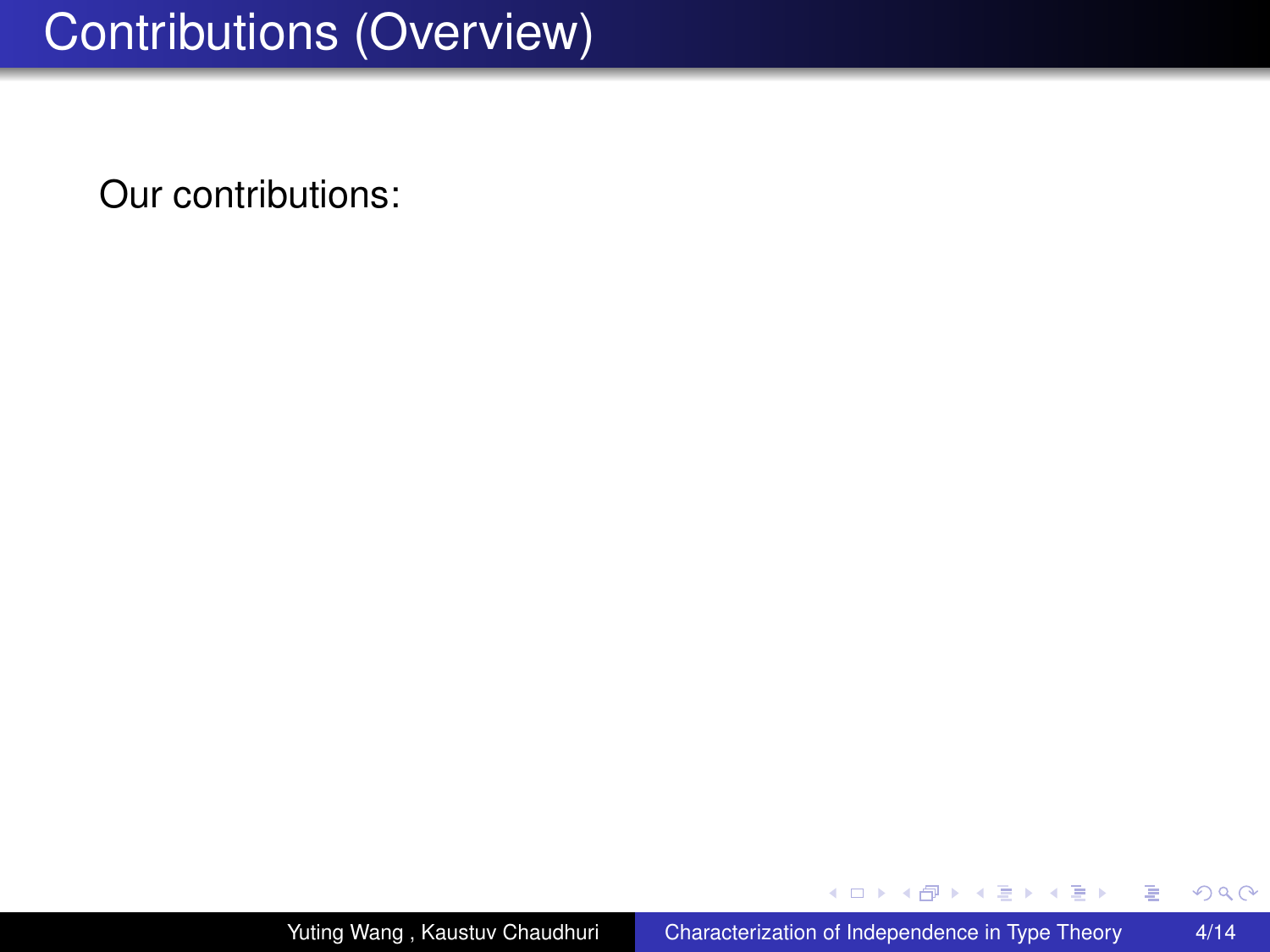## Contributions (Overview)

Our contributions:

4 ロ ) (何 ) (日 ) (日 )

÷.

 $299$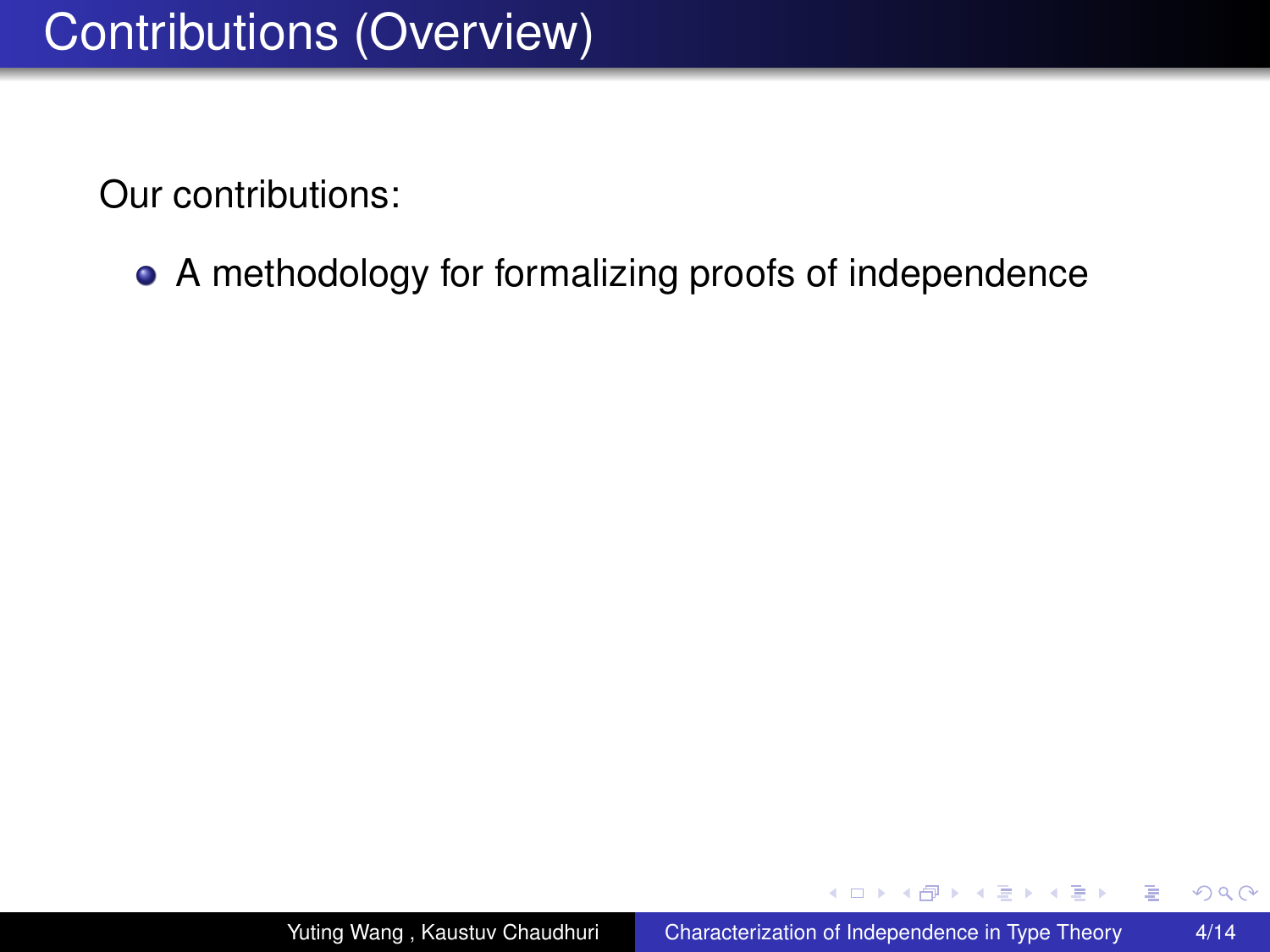A methodology for formalizing proofs of independence

イロト イ押 トイヨ トイヨト

B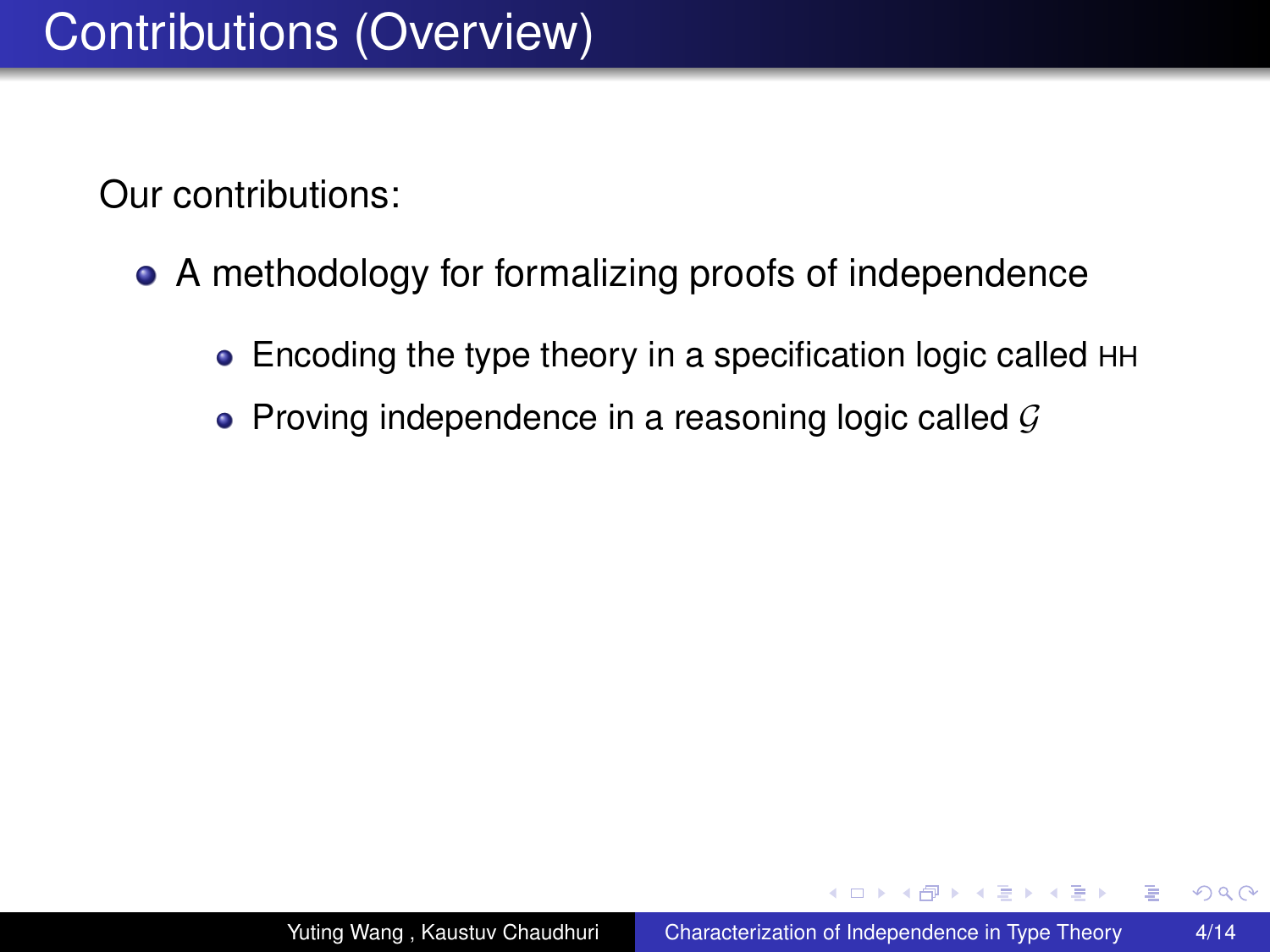- A methodology for formalizing proofs of independence
	- Encoding the type theory in a specification logic called HH
	- Proving independence in a reasoning logic called  $\mathcal G$

イロト イ押ト イヨト イヨトー

ă.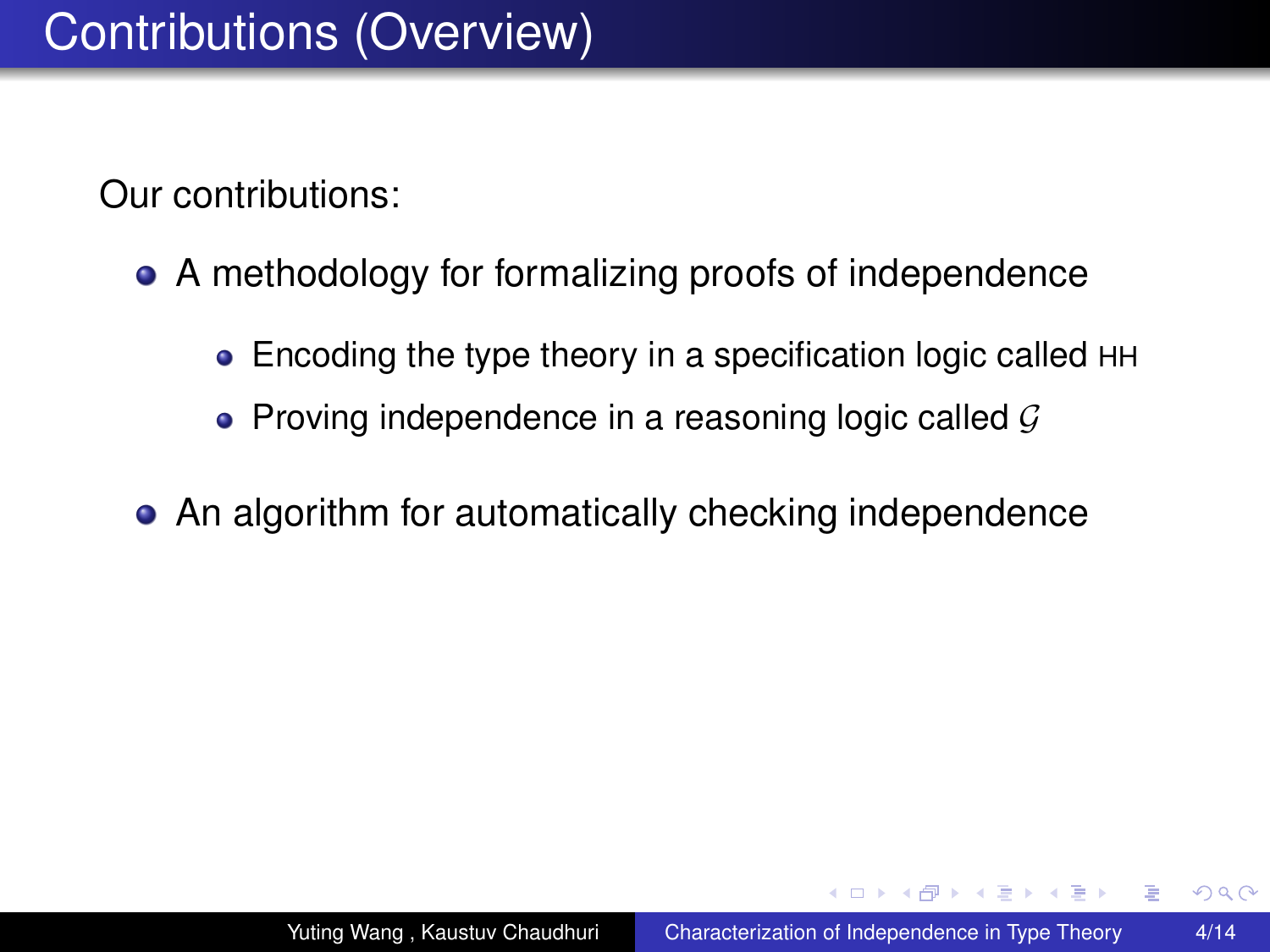- A methodology for formalizing proofs of independence
	- Encoding the type theory in a specification logic called HH
	- Proving independence in a reasoning logic called  $\mathcal G$
- An algorithm for automatically checking independence

イロト イ押ト イヨト イヨト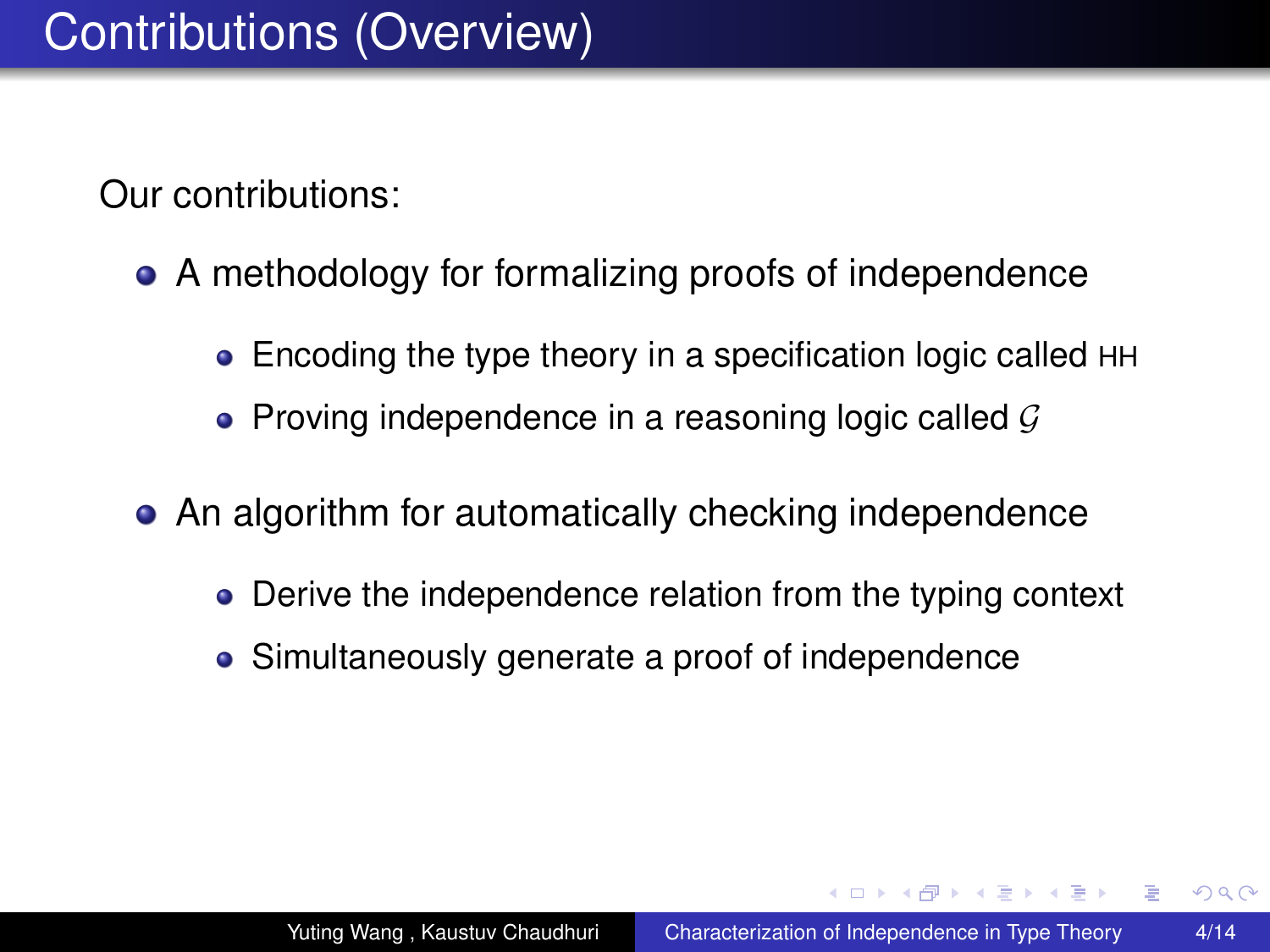- A methodology for formalizing proofs of independence
	- Encoding the type theory in a specification logic called HH
	- Proving independence in a reasoning logic called  $\mathcal G$
- An algorithm for automatically checking independence
	- Derive the independence relation from the typing context
	- Simultaneously generate a proof of independence

イロト イ押 トイヨ トイヨト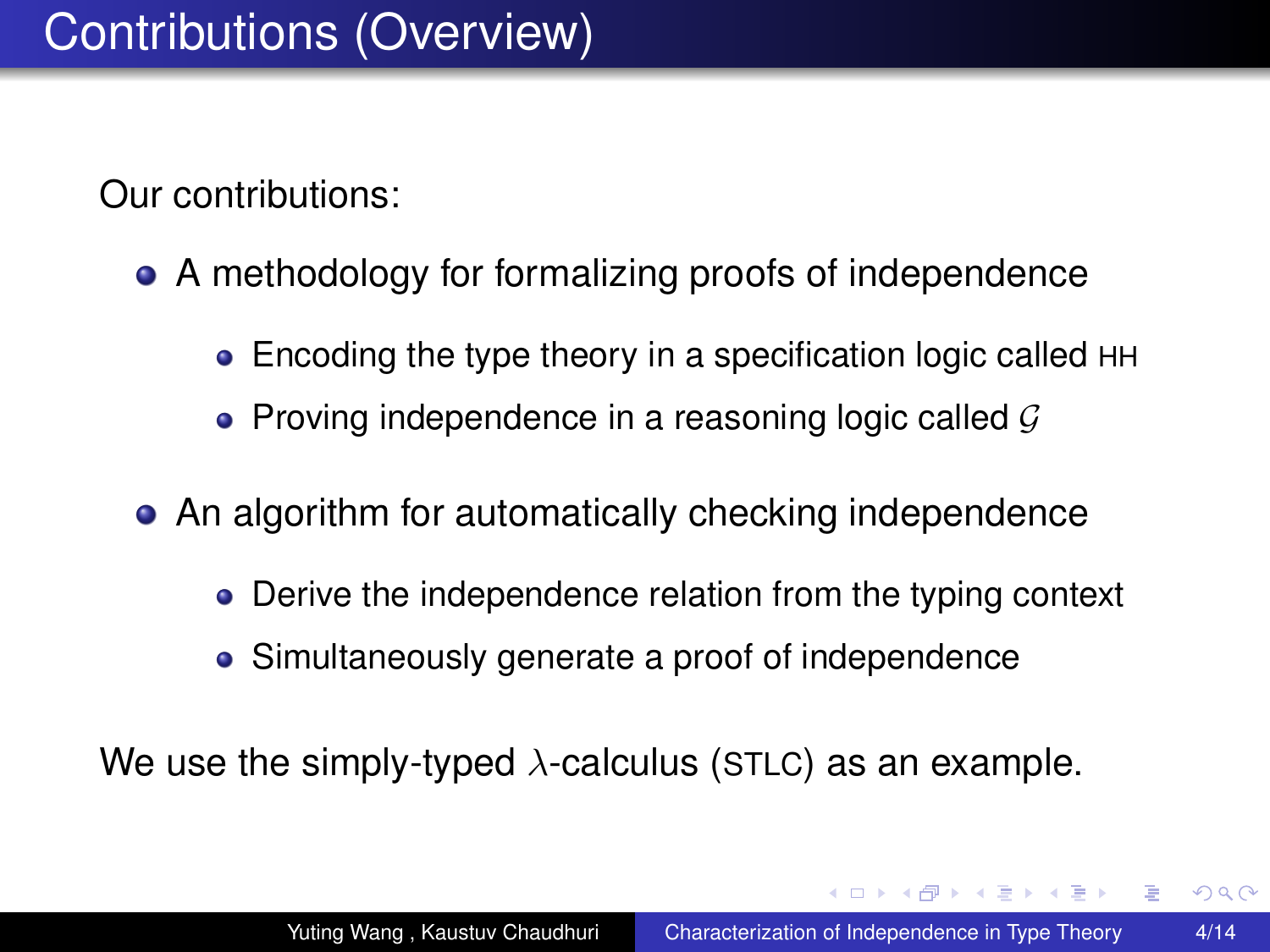- A methodology for formalizing proofs of independence
	- Encoding the type theory in a specification logic called HH
	- Proving independence in a reasoning logic called  $\mathcal G$
- An algorithm for automatically checking independence
	- Derive the independence relation from the typing context
	- Simultaneously generate a proof of independence

We use the simply-typed  $\lambda$ -calculus (STLC) as an example.

イロメ イ押 メイヨメ イヨメ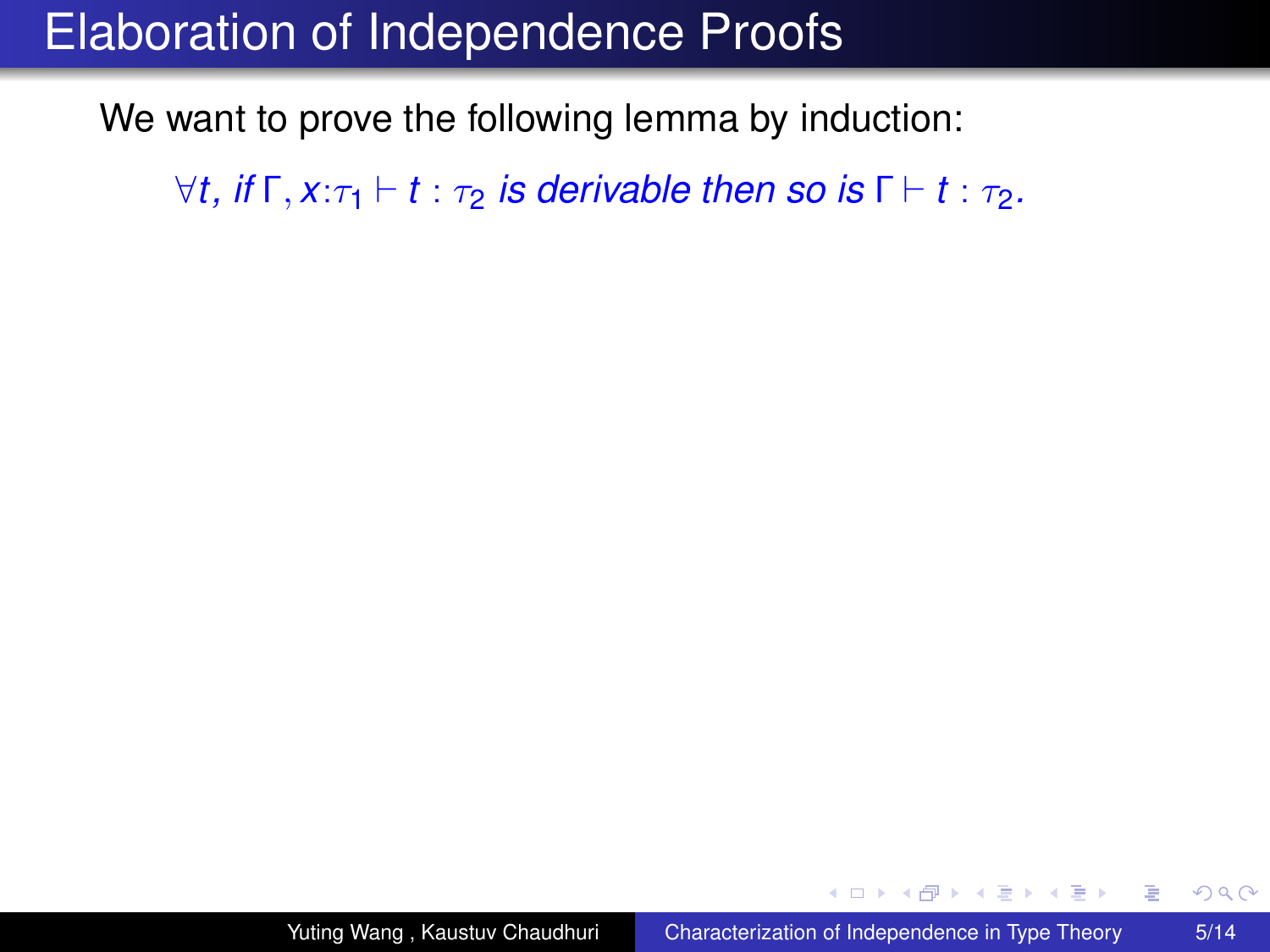We want to prove the following lemma by induction:

 $\forall t$ , *if*  $\Gamma$ ,  $x:\tau_1 \vdash t : \tau_2$  *is derivable then so is*  $\Gamma \vdash t : \tau_2$ *.* 

 $2990$ 

B

K 何 ▶ K ヨ ▶ K ヨ ▶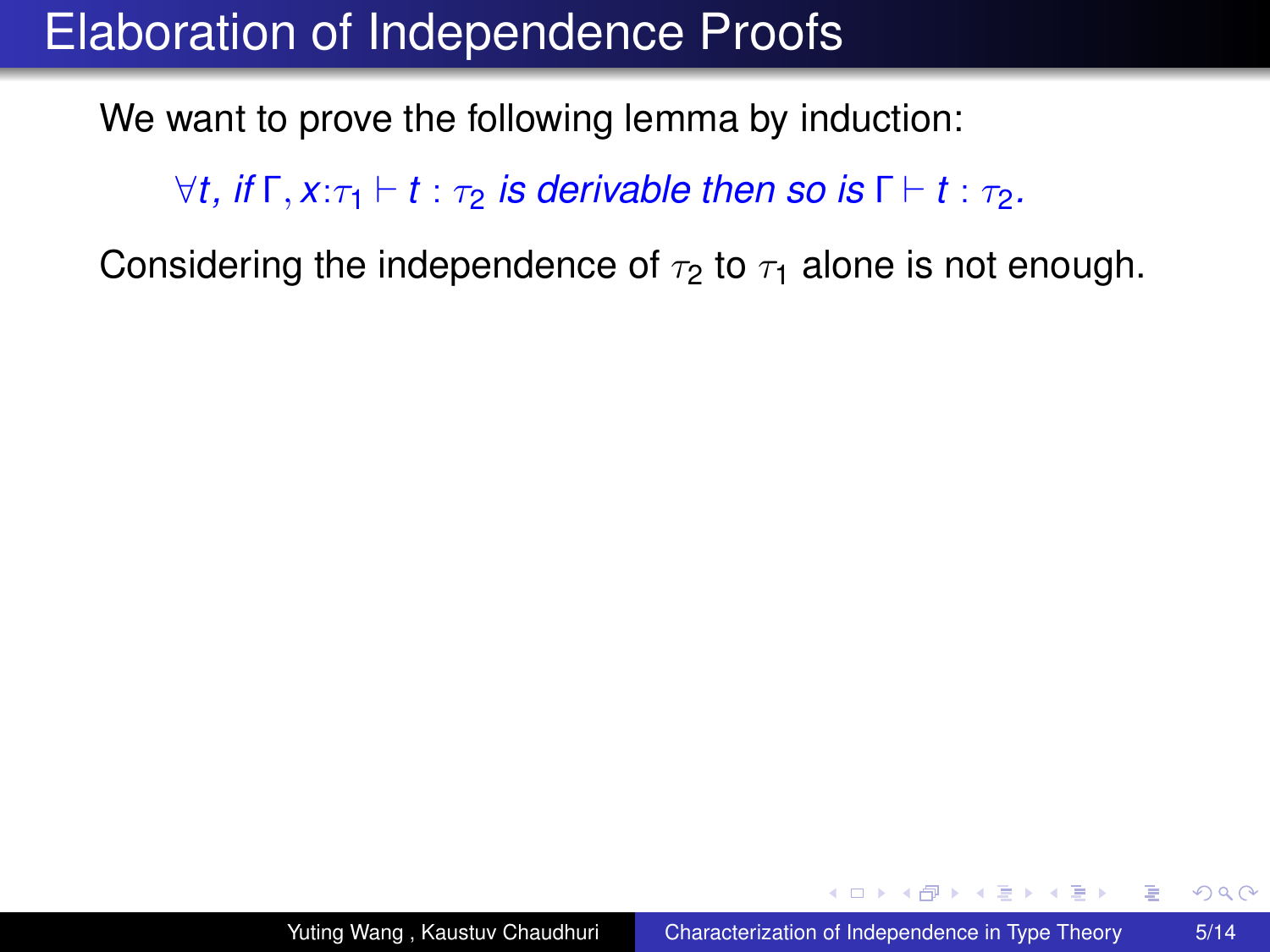We want to prove the following lemma by induction:

 $\forall t$ , *if*  $\Gamma$ ,  $x:\tau_1 \vdash t : \tau_2$  *is derivable then so is*  $\Gamma \vdash t : \tau_2$ *.* 

Considering the independence of  $\tau_2$  to  $\tau_1$  alone is not enough.

**≮ロ ▶ ⊀ 御 ▶ ⊀ ヨ ▶ ⊀ ヨ ▶** 

 $2990$ 

÷.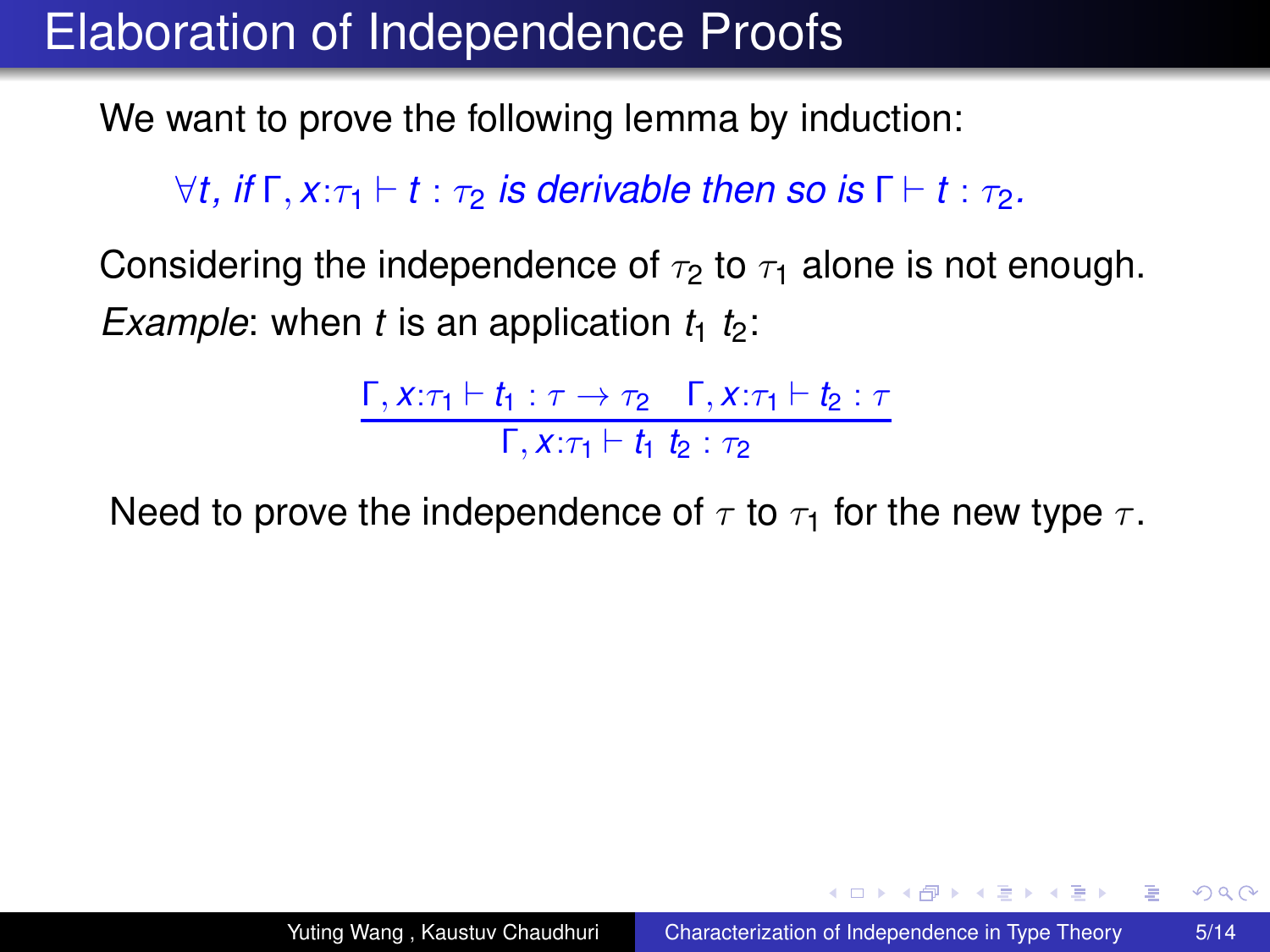We want to prove the following lemma by induction:

 $\forall t$ , *if*  $\Gamma$ ,  $x:\tau_1 \vdash t : \tau_2$  *is derivable then so is*  $\Gamma \vdash t : \tau_2$ *.* 

Considering the independence of  $\tau_2$  to  $\tau_1$  alone is not enough. *Example*: when *t* is an application  $t_1$   $t_2$ :

> $Γ, x:τ<sub>1</sub> ⊢ t<sub>1</sub> : τ → τ<sub>2</sub> Γ, x:τ<sub>1</sub> ⊢ t<sub>2</sub> : τ$  $Γ, X: \tau_1 \vdash t_1 \; t_2 : \tau_2$

Need to prove the independence of  $\tau$  to  $\tau_1$  for the new type  $\tau$ .

KOD KAP KED KED E YA G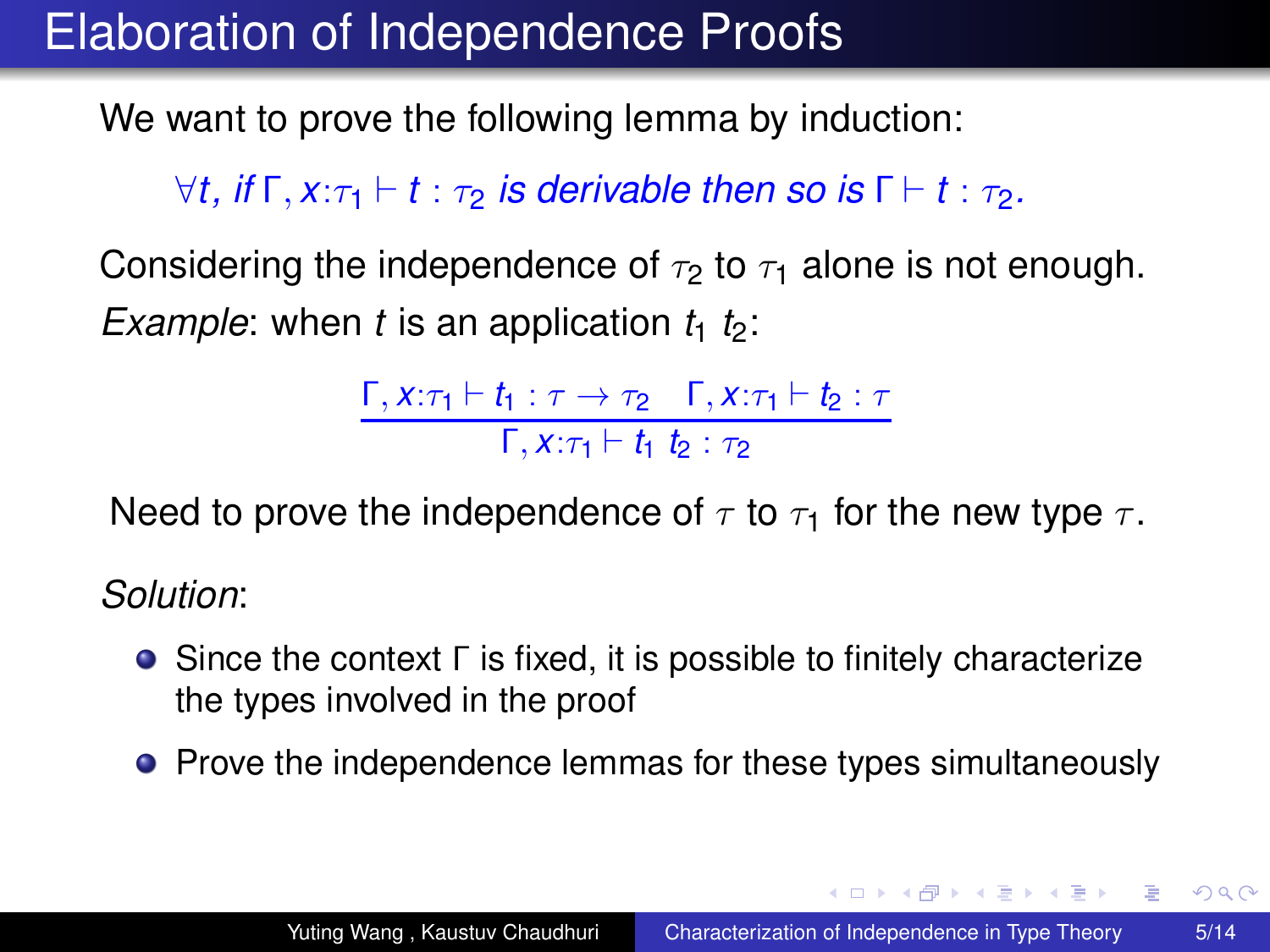We want to prove the following lemma by induction:

 $\forall t$ , *if*  $\Gamma$ ,  $x:\tau_1 \vdash t:\tau_2$  *is derivable then so is*  $\Gamma \vdash t:\tau_2$ *.* 

Considering the independence of  $\tau_2$  to  $\tau_1$  alone is not enough. *Example*: when *t* is an application  $t_1$   $t_2$ :

> $Γ, x:τ<sub>1</sub> ⊢ t<sub>1</sub> : τ → τ<sub>2</sub> Γ, x:τ<sub>1</sub> ⊢ t<sub>2</sub> : τ$  $Γ, X: \tau_1 \vdash t_1 \; t_2 : \tau_2$

Need to prove the independence of  $\tau$  to  $\tau_1$  for the new type  $\tau$ .

*Solution*:

- Since the context Γ is fixed, it is possible to finitely characterize the types involved in the proof
- Prove the independence lemmas for these types simultaneously

KOD KAP KED KED E YA G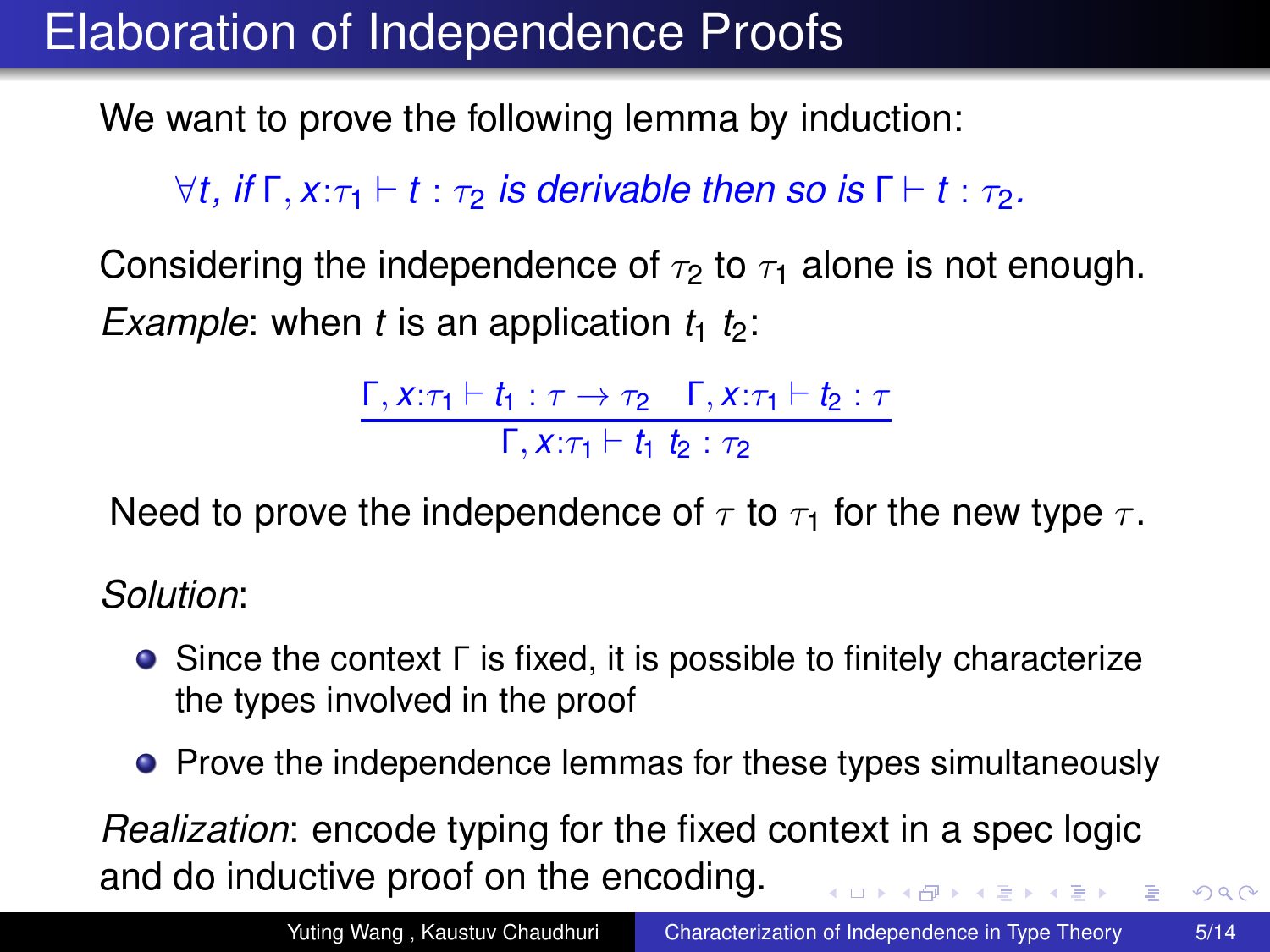We want to prove the following lemma by induction:

 $\forall t$ , *if*  $\Gamma$ ,  $x:\tau_1 \vdash t : \tau_2$  *is derivable then so is*  $\Gamma \vdash t : \tau_2$ *.* 

Considering the independence of  $\tau_2$  to  $\tau_1$  alone is not enough. *Example*: when *t* is an application  $t_1$   $t_2$ :

> $Γ, x:τ<sub>1</sub> ⊢ t<sub>1</sub> : τ → τ<sub>2</sub> Γ, x:τ<sub>1</sub> ⊢ t<sub>2</sub> : τ$  $Γ, X: \tau_1 \vdash t_1 \; t_2 : \tau_2$

Need to prove the independence of  $\tau$  to  $\tau_1$  for the new type  $\tau$ .

*Solution*:

- Since the context Γ is fixed, it is possible to finitely characterize the types involved in the proof
- Prove the independence lemmas for these types simultaneously

*Realization*: encode typing for the fixed context in a spec logic and do inductive proof on the encoding. イロト イ押 トイヨ トイヨ トーヨー

 $2990$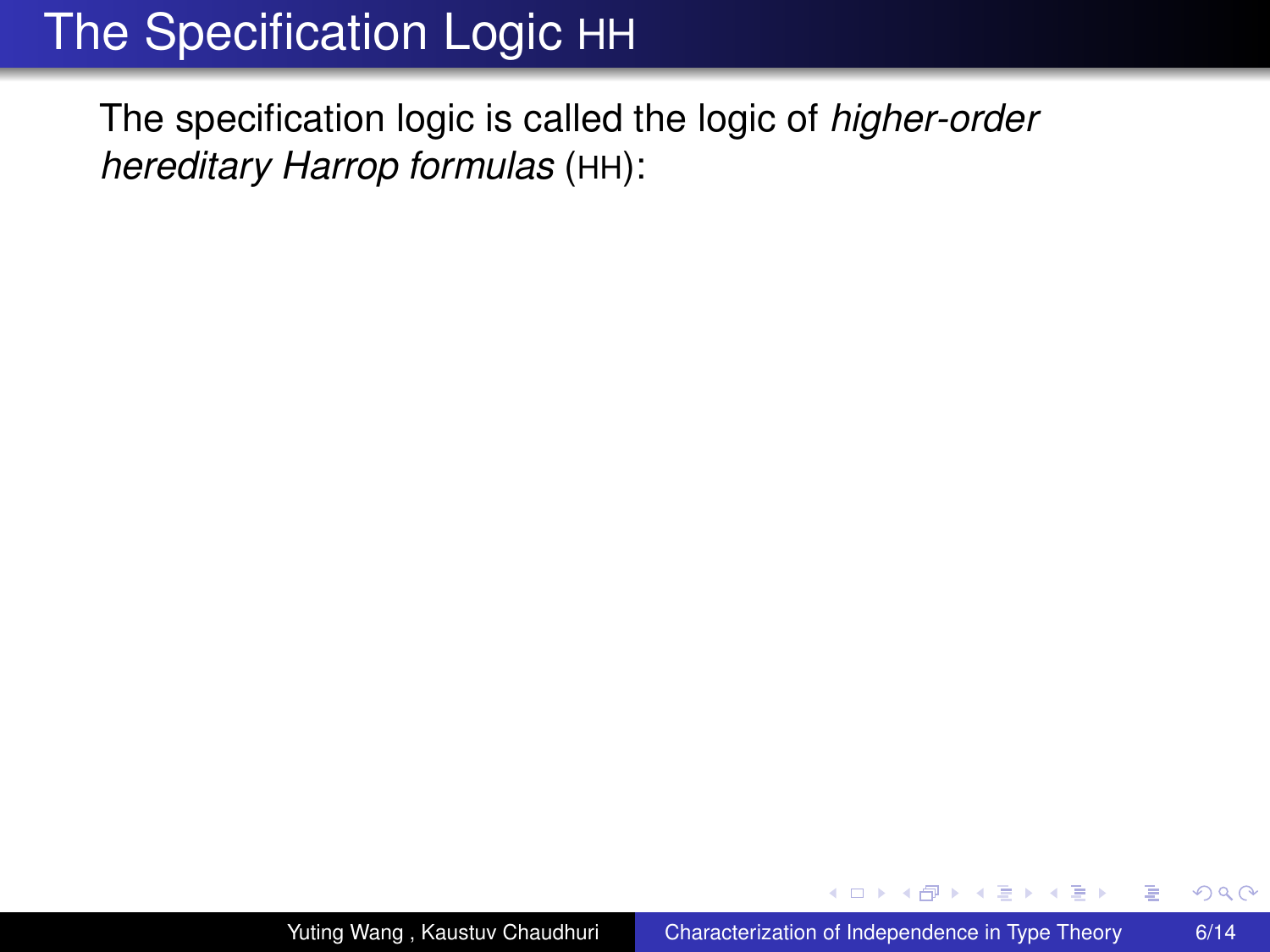The specification logic is called the logic of *higher-order hereditary Harrop formulas* (HH):

4 0 8

4 ଲ ⊧

医电子 化重子

B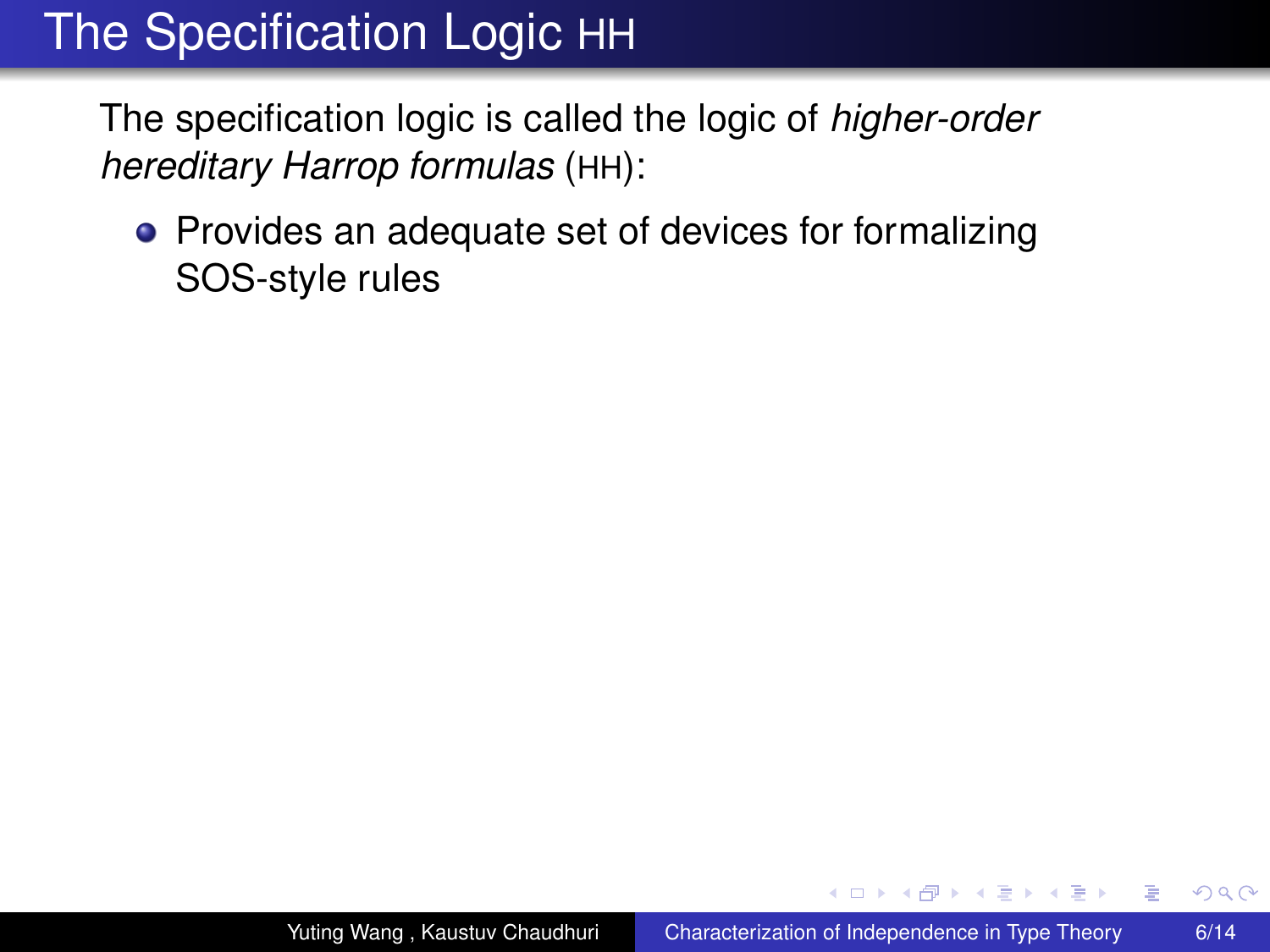The specification logic is called the logic of *higher-order hereditary Harrop formulas* (HH):

• Provides an adequate set of devices for formalizing SOS-style rules

4 0 8

④個→ ④ ヨ→ ④ ヨ→

 $2Q$ 

э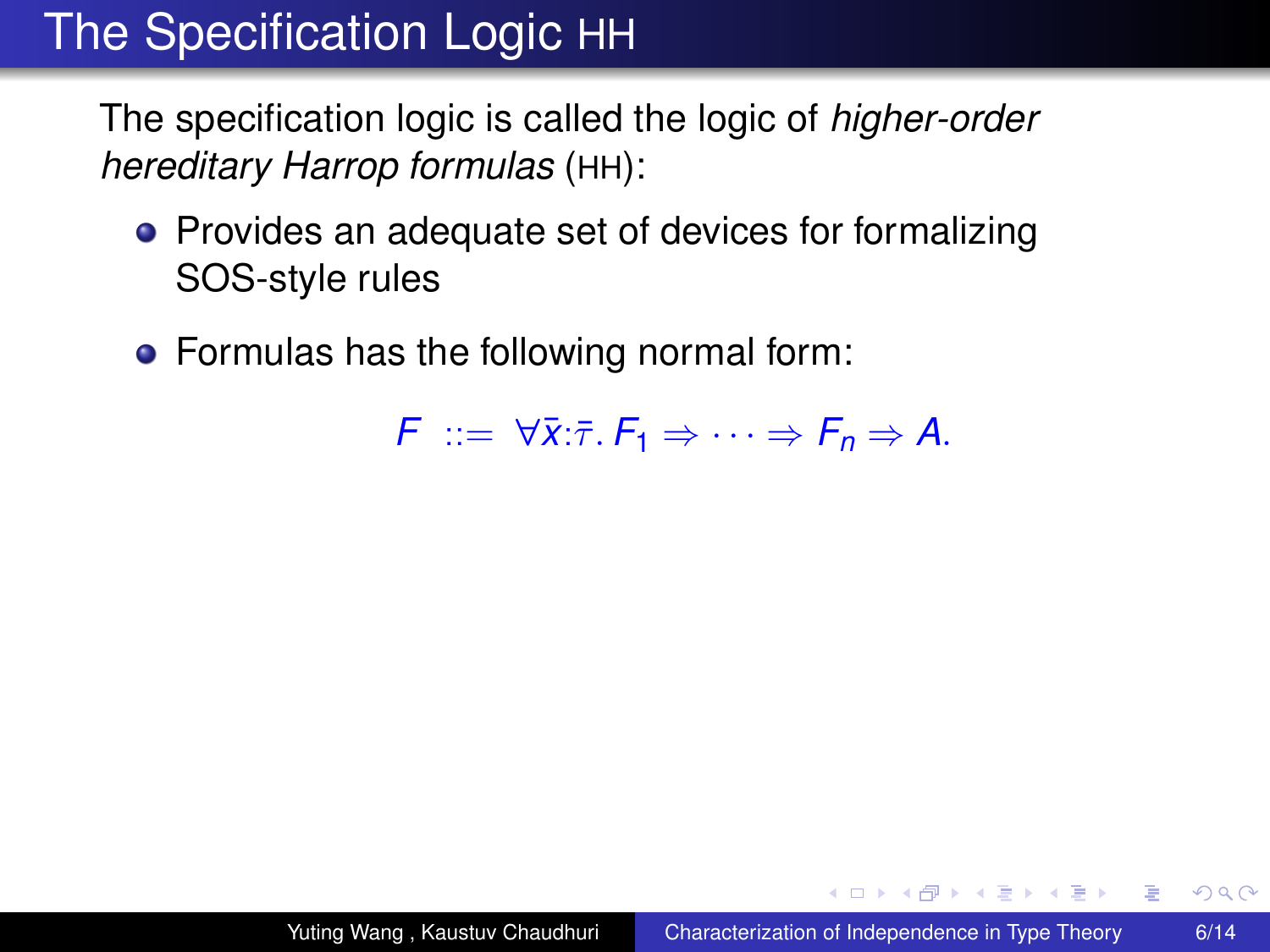The specification logic is called the logic of *higher-order hereditary Harrop formulas* (HH):

- Provides an adequate set of devices for formalizing SOS-style rules
- Formulas has the following normal form:

 $F ::= \forall \overline{x} : \overline{\tau} : F_1 \Rightarrow \cdots \Rightarrow F_n \Rightarrow A.$ 

イロト イ押 トイヨ トイヨト

 $2Q$ 

э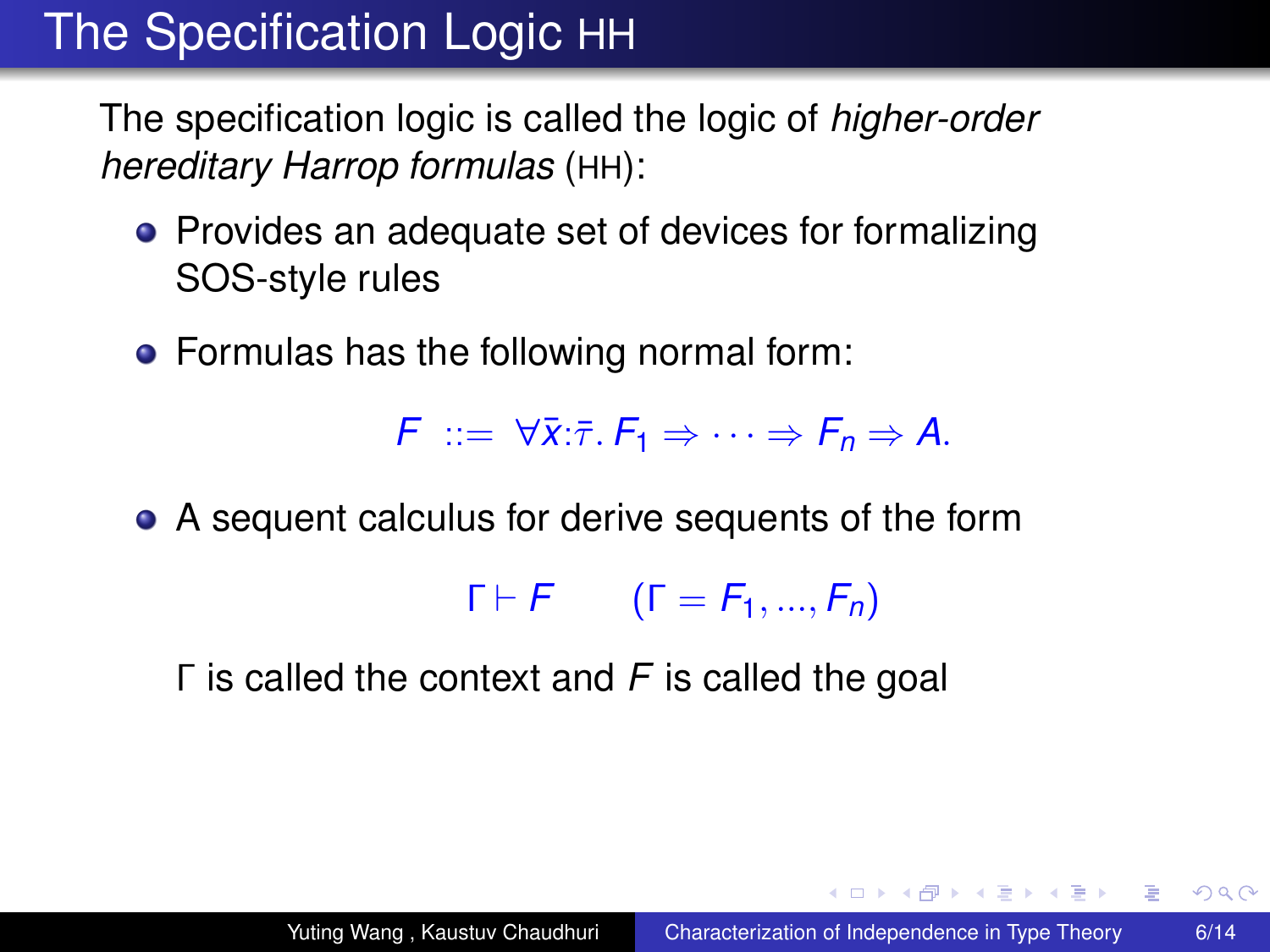The specification logic is called the logic of *higher-order hereditary Harrop formulas* (HH):

- Provides an adequate set of devices for formalizing SOS-style rules
- Formulas has the following normal form:

 $F$  ::=  $\forall \bar{x}$ : $\bar{\tau}$ .  $F_1 \Rightarrow \cdots \Rightarrow F_n \Rightarrow A$ .

A sequent calculus for derive sequents of the form

 $\Gamma \vdash F$  ( $\Gamma = F_1, ..., F_n$ )

Γ is called the context and *F* is called the goal

イロト イ伊 トイヨ トイヨ トー

<span id="page-24-0"></span> $\equiv$  990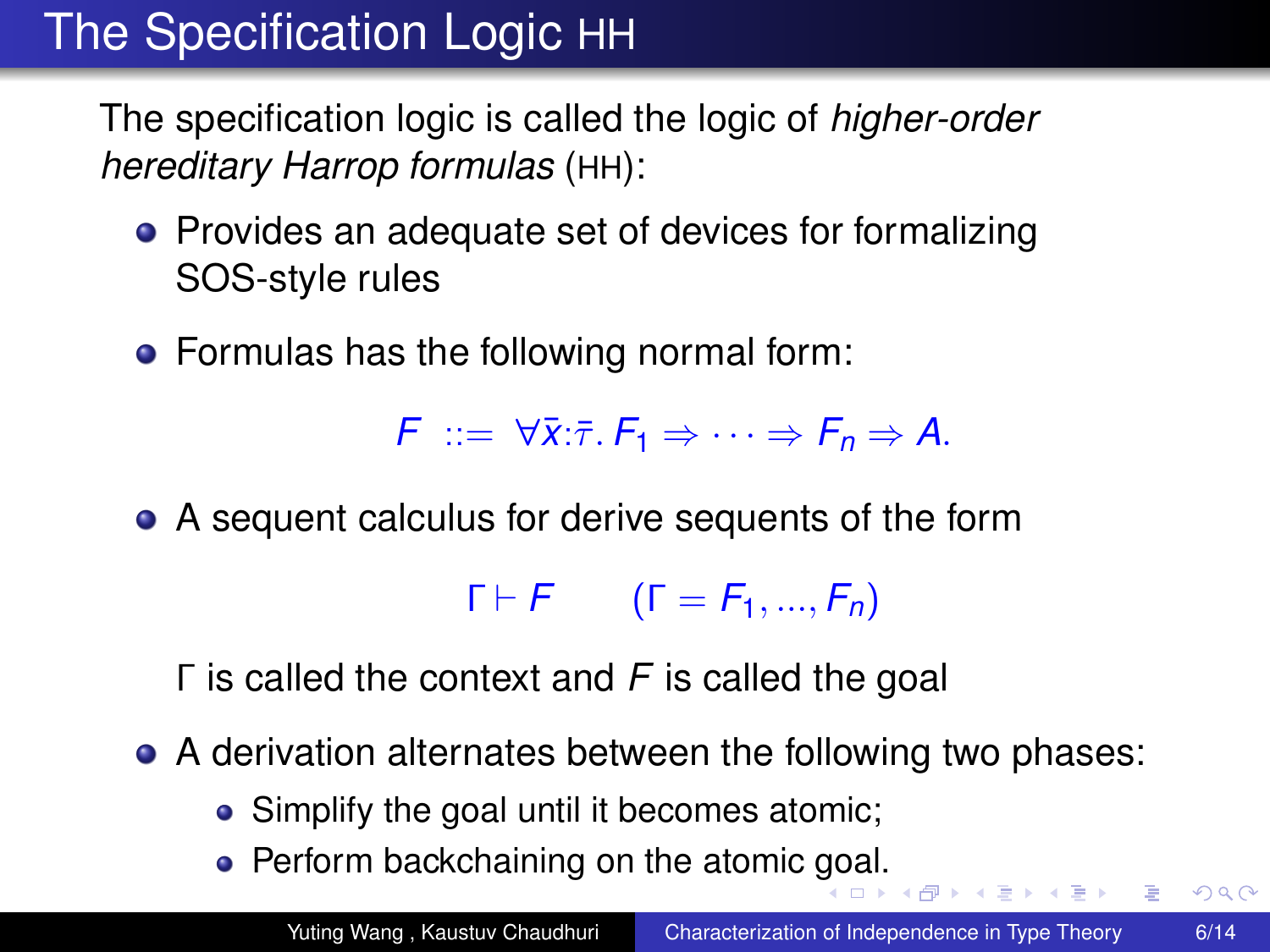The specification logic is called the logic of *higher-order hereditary Harrop formulas* (HH):

- Provides an adequate set of devices for formalizing SOS-style rules
- Formulas has the following normal form:

 $F$  ::=  $\forall \bar{x}$ : $\bar{\tau}$ .  $F_1 \Rightarrow \cdots \Rightarrow F_n \Rightarrow A$ .

A sequent calculus for derive sequents of the form

 $\Gamma \vdash F$  ( $\Gamma = F_1, ..., F_n$ )

Γ is called the context and *F* is called the goal

- A derivation alternates between the following two phases:
	- Simplify the goal until it becomes atomic;
	- Perform backchaining on the atomic [go](#page-24-0)[al.](#page-26-0)

 $2990$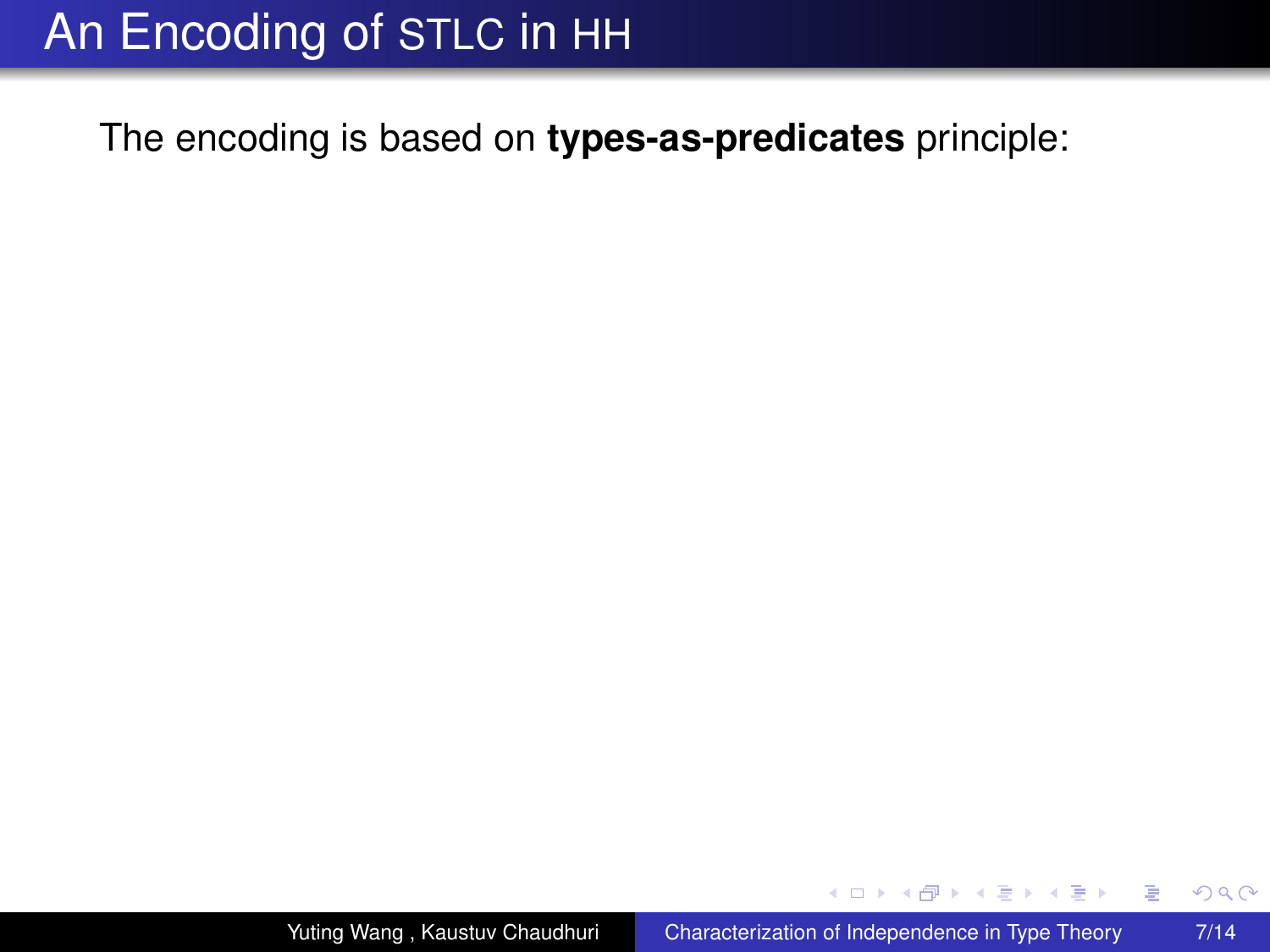The encoding is based on **types-as-predicates** principle:

 $\leftarrow$   $\Box$ 

4 0 8

ミト イヨト

 $299$ 

<span id="page-26-0"></span>B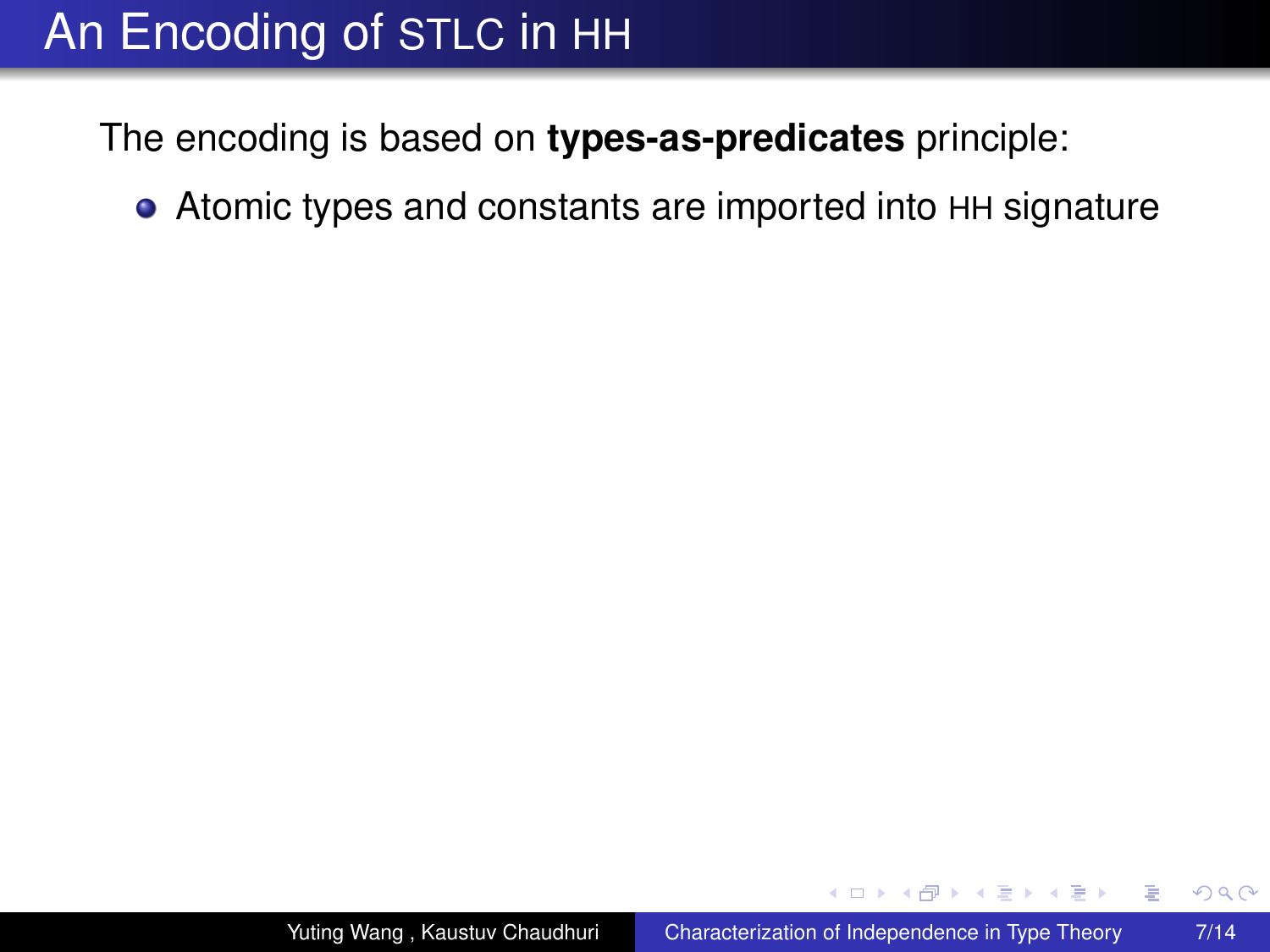The encoding is based on **types-as-predicates** principle:

Atomic types and constants are imported into HH signature

 $\leftarrow$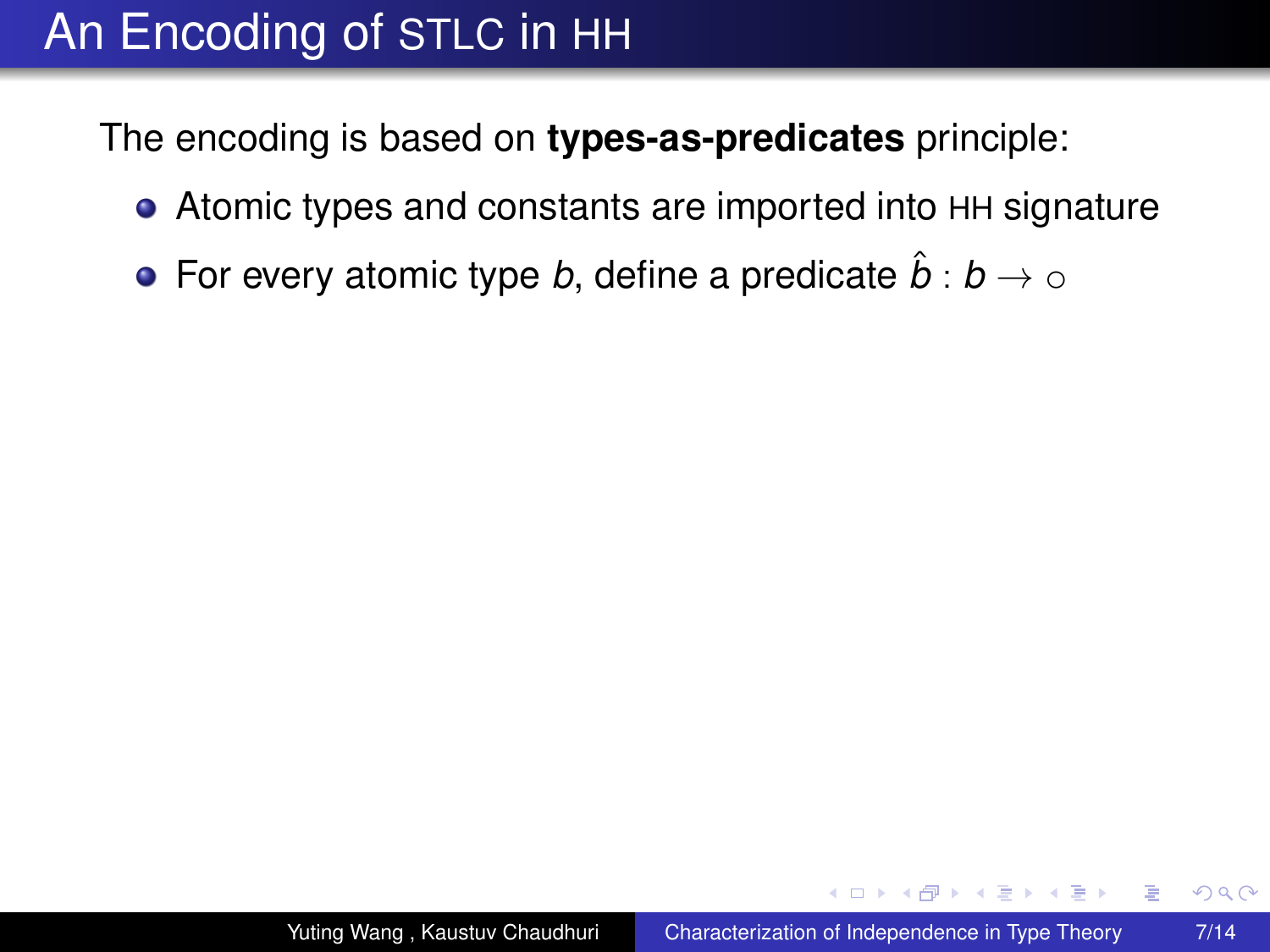The encoding is based on **types-as-predicates** principle:

- Atomic types and constants are imported into HH signature
- **•** For every atomic type *b*, define a predicate  $\hat{b}: b \to \infty$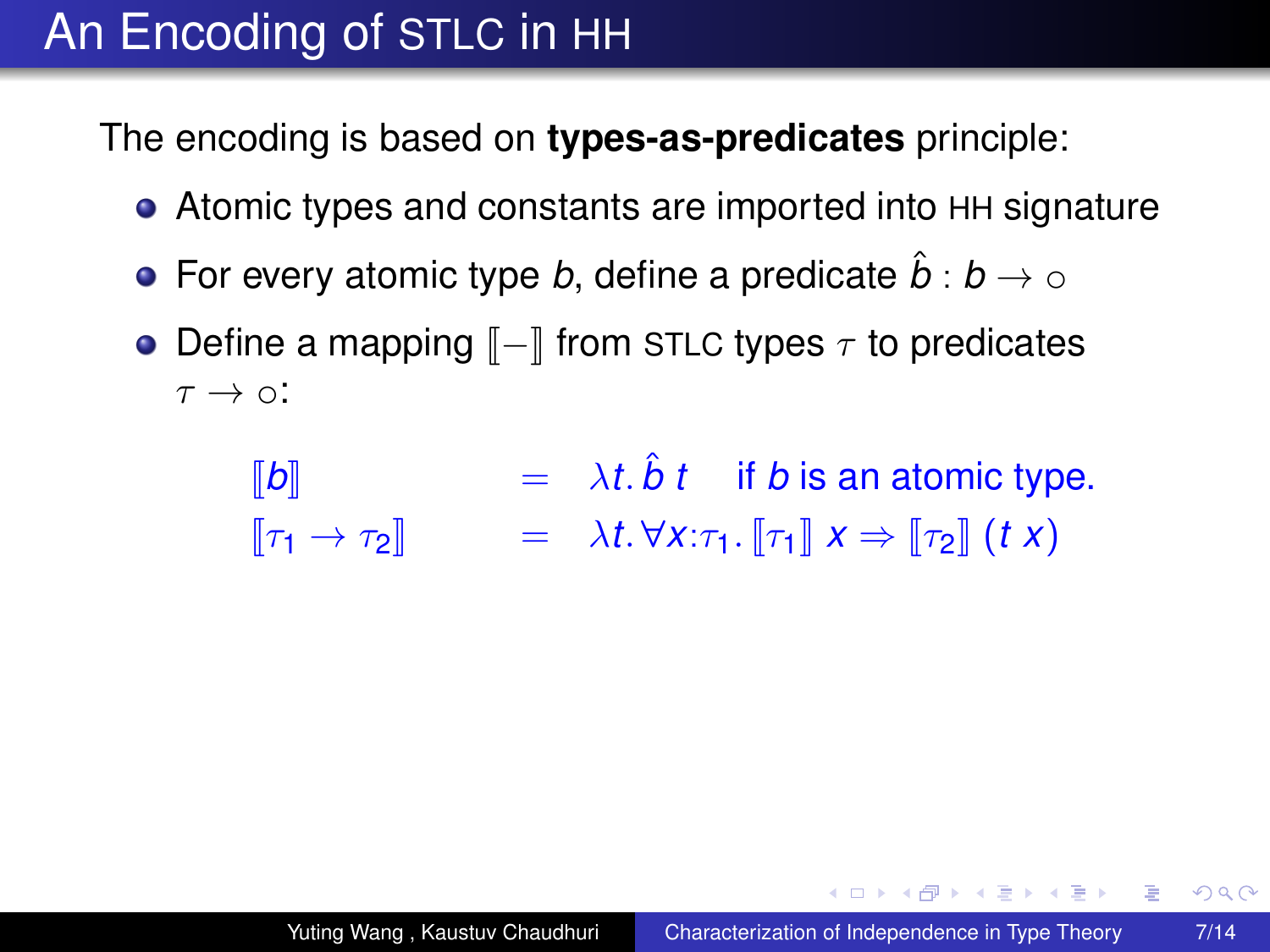The encoding is based on **types-as-predicates** principle:

- Atomic types and constants are imported into HH signature
- For every atomic type *b*, define a predicate  $\hat{b}: b \to \infty$
- Define a mapping  $\llbracket \rrbracket$  from STLC types  $\tau$  to predicates  $\tau \rightarrow \infty$ :

$$
\begin{array}{llll}\n[\![b]\!] &=& \lambda t.\,\hat{b}\,t & \text{if } b \text{ is an atomic type.} \\
[\![\tau_1 \to \tau_2]\!] &=& \lambda t.\,\forall x:\tau_1.\,\llbracket \tau_1 \rrbracket \,x \Rightarrow \llbracket \tau_2 \rrbracket \,(t\,x)\n\end{array}
$$

イロト イ押ト イヨト イヨト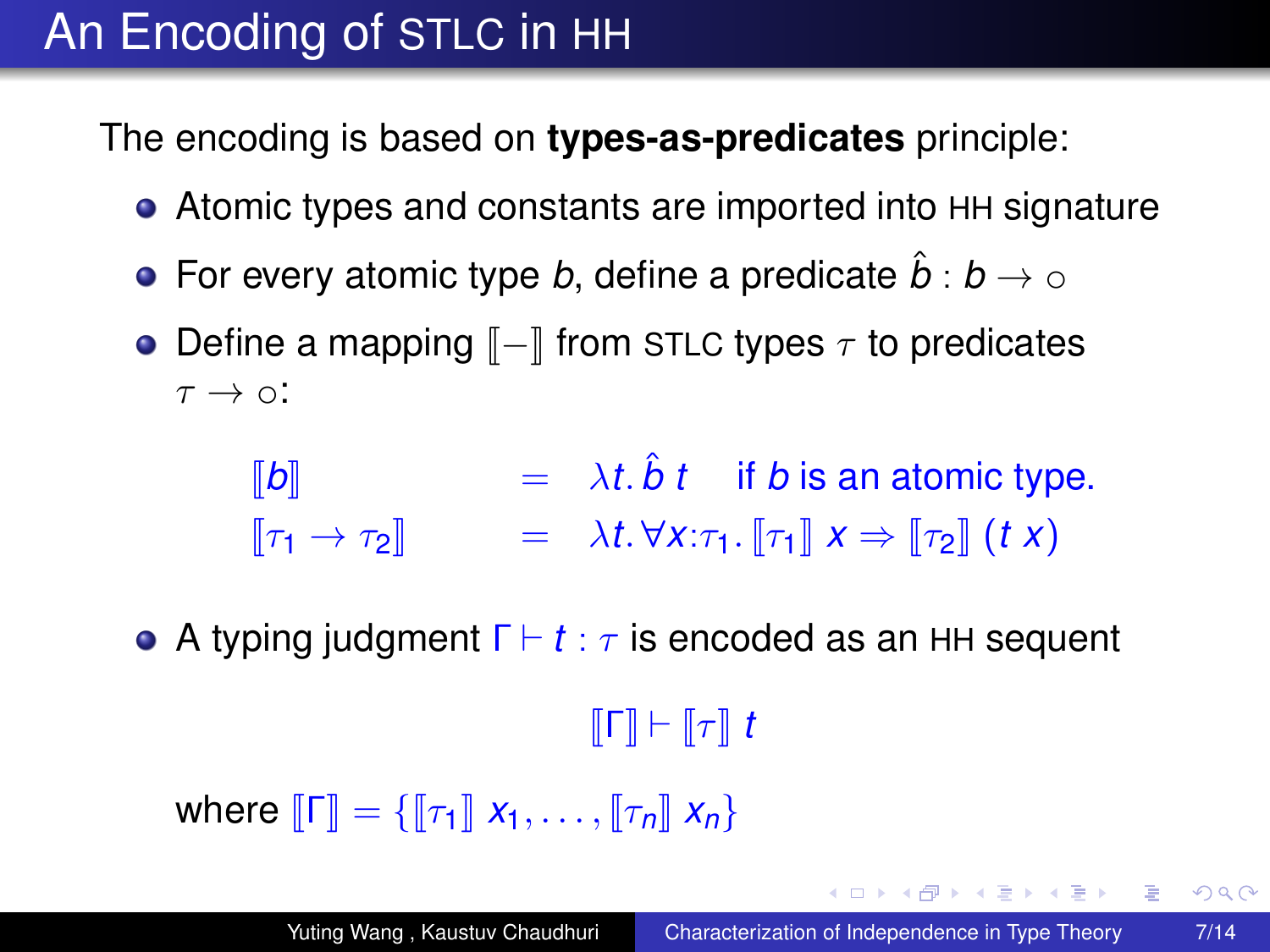The encoding is based on **types-as-predicates** principle:

- Atomic types and constants are imported into HH signature
- **•** For every atomic type *b*, define a predicate  $\hat{b}: b \to \infty$
- Define a mapping  $\llbracket \rrbracket$  from STLC types  $\tau$  to predicates  $\tau \rightarrow \circ$ :

 $\llbracket b \rrbracket$  =  $\lambda t. \hat{b} t$  if *b* is an atomic type.  $\llbracket \tau_1 \to \tau_2 \rrbracket$  =  $\lambda t. \forall x: \tau_1. \llbracket \tau_1 \rrbracket x \Rightarrow \llbracket \tau_2 \rrbracket$  (*t x*)

**•** A typing judgment  $\Gamma \vdash t : \tau$  is encoded as an HH sequent

#### $\llbracket \Gamma \rrbracket \vdash \llbracket \tau \rrbracket \ t$

where  $\llbracket \Gamma \rrbracket = \{ \llbracket \tau_1 \rrbracket \ x_1, \ldots, \llbracket \tau_n \rrbracket \ x_n \}$ 

KOD KAP KED KED E YA G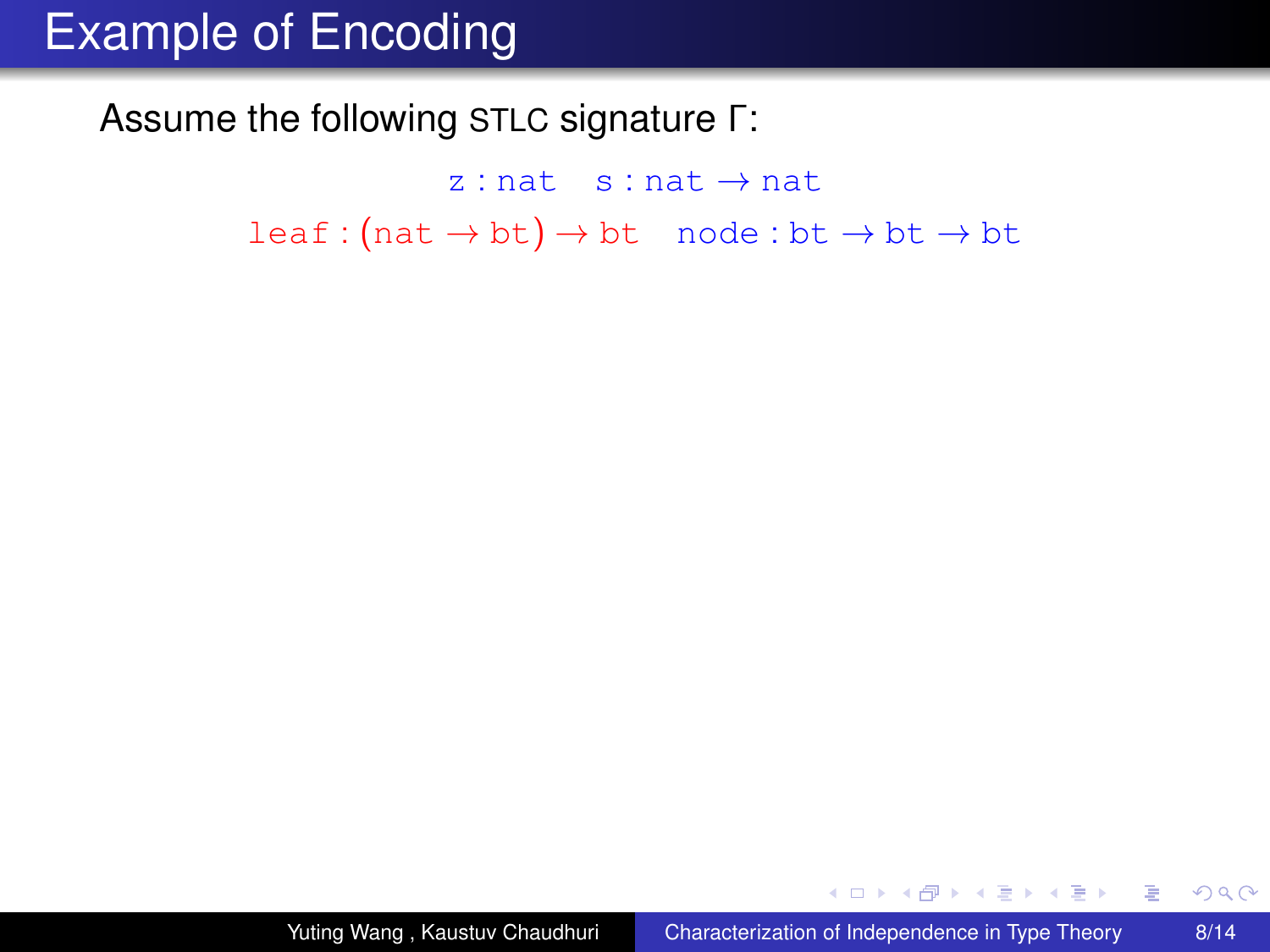#### Assume the following STLC signature Γ:

 $z : nat$  s : nat  $\rightarrow$  nat  $leaf:(nat \rightarrow bt) \rightarrow bt \mod:bt \rightarrow bt \rightarrow bt$ 

メロメメ 御きメ 老き メ 悪き し

 $\Rightarrow$ 

 $299$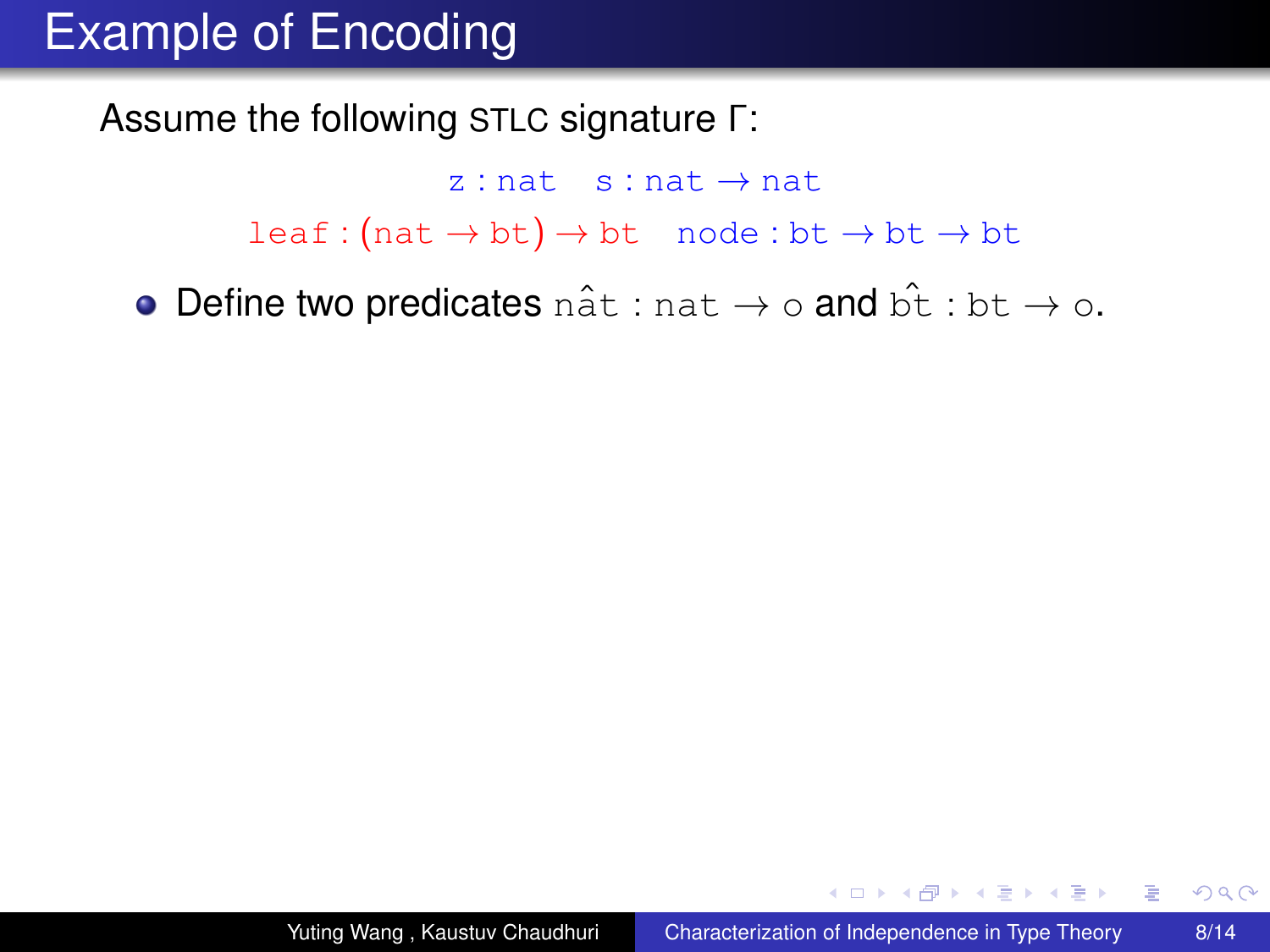Assume the following STLC signature Γ:

 $z : nat$  s : nat  $\rightarrow$  nat  $leaf:(nat \rightarrow bt) \rightarrow bt \mod:bt \rightarrow bt \rightarrow bt$ 

• Define two predicates nat : nat  $\rightarrow \circ$  and  $\hat{pt}$  : bt  $\rightarrow \circ$ .

 $\left\{ \left\vert \mathbf{a}\right\vert \mathbf{b}\right\}$  , and  $\left\vert \mathbf{b}\right\vert$  , and  $\left\vert \mathbf{b}\right\vert$  ,

ă.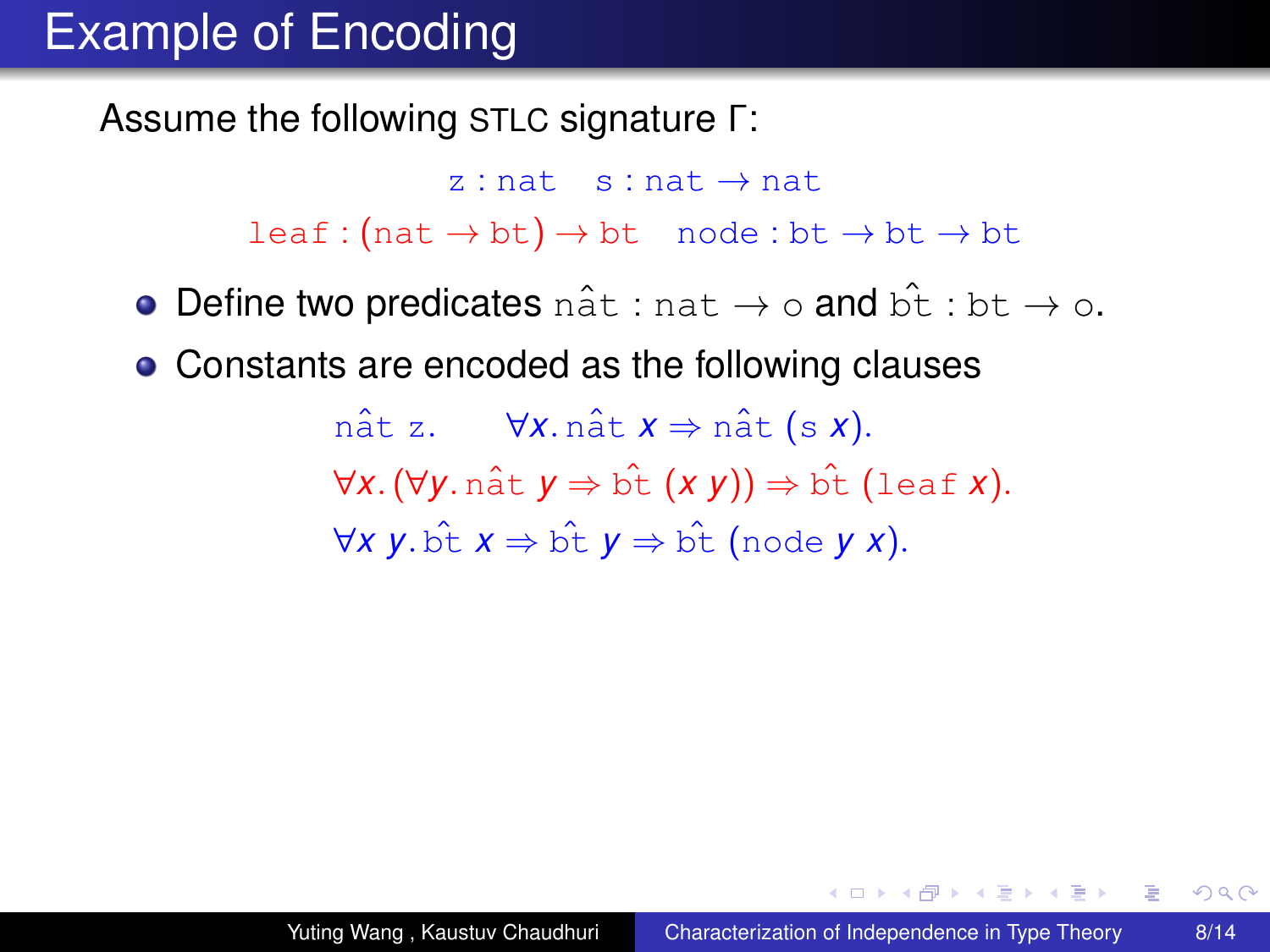Assume the following STLC signature Γ:

 $z : nat \rightarrow nat$  $leaf:(nat \rightarrow bt) \rightarrow bt \mod:bt \rightarrow bt \rightarrow bt$ 

- Define two predicates nat : nat  $\rightarrow \circ$  and bt : bt  $\rightarrow \circ$ .
- Constants are encoded as the following clauses

nât z.  $\forall x \text{. } n \hat{a} t \mathbf{x} \Rightarrow n \hat{a} t \text{ (s x)}.$ ∀*x*.(∀*y*. natˆ *y* ⇒ btˆ (*x y*)) ⇒ btˆ (leaf *x*).  $∀X V. b̂t X ⇒ b̂t V ⇒ b̂t (node V X).$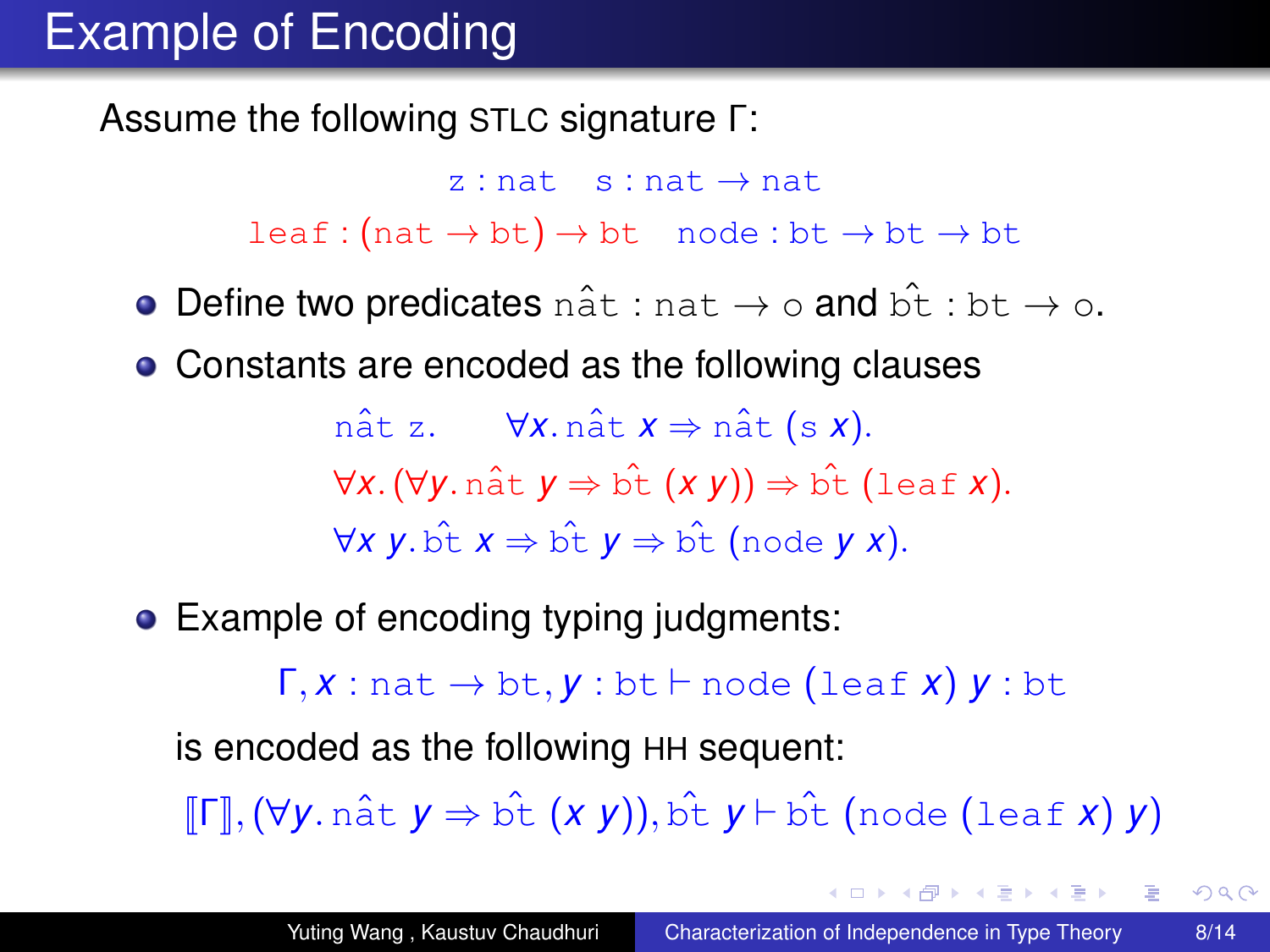Assume the following STLC signature Γ:

 $z : nat$  s : nat  $\rightarrow$  nat  $leaf:(nat \rightarrow bt) \rightarrow bt \mod:bt \rightarrow bt \rightarrow bt$ 

- Define two predicates nat : nat  $\rightarrow \circ$  and bt : bt  $\rightarrow \circ$ .
- Constants are encoded as the following clauses

nat z.  $\forall x \text{. } n \hat{a} t \mathbf{x} \Rightarrow n \hat{a} t \text{ (s } x).$ ∀*x*.(∀*y*. natˆ *y* ⇒ btˆ (*x y*)) ⇒ btˆ (leaf *x*).  $∀X V. b̂t X ⇒ b̂t V ⇒ b̂t̂ (node V X).$ 

• Example of encoding typing judgments:

 $\Gamma, x : \text{nat} \rightarrow \text{bt}, y : \text{bt} \vdash \text{node}$  (leaf *x*)  $y : \text{bt}$ 

is encoded as the following HH sequent:

<sup>J</sup>ΓK,(∀*y*. nat<sup>ˆ</sup> *<sup>y</sup>* <sup>⇒</sup> bt<sup>ˆ</sup> (*x y*)), bt<sup>ˆ</sup> *<sup>y</sup>* ` bt<sup>ˆ</sup> (node (leaf *<sup>x</sup>*) *<sup>y</sup>*)

 $2990$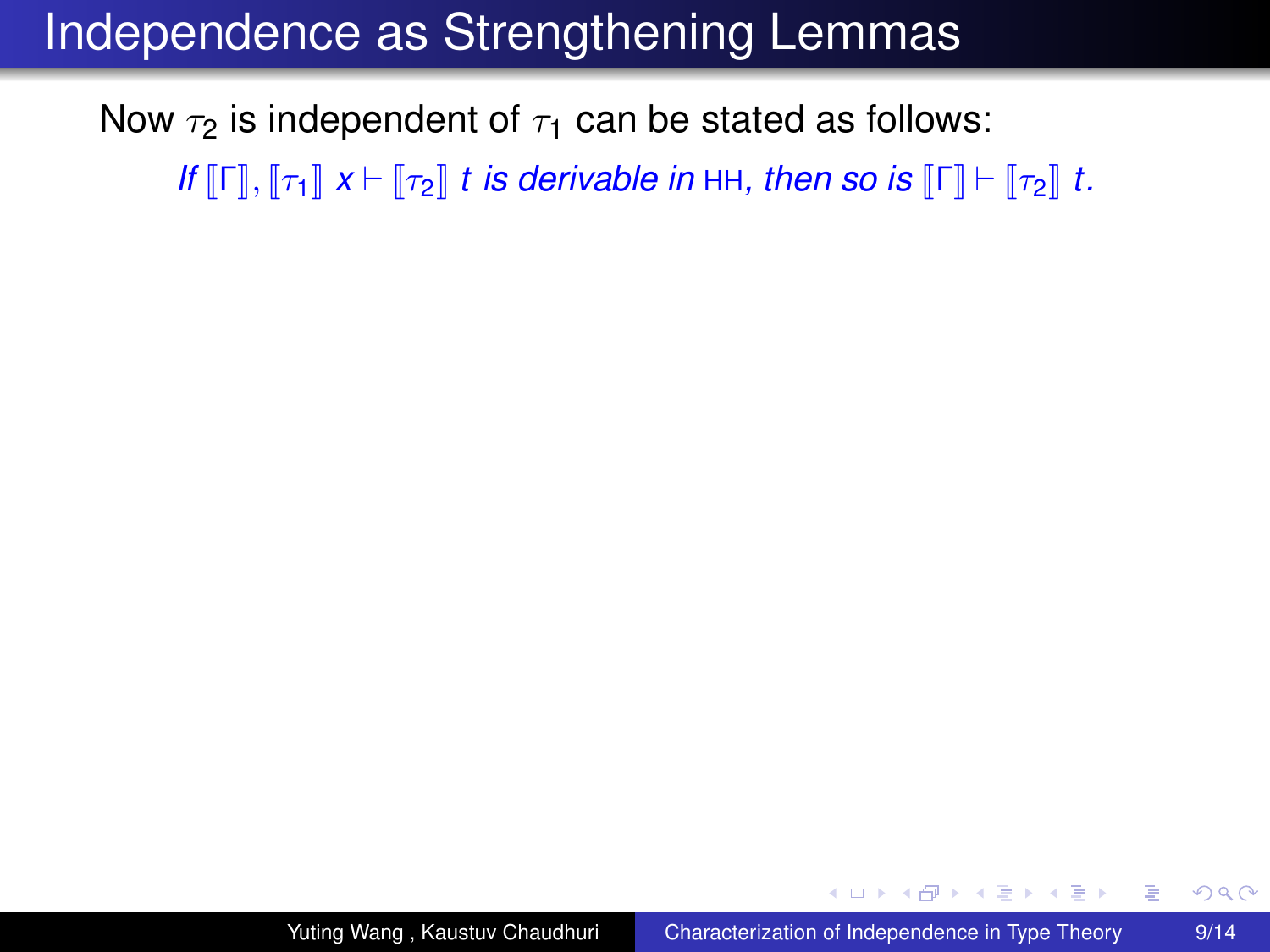#### Independence as Strengthening Lemmas

Now  $\tau_2$  is independent of  $\tau_1$  can be stated as follows: *If*  $\llbracket \Gamma \rrbracket$ ,  $\llbracket \tau_1 \rrbracket$   $x \vdash \llbracket \tau_2 \rrbracket$  *t is derivable in* HH, then so is  $\llbracket \Gamma \rrbracket \vdash \llbracket \tau_2 \rrbracket$  *t.* 

**≮ロト ⊀何 ト ⊀ ヨ ト ⊀ ヨ ト** 

 $2990$ 

÷.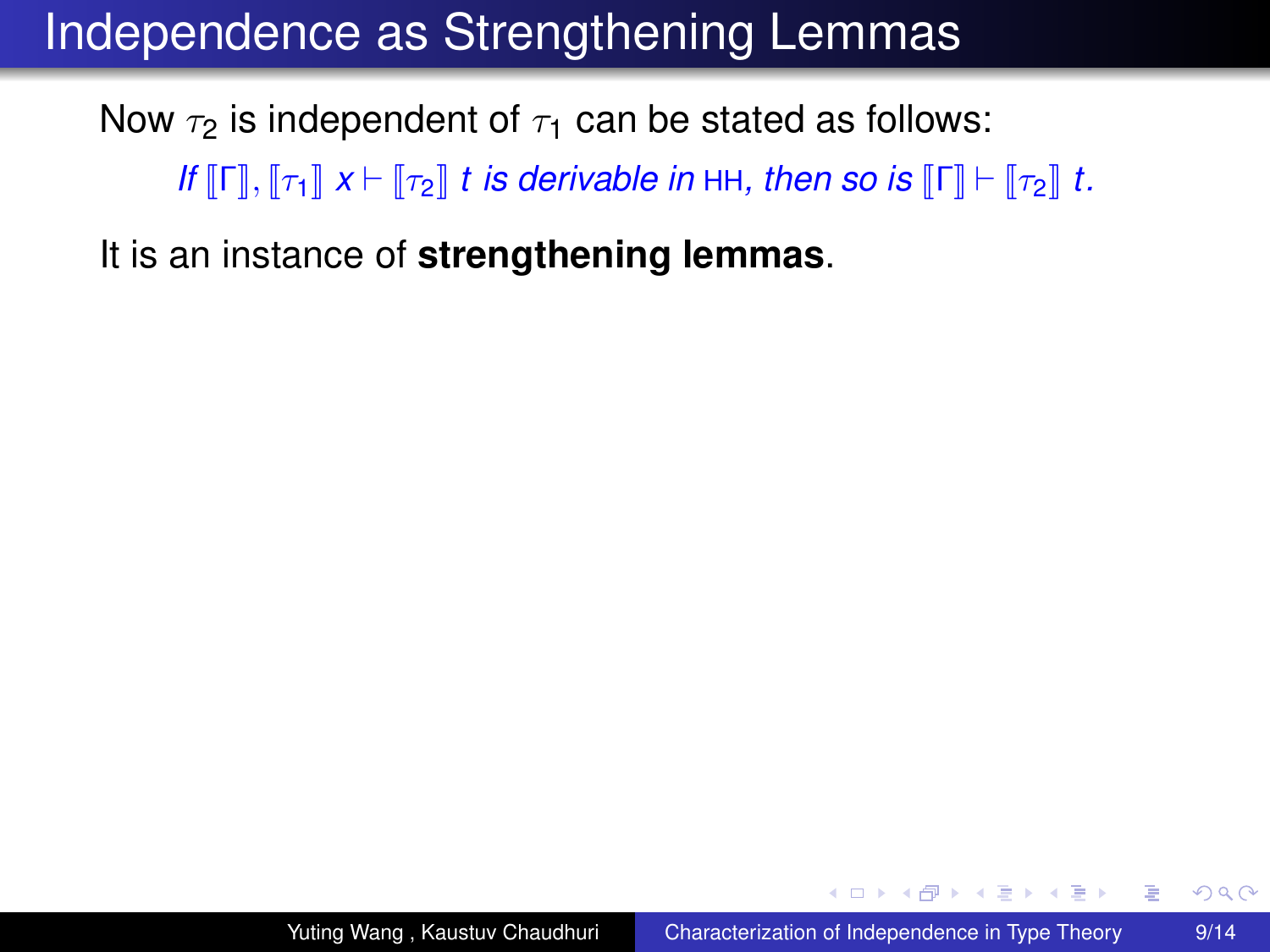Now  $\tau_2$  is independent of  $\tau_1$  can be stated as follows: *If*  $\llbracket \Gamma \rrbracket$ ,  $\llbracket \tau_1 \rrbracket$   $x \vdash \llbracket \tau_2 \rrbracket$  *t is derivable in* HH, then so is  $\llbracket \Gamma \rrbracket \vdash \llbracket \tau_2 \rrbracket$  *t.* 

It is an instance of **strengthening lemmas**.

**≮ロト ⊀伊 ▶ ⊀ ヨ ▶ ⊀ ヨ ▶** 

÷.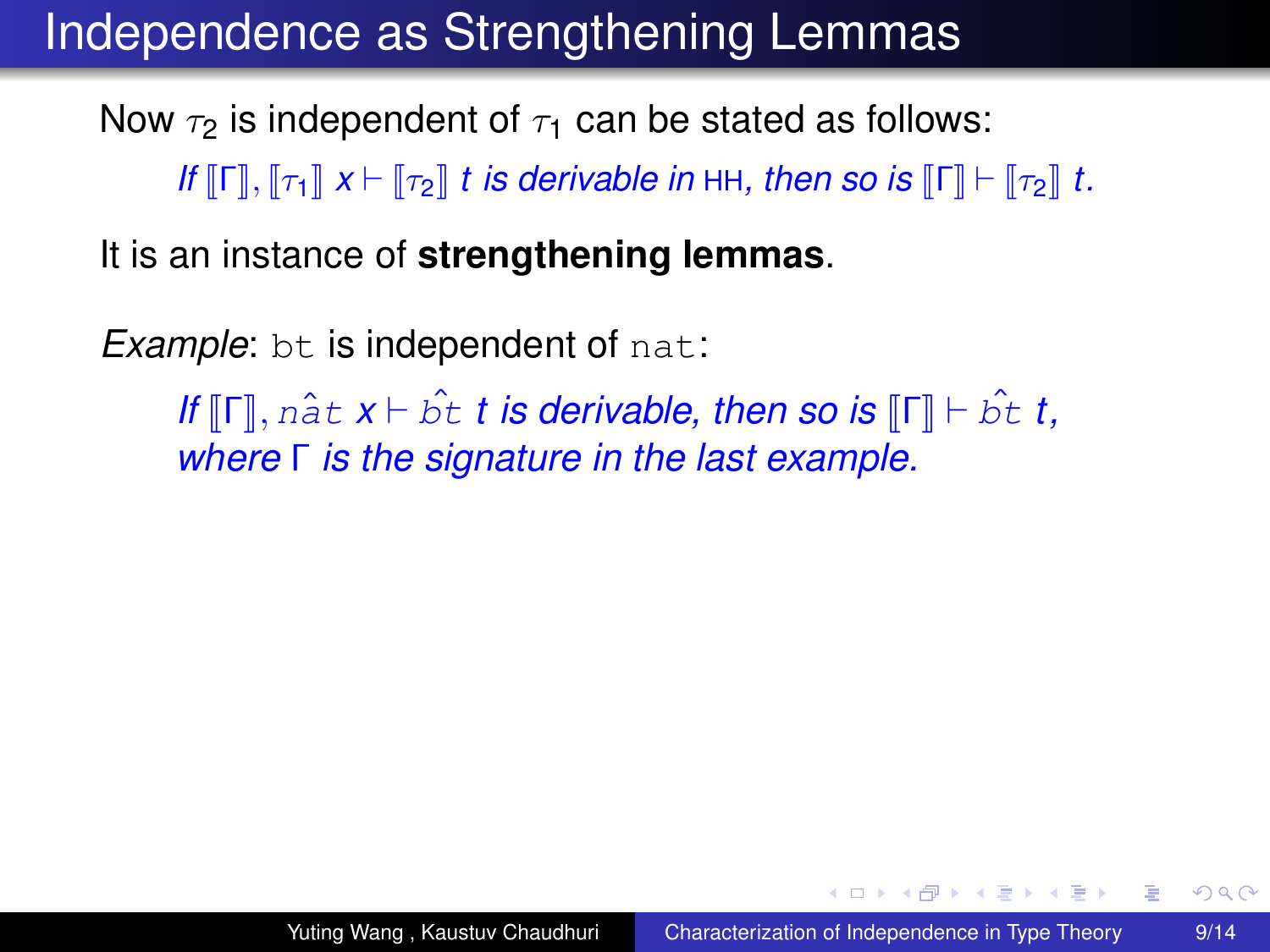Now  $\tau_2$  is independent of  $\tau_1$  can be stated as follows: *If*  $\llbracket \Gamma \rrbracket$ ,  $\llbracket \tau_1 \rrbracket$   $x \vdash \llbracket \tau_2 \rrbracket$  *t is derivable in* HH, then so is  $\llbracket \Gamma \rrbracket \vdash \llbracket \tau_2 \rrbracket$  *t.* 

It is an instance of **strengthening lemmas**.

*Example:* bt is independent of nat:

*If*  $\llbracket \mathsf{\Gamma} \rrbracket$ ,  $n \hat{\mathsf{a}} t \mathsf{x} \vdash \hat{\mathsf{b}} t$  *t* is derivable, then so is  $\llbracket \mathsf{\Gamma} \rrbracket \vdash \hat{\mathsf{b}} t$  *t*, *where* Γ *is the signature in the last example.*

**≮ロ ▶ ⊀ 御 ▶ ⊀ ヨ ▶ ⊀ ヨ ▶** 

 $2990$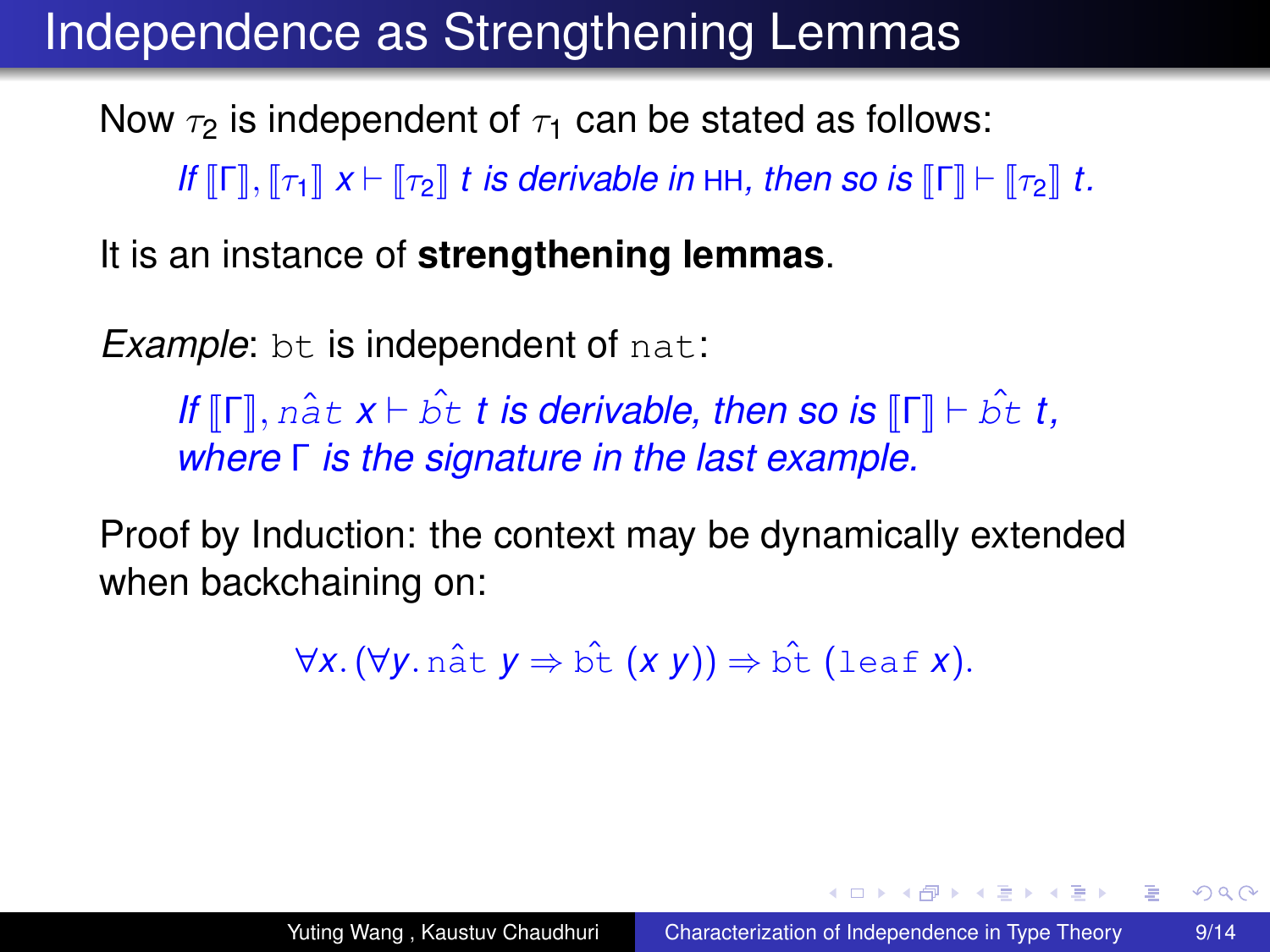Now  $\tau_2$  is independent of  $\tau_1$  can be stated as follows: *If*  $\llbracket \Gamma \rrbracket$ ,  $\llbracket \tau_1 \rrbracket$   $x \vdash \llbracket \tau_2 \rrbracket$  *t is derivable in* HH, then so is  $\llbracket \Gamma \rrbracket \vdash \llbracket \tau_2 \rrbracket$  *t.* 

It is an instance of **strengthening lemmas**.

*Example:* bt is independent of nat:

*If*  $\llbracket \mathsf{\Gamma} \rrbracket$ ,  $n \hat{\mathsf{a}} t \mathsf{x} \vdash \hat{\mathsf{b}} t$  *t* is derivable, then so is  $\llbracket \mathsf{\Gamma} \rrbracket \vdash \hat{\mathsf{b}} t$  *t*, *where* Γ *is the signature in the last example.*

Proof by Induction: the context may be dynamically extended when backchaining on:

 $\forall x. (\forall y. \text{ nât } y \Rightarrow \hat{b}t (x y)) \Rightarrow \hat{b}t$  (leaf *x*).

**≮ロト ⊀伊 ▶ ⊀ ヨ ▶ ⊀ ヨ ▶** 

<span id="page-38-0"></span>÷.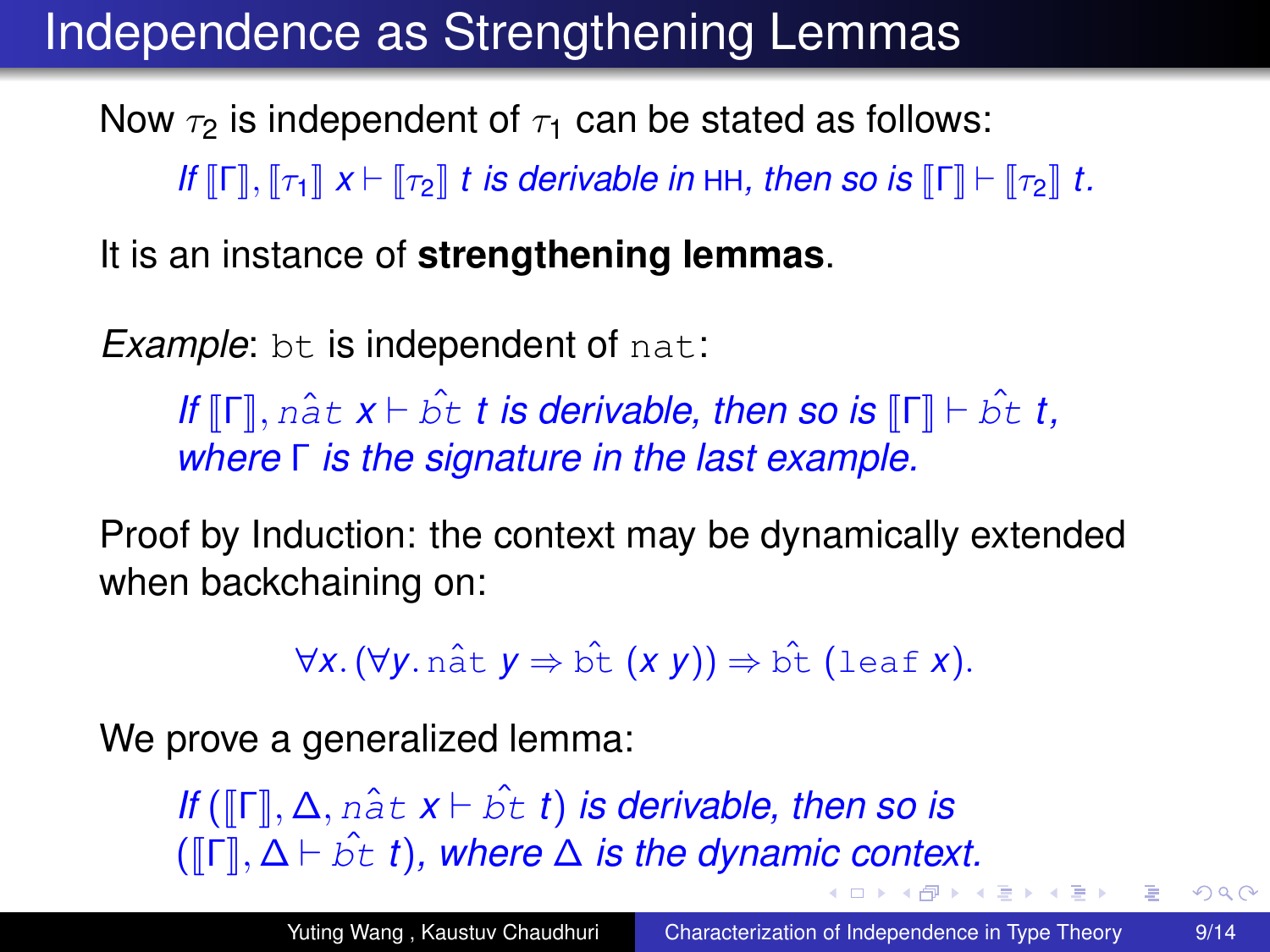Now  $\tau_2$  is independent of  $\tau_1$  can be stated as follows: *If*  $\llbracket \Gamma \rrbracket$ ,  $\llbracket \tau_1 \rrbracket$   $x \vdash \llbracket \tau_2 \rrbracket$  *t is derivable in* HH, then so is  $\llbracket \Gamma \rrbracket \vdash \llbracket \tau_2 \rrbracket$  *t.* 

It is an instance of **strengthening lemmas**.

*Example:* bt is independent of nat:

*If*  $\llbracket \mathsf{\Gamma} \rrbracket$ ,  $n \hat{\mathsf{a}} t \mathsf{x} \vdash \hat{\mathsf{b}} t$  *t* is derivable, then so is  $\llbracket \mathsf{\Gamma} \rrbracket \vdash \hat{\mathsf{b}} t$  *t*, *where* Γ *is the signature in the last example.*

Proof by Induction: the context may be dynamically extended when backchaining on:

<span id="page-39-0"></span> $\forall x. (\forall y. \text{ nât } y \Rightarrow \hat{b}t (x y)) \Rightarrow \hat{b}t$  (leaf *x*).

We prove a generalized lemma:

*If* ( $\Vert \Gamma \Vert$ ,  $\Delta$ ,  $n \hat{a} t \times b \hat{b} t$ ) *is derivable, then so is*  $(\llbracket \Gamma \rrbracket, \Delta \vdash \hat{b}t \; t)$  $(\llbracket \Gamma \rrbracket, \Delta \vdash \hat{b}t \; t)$  $(\llbracket \Gamma \rrbracket, \Delta \vdash \hat{b}t \; t)$  $(\llbracket \Gamma \rrbracket, \Delta \vdash \hat{b}t \; t)$  $(\llbracket \Gamma \rrbracket, \Delta \vdash \hat{b}t \; t)$ , where  $\Delta$  is the dynam[ic](#page-38-0) [co](#page-40-0)[n](#page-34-0)te[xt](#page-40-0)[.](#page-0-0)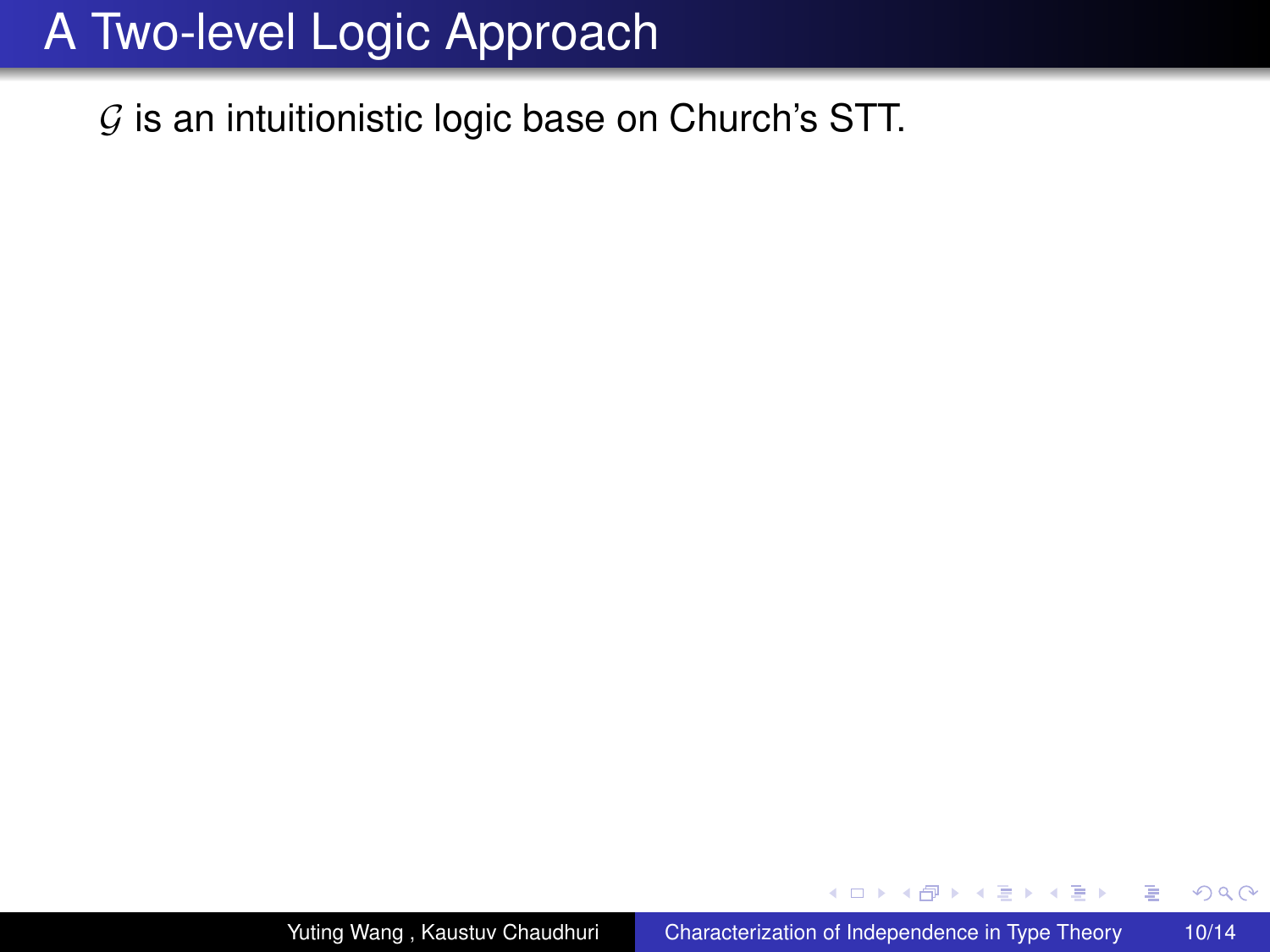$G$  is an intuitionistic logic base on Church's STT.

4 0 8

← 伊 ▶

 $2990$ 

<span id="page-40-0"></span>B

ぼう メモト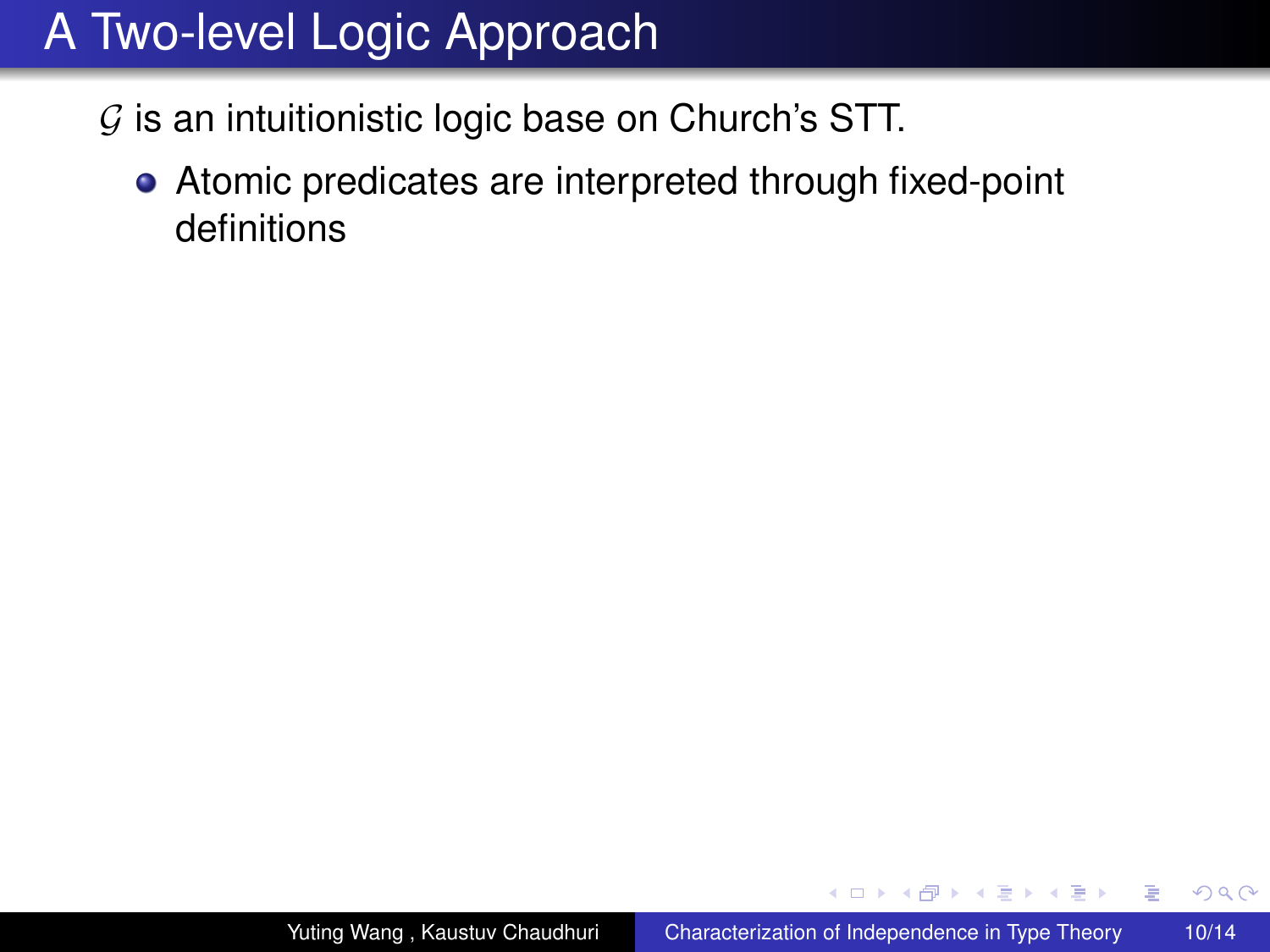- $G$  is an intuitionistic logic base on Church's STT.
	- Atomic predicates are interpreted through fixed-point definitions

4 0 8 4. ⊕ ⊳

医电子 化重子

 $2Q$ 

э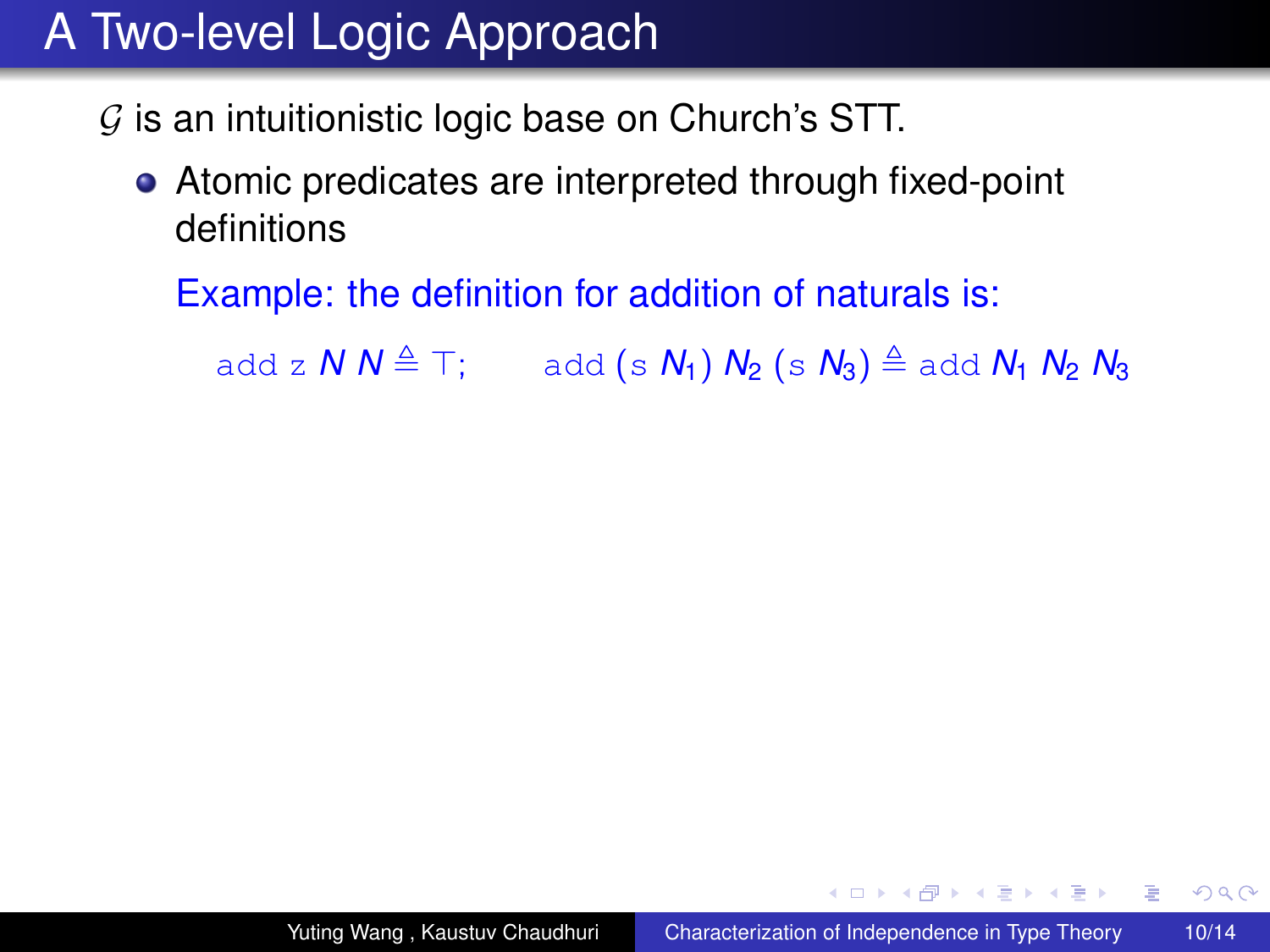- $G$  is an intuitionistic logic base on Church's STT.
	- Atomic predicates are interpreted through fixed-point definitions

Example: the definition for addition of naturals is:

add z  $N N \triangleq T$ ; add (s  $N_1$ )  $N_2$  (s  $N_3$ )  $\triangleq$  add  $N_1 N_2 N_3$ 

**≮ロト ⊀伊 ▶ ⊀ ヨ ▶ ⊀ ヨ ▶** 

重。  $2Q$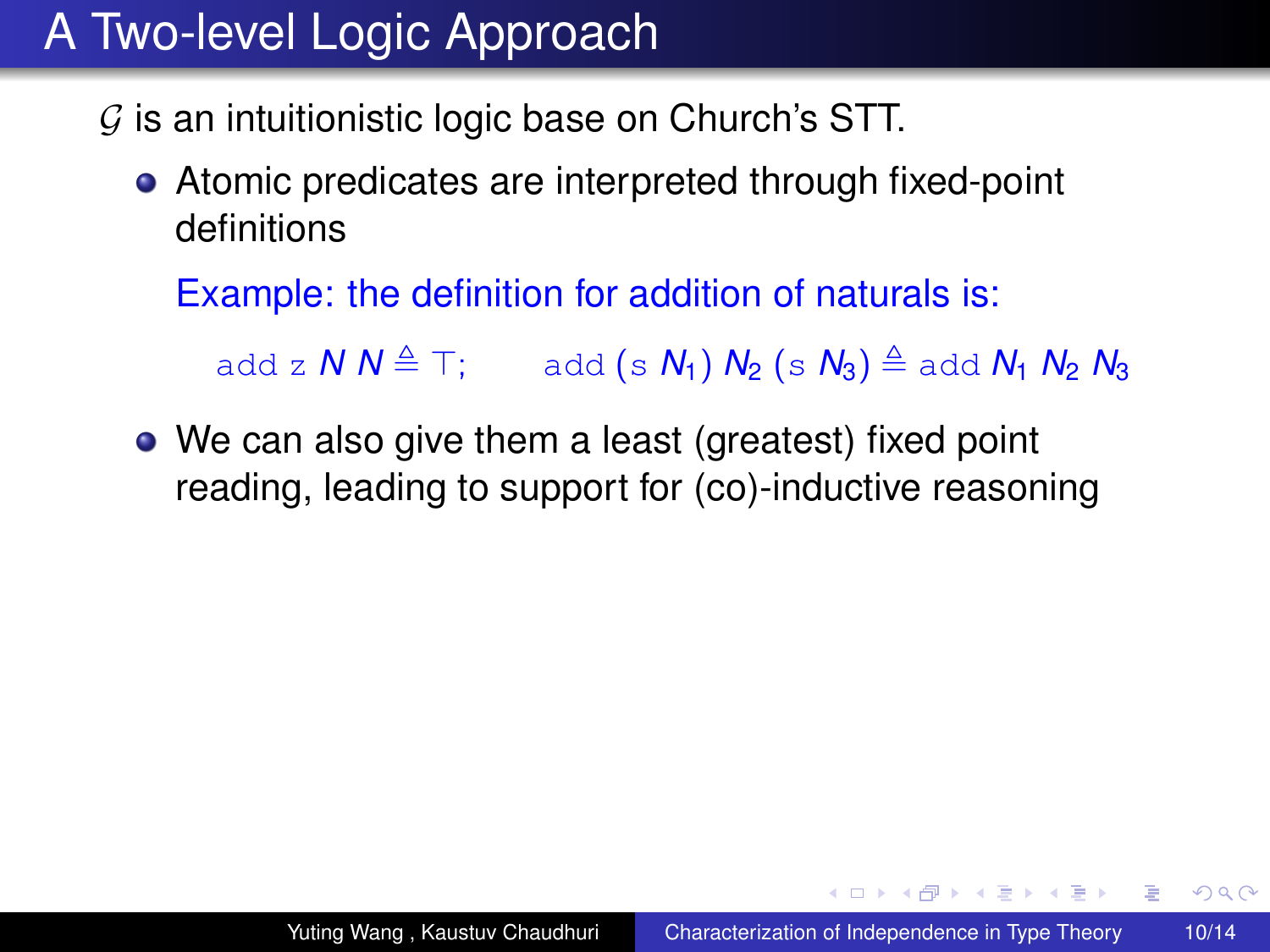- $G$  is an intuitionistic logic base on Church's STT.
	- Atomic predicates are interpreted through fixed-point definitions

Example: the definition for addition of naturals is:

add z  $N N \triangleq T$ ; add (s  $N_1$ )  $N_2$  (s  $N_3$ )  $\triangleq$  add  $N_1 N_2 N_3$ 

• We can also give them a least (greatest) fixed point reading, leading to support for (co)-inductive reasoning

**≮ロ ▶ ⊀ 御 ▶ ⊀ ヨ ▶ ⊀ ヨ ▶**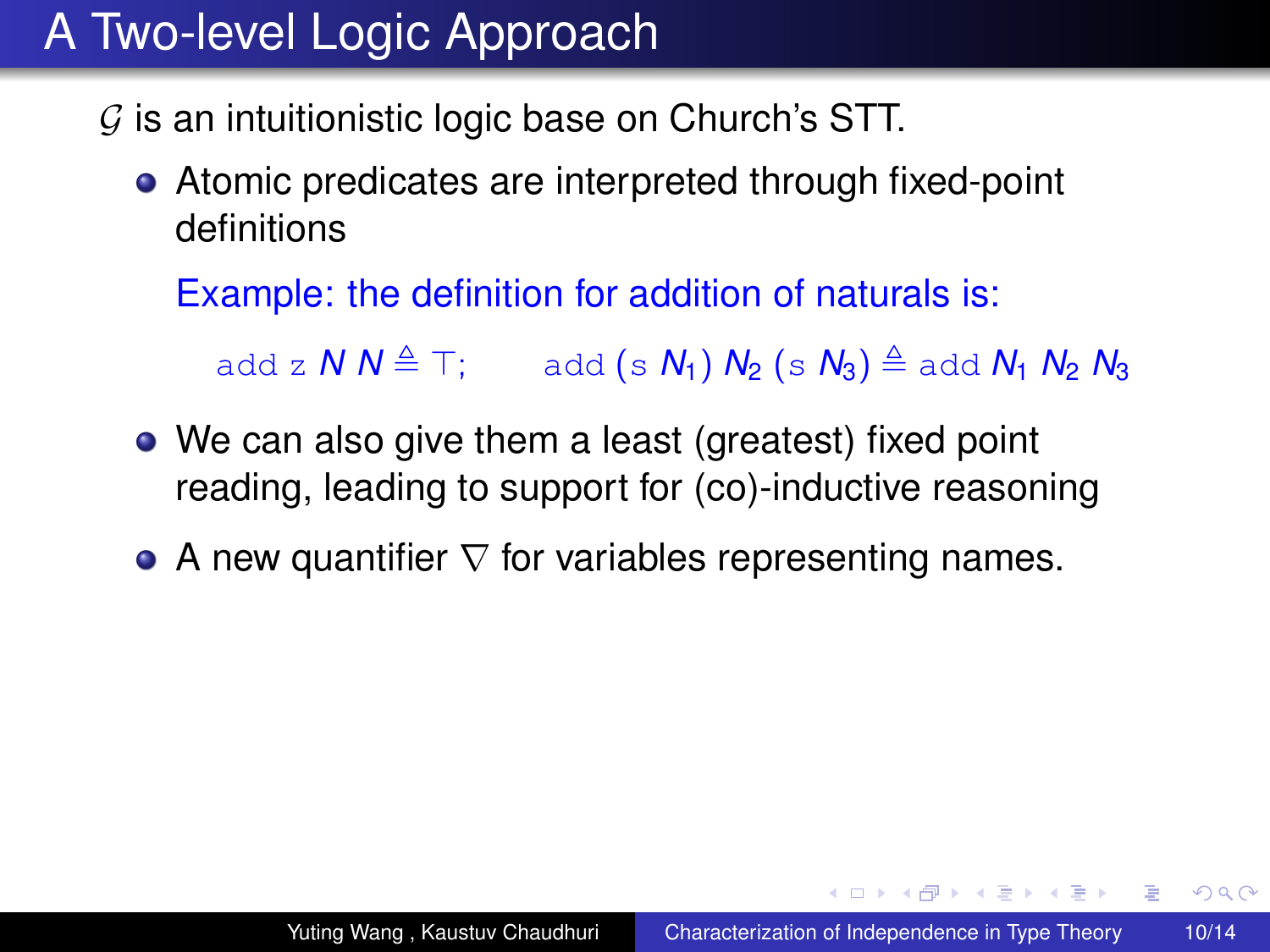- $G$  is an intuitionistic logic base on Church's STT.
	- Atomic predicates are interpreted through fixed-point definitions

Example: the definition for addition of naturals is:

add z  $N N \triangleq T$ ; add (s  $N_1$ )  $N_2$  (s  $N_3$ )  $\triangleq$  add  $N_1 N_2 N_3$ 

- We can also give them a least (greatest) fixed point reading, leading to support for (co)-inductive reasoning
- A new quantifier  $\nabla$  for variables representing names.

**≮ロ ▶ ⊀ 御 ▶ ⊀ ヨ ▶ ⊀ ヨ ▶** 

È.  $2Q$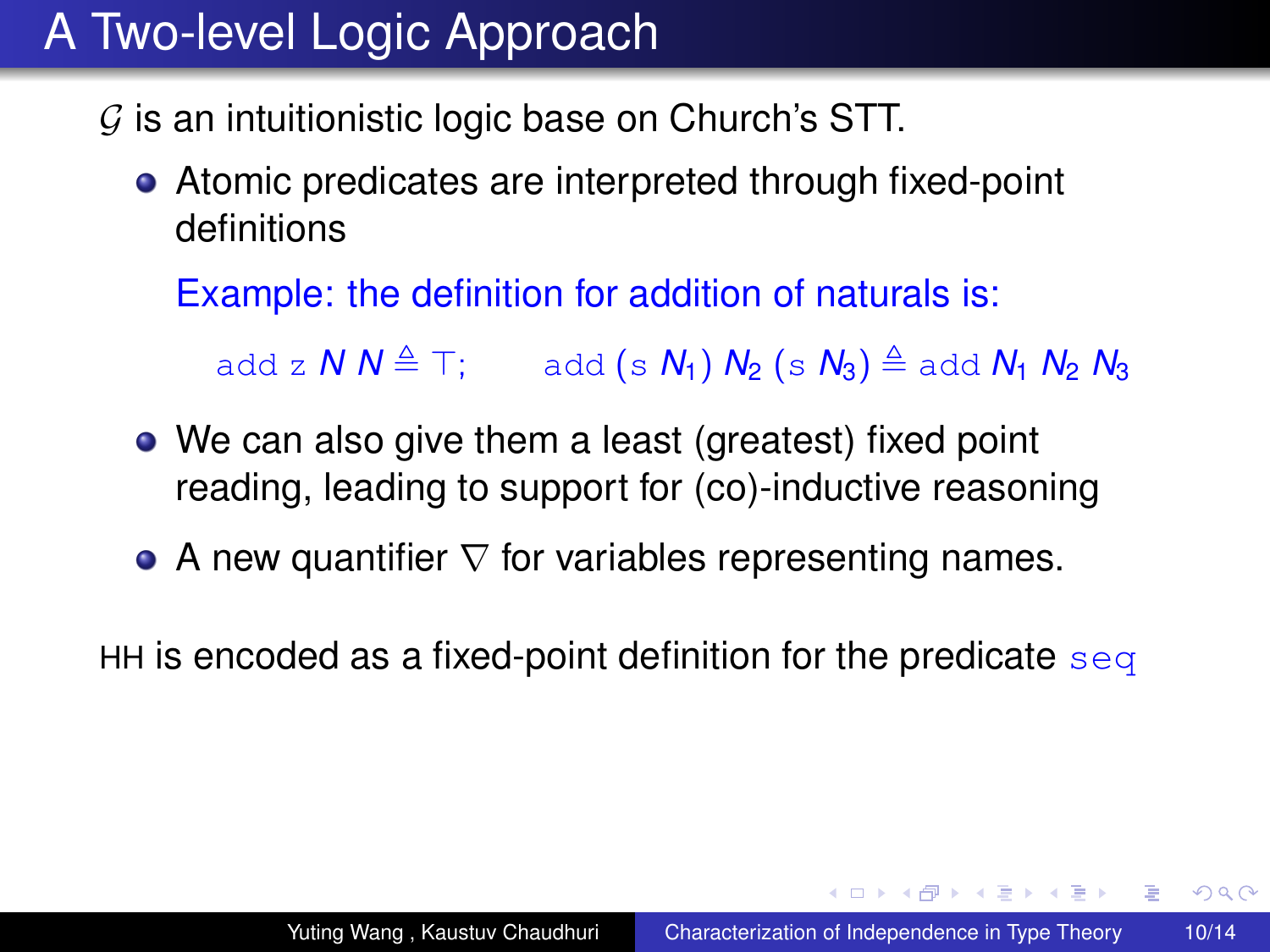- $G$  is an intuitionistic logic base on Church's STT.
	- Atomic predicates are interpreted through fixed-point definitions

Example: the definition for addition of naturals is:

add z  $N N \triangleq T$ ; add (s  $N_1$ )  $N_2$  (s  $N_3$ )  $\triangleq$  add  $N_1 N_2 N_3$ 

- We can also give them a least (greatest) fixed point reading, leading to support for (co)-inductive reasoning
- A new quantifier  $\nabla$  for variables representing names.

HH is encoded as a fixed-point definition for the predicate  $\frac{eq}{eq}$ 

**≮ロ ▶ ⊀ 御 ▶ ⊀ ヨ ▶ ⊀ ヨ ▶** 

È.  $2Q$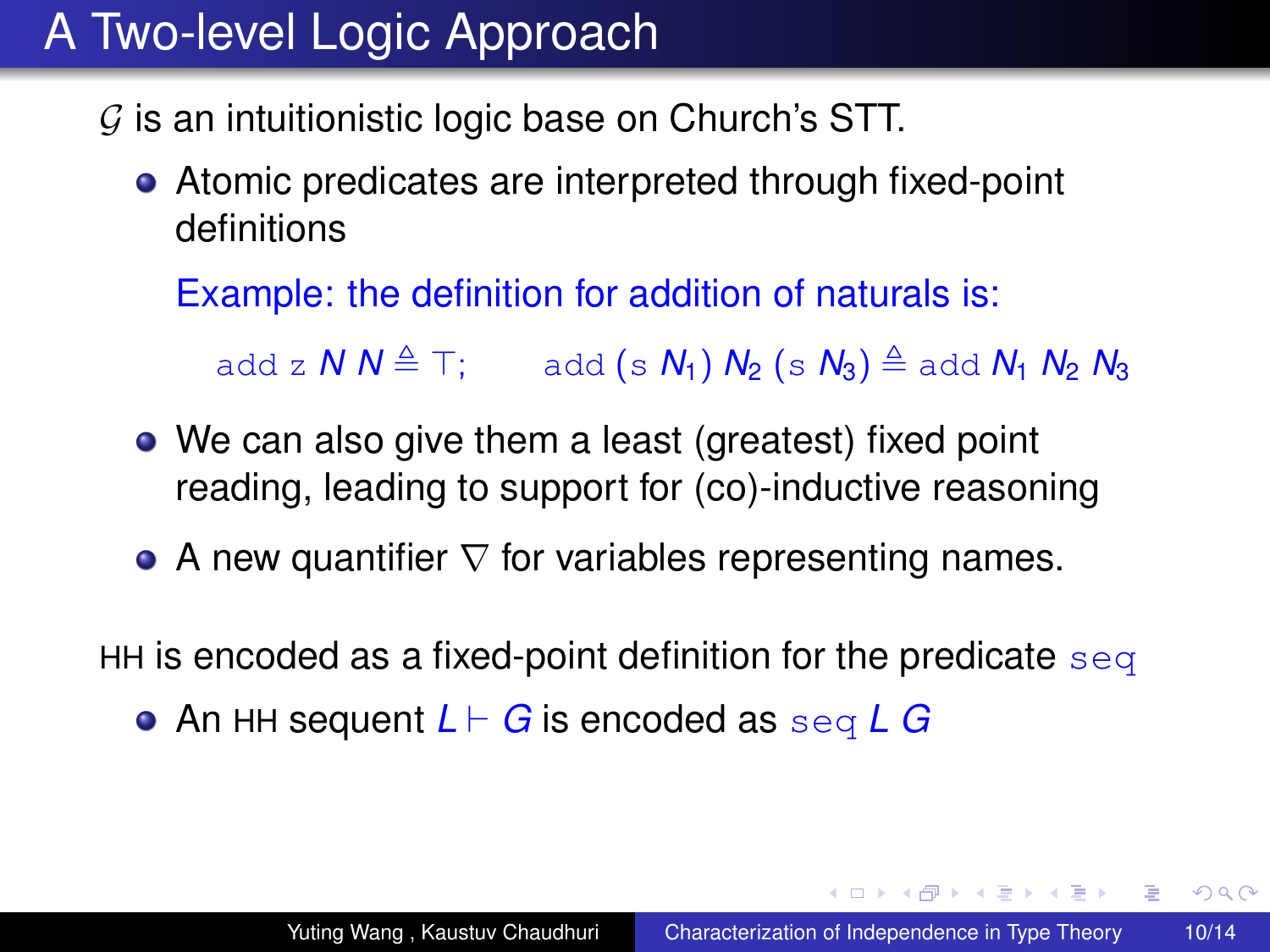- $G$  is an intuitionistic logic base on Church's STT.
	- Atomic predicates are interpreted through fixed-point definitions

Example: the definition for addition of naturals is:

add z  $N N \triangleq T$ ; add (s  $N_1$ )  $N_2$  (s  $N_3$ )  $\triangleq$  add  $N_1 N_2 N_3$ 

- We can also give them a least (greatest) fixed point reading, leading to support for (co)-inductive reasoning
- A new quantifier  $\nabla$  for variables representing names.

HH is encoded as a fixed-point definition for the predicate  $\frac{eq}{eq}$ 

An HH sequent *L* ` *G* is encoded as seq *L G*

**≮ロト ⊀伊 ▶ ⊀ ヨ ▶ ⊀ ヨ ▶** 

 $2990$ 

ミー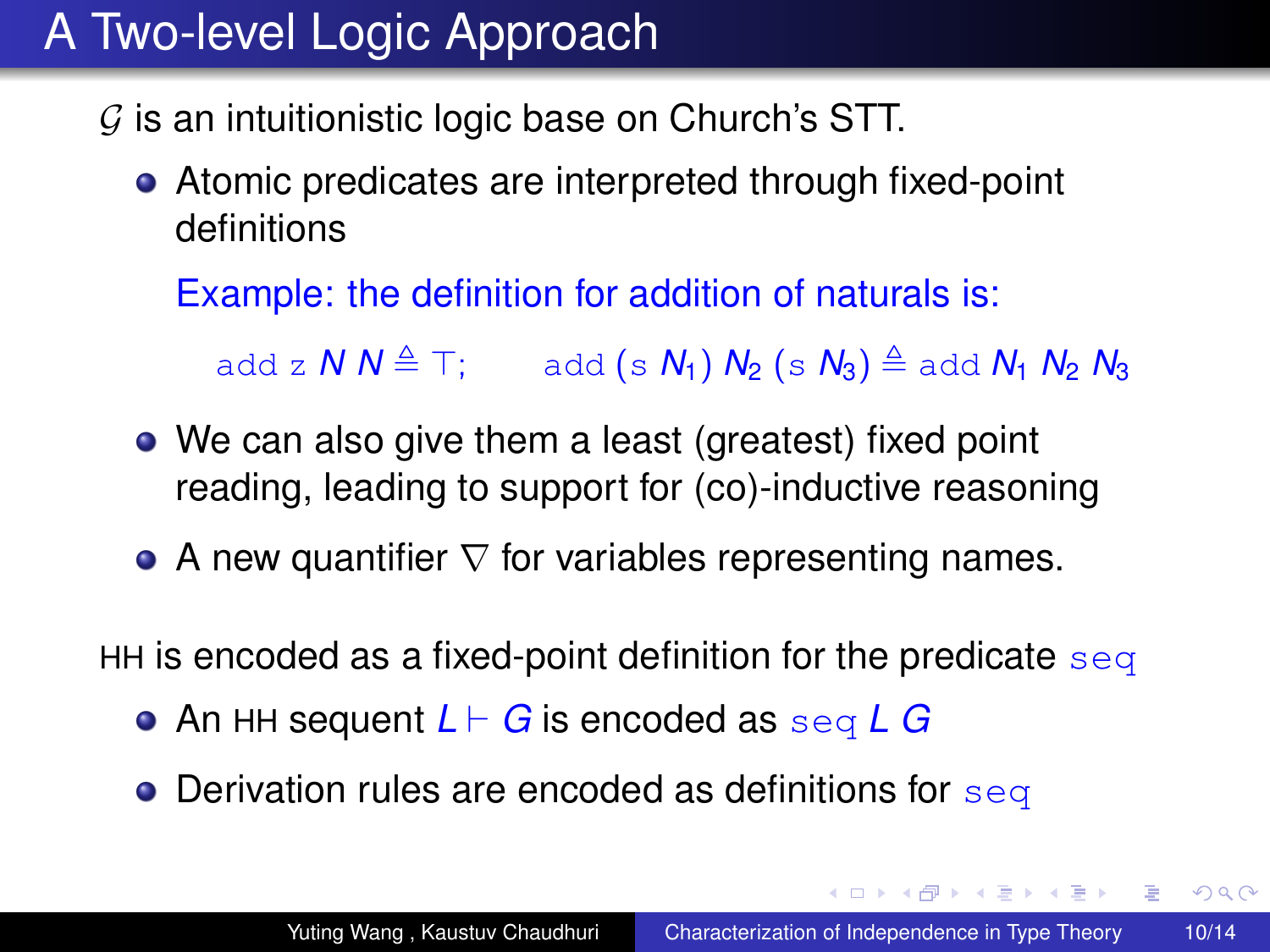- $G$  is an intuitionistic logic base on Church's STT.
	- Atomic predicates are interpreted through fixed-point definitions

Example: the definition for addition of naturals is:

add z  $N N \triangleq T$ ; add (s  $N_1$ )  $N_2$  (s  $N_3$ )  $\triangleq$  add  $N_1 N_2 N_3$ 

- We can also give them a least (greatest) fixed point reading, leading to support for (co)-inductive reasoning
- A new quantifier  $\nabla$  for variables representing names.

HH is encoded as a fixed-point definition for the predicate  $\frac{eq}{eq}$ 

- An HH sequent *L* ` *G* is encoded as seq *L G*
- $\bullet$  Derivation rules are encoded as definitions for seq

**≮ロ ▶ ⊀ 御 ▶ ⊀ ヨ ▶ ⊀ ヨ ▶** 

 $2990$ 

重し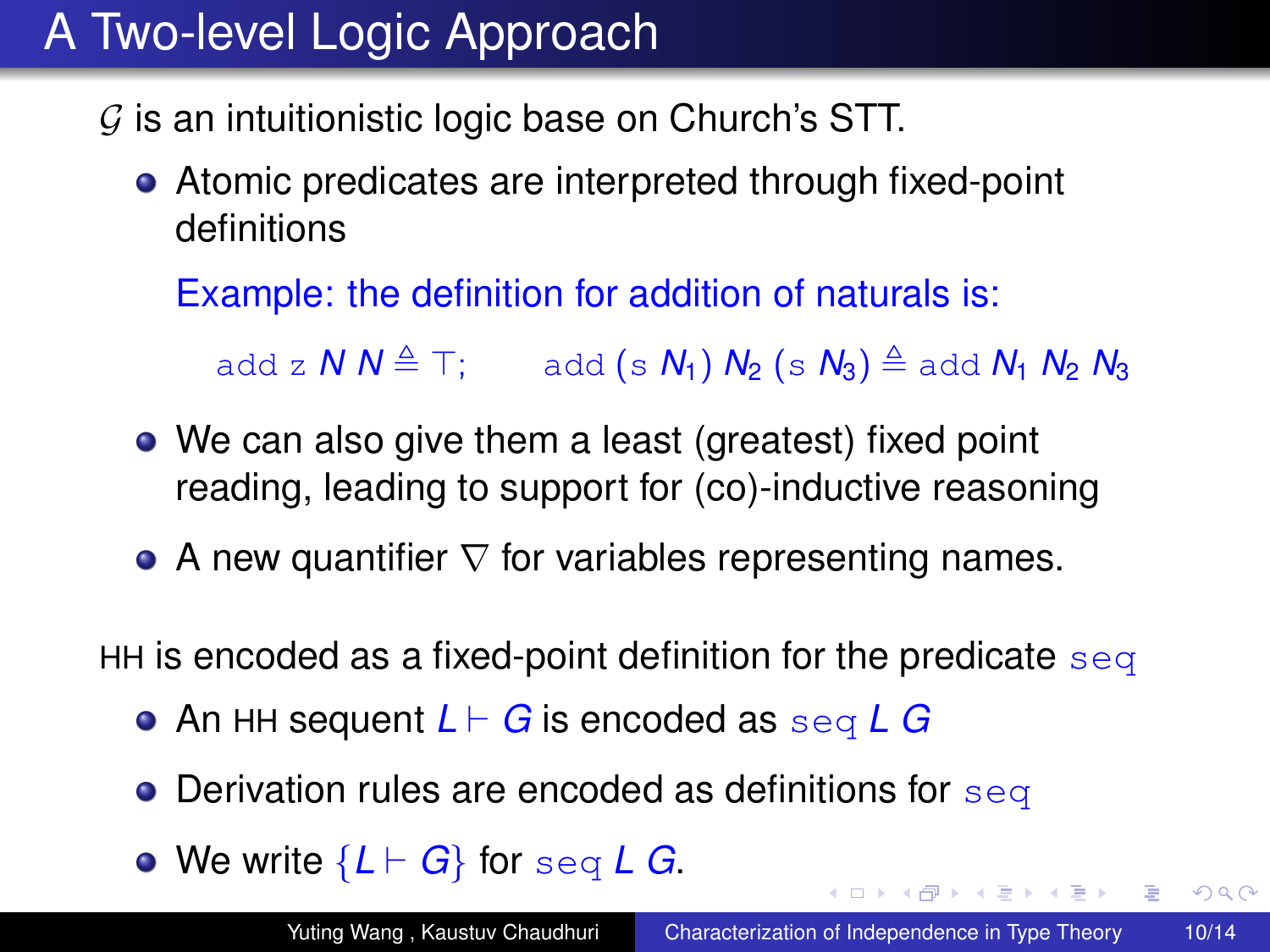- $G$  is an intuitionistic logic base on Church's STT.
	- Atomic predicates are interpreted through fixed-point definitions

Example: the definition for addition of naturals is:

add z  $N N \triangleq T$ ; add (s  $N_1$ )  $N_2$  (s  $N_3$ )  $\triangleq$  add  $N_1 N_2 N_3$ 

- We can also give them a least (greatest) fixed point reading, leading to support for (co)-inductive reasoning
- A new quantifier  $\nabla$  for variables representing names.

HH is encoded as a fixed-point definition for the predicate  $\frac{eq}{eq}$ 

- An HH sequent *L* ` *G* is encoded as seq *L G*
- $\bullet$  Derivation rules are encoded as definitions for seq
- We write  ${L \vdash G}$  for seq *L G*.

4 ロ ) (何 ) (日 ) (日 )

 $2990$ 重。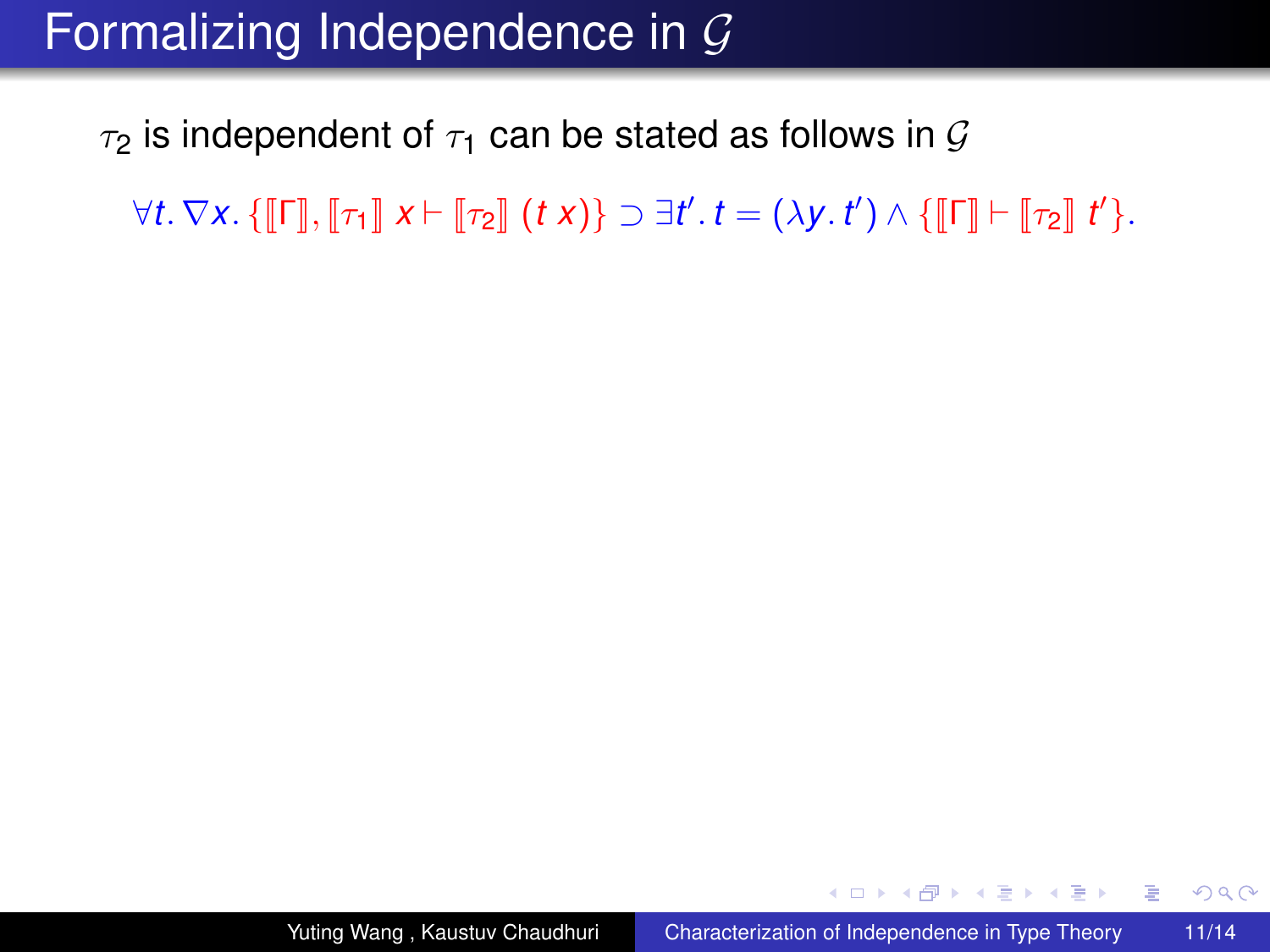#### Formalizing Independence in  $\mathcal G$

 $\tau_2$  is independent of  $\tau_1$  can be stated as follows in G

 $\forall t. \nabla x. \{\llbracket \mathsf{\Gamma} \rrbracket, \llbracket \tau_1 \rrbracket \ x \vdash \llbracket \tau_2 \rrbracket \ (t\ x) \} \supset \exists t'.\ t = (\lambda y.\ t') \wedge \{\llbracket \mathsf{\Gamma} \rrbracket \vdash \llbracket \tau_2 \rrbracket \ t' \}.$ 

K ロ ▶ K 御 ▶ K ヨ ▶ K ヨ ▶ ...

 $2990$ 

重。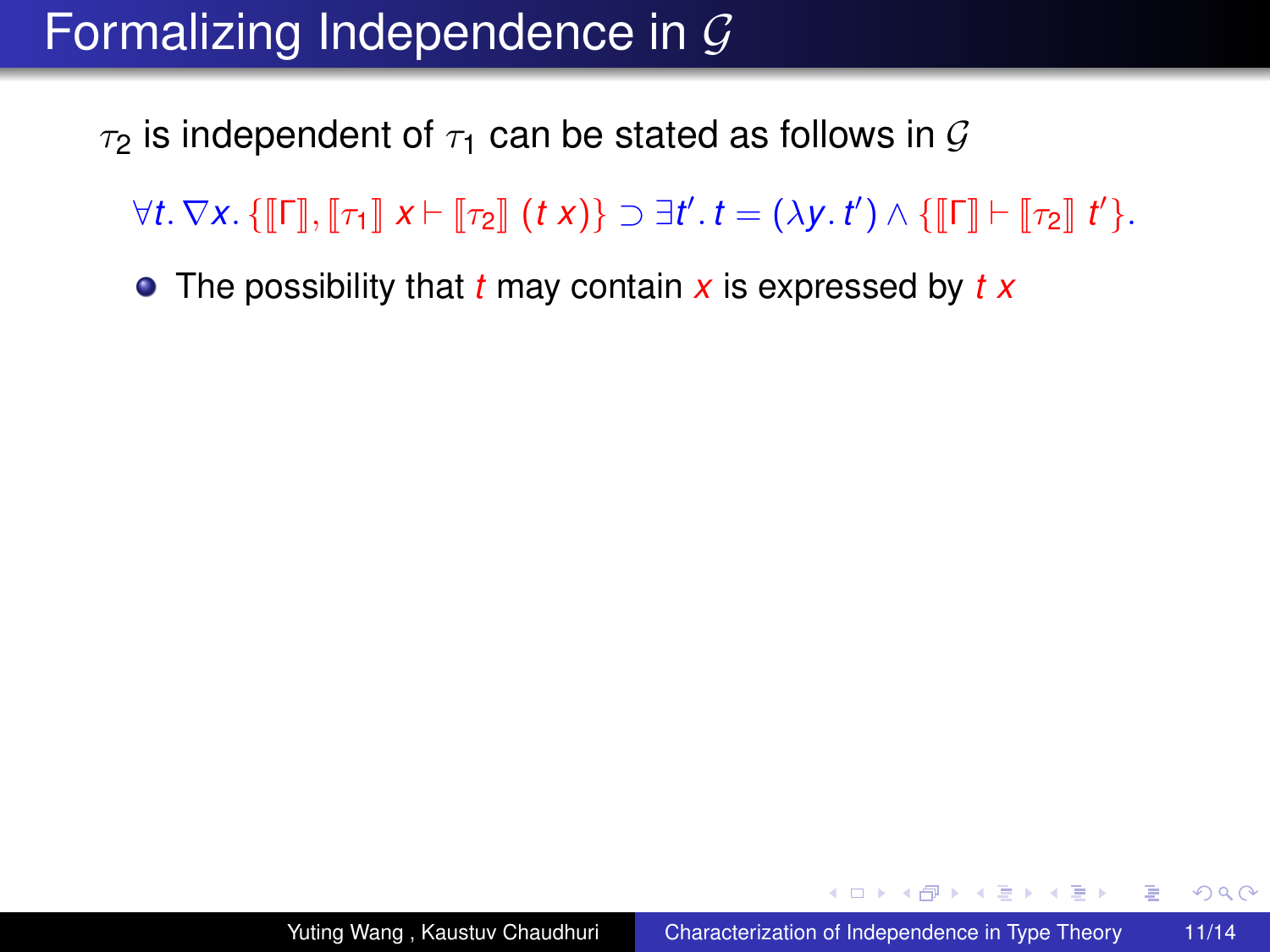$\tau_2$  is independent of  $\tau_1$  can be stated as follows in G

 $\forall t. \nabla x. \{\llbracket \mathsf{\Gamma} \rrbracket, \llbracket \tau_1 \rrbracket \ x \vdash \llbracket \tau_2 \rrbracket \ (t\ x) \} \supset \exists t'.\ t = (\lambda y.\ t') \wedge \{\llbracket \mathsf{\Gamma} \rrbracket \vdash \llbracket \tau_2 \rrbracket \ t' \}.$ 

The possibility that *t* may contain *x* is expressed by *t x*

**≮ロト ⊀伊 ▶ ⊀ ヨ ▶ ⊀ ヨ ▶** 

 $2990$ 

÷.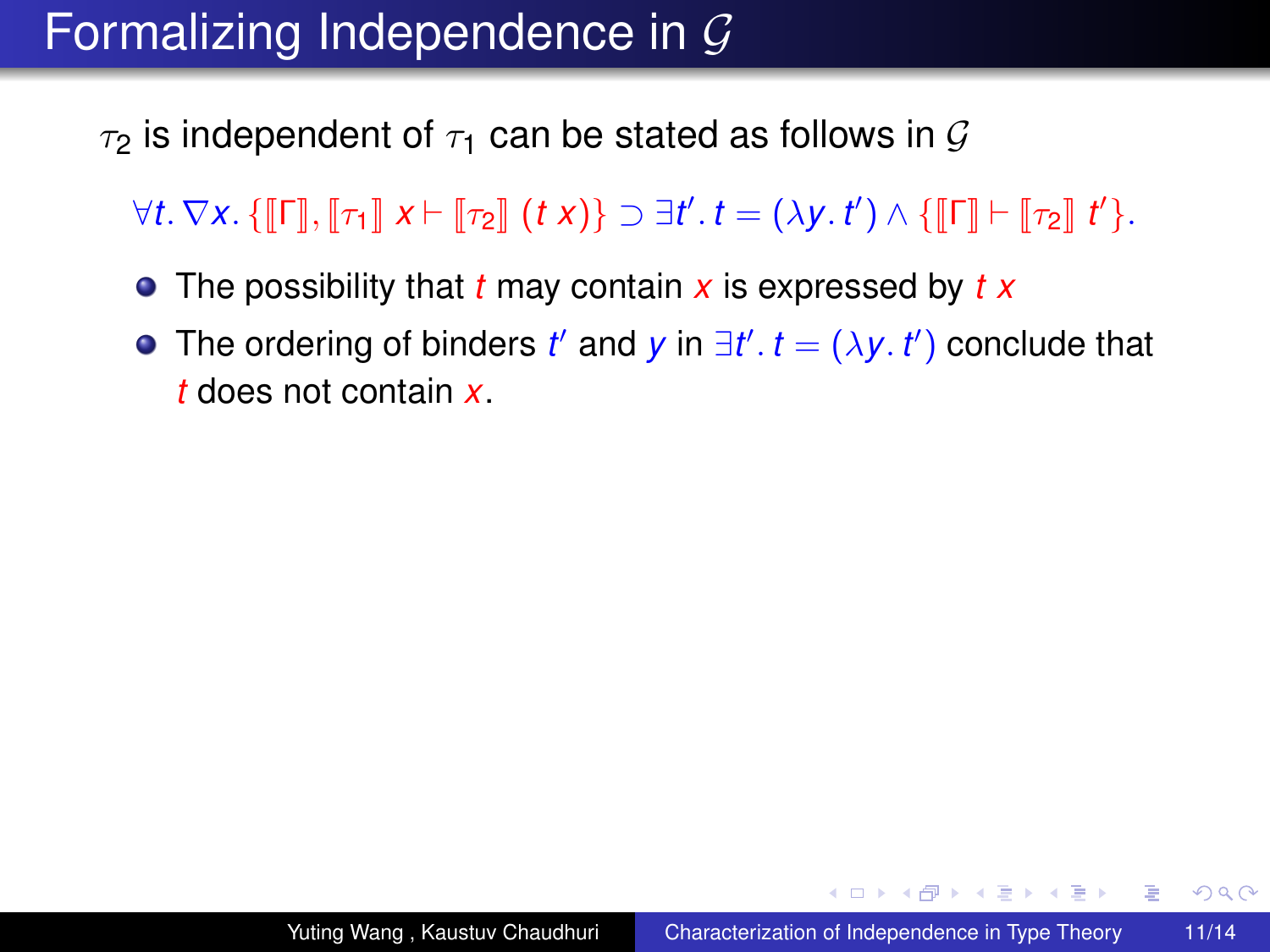$\tau_2$  is independent of  $\tau_1$  can be stated as follows in G

 $\forall t. \nabla x. \{\llbracket \mathsf{\Gamma} \rrbracket, \llbracket \tau_1 \rrbracket \ x \vdash \llbracket \tau_2 \rrbracket \ (t\ x) \} \supset \exists t'.\ t = (\lambda y.\ t') \wedge \{\llbracket \mathsf{\Gamma} \rrbracket \vdash \llbracket \tau_2 \rrbracket \ t' \}.$ 

- The possibility that *t* may contain *x* is expressed by *t x*
- The ordering of binders *t'* and *y* in  $\exists t'$ .  $t = (\lambda y. t')$  conclude that *t* does not contain *x*.

**≮ロト ⊀伊 ▶ ⊀ ヨ ▶ ⊀ ヨ ▶** 

重。  $2Q$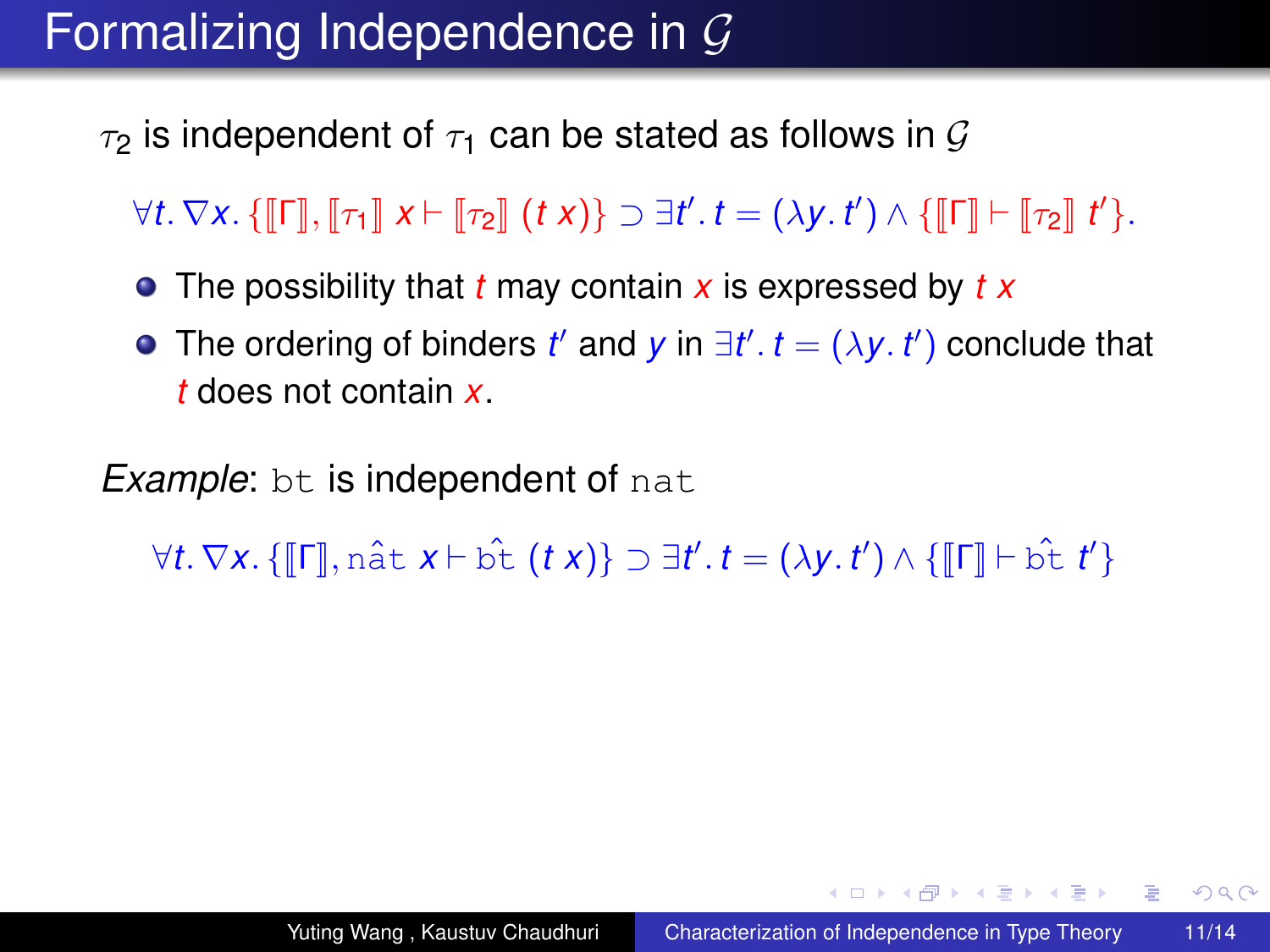$\tau_2$  is independent of  $\tau_1$  can be stated as follows in G

 $\forall t. \nabla x. \{\llbracket \mathsf{\Gamma} \rrbracket, \llbracket \tau_1 \rrbracket \ x \vdash \llbracket \tau_2 \rrbracket \ (t\ x) \} \supset \exists t'.\ t = (\lambda y.\ t') \wedge \{\llbracket \mathsf{\Gamma} \rrbracket \vdash \llbracket \tau_2 \rrbracket \ t' \}.$ 

- The possibility that *t* may contain *x* is expressed by *t x*
- The ordering of binders *t'* and *y* in  $\exists t'$ .  $t = (\lambda y. t')$  conclude that *t* does not contain *x*.

*Example*: bt is independent of nat

 $\forall t. \nabla x. \{ \llbracket \mathsf{\Gamma} \rrbracket, \hat{\mathsf{n}} \exists t \in \mathcal{X} \} \Rightarrow \exists t'. t = (\lambda y. t') \wedge \{ \llbracket \mathsf{\Gamma} \rrbracket \vdash \hat{\mathsf{b}} \hat{\mathsf{t}} \ t' \}$ 

**≮ロト ⊀伊 ▶ ⊀ ヨ ▶ ⊀ ヨ ▶** 

重。  $2Q$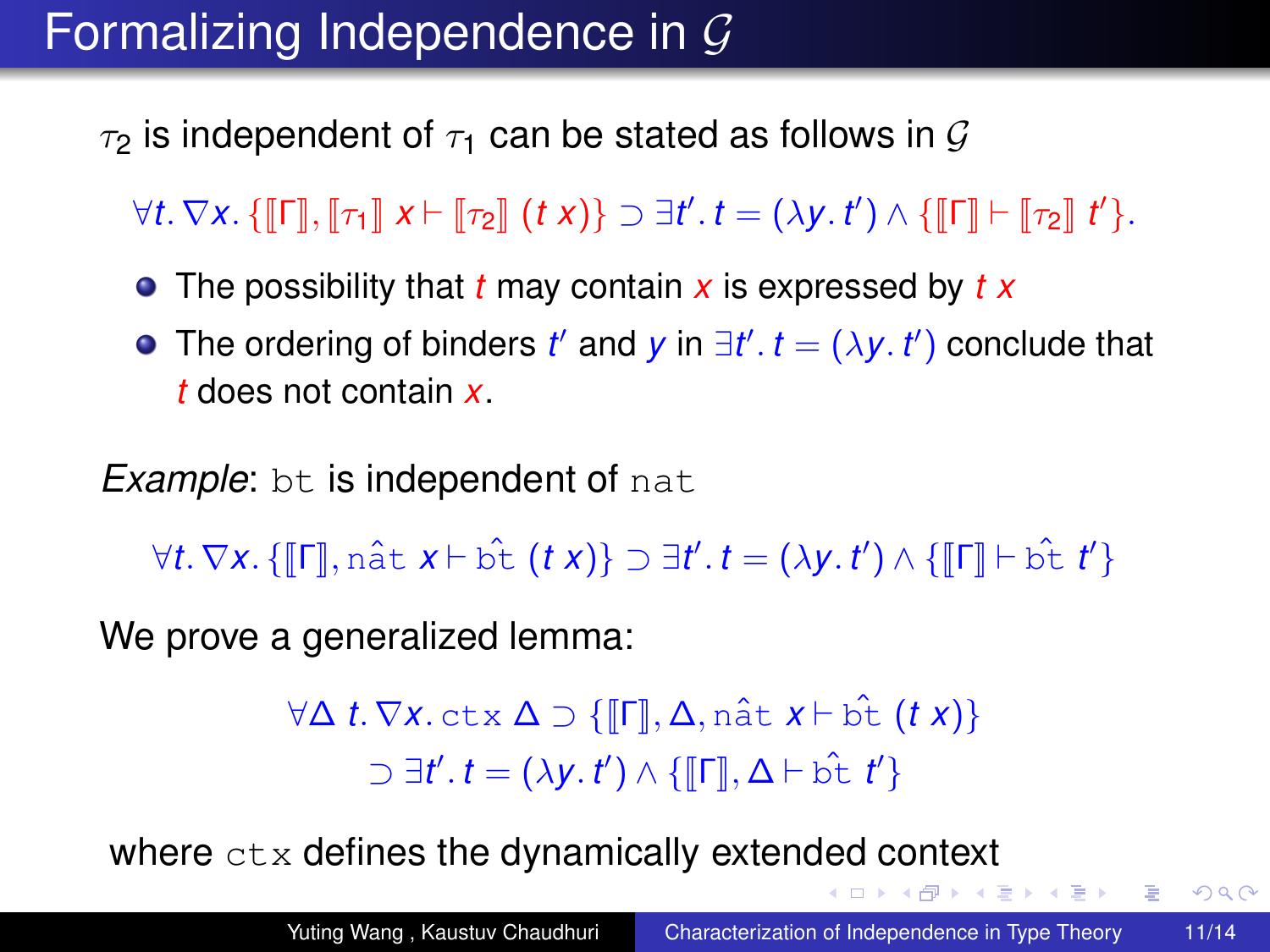$\tau_2$  is independent of  $\tau_1$  can be stated as follows in G

 $\forall t. \nabla x. \{\llbracket \mathsf{\Gamma} \rrbracket, \llbracket \tau_1 \rrbracket \ x \vdash \llbracket \tau_2 \rrbracket \ (t\ x) \} \supset \exists t'.\ t = (\lambda y.\ t') \wedge \{\llbracket \mathsf{\Gamma} \rrbracket \vdash \llbracket \tau_2 \rrbracket \ t' \}.$ 

- The possibility that *t* may contain *x* is expressed by *t x*
- The ordering of binders *t'* and *y* in  $\exists t'$ .  $t = (\lambda y. t')$  conclude that *t* does not contain *x*.

*Example*: bt is independent of nat

 $\forall t. \nabla x. \{ \llbracket \mathsf{\Gamma} \rrbracket, \hat{\mathsf{n}} \exists t \in \mathcal{X} \} \Rightarrow \exists t'. t = (\lambda y. t') \wedge \{ \llbracket \mathsf{\Gamma} \rrbracket \vdash \hat{\mathsf{b}} \hat{\mathsf{t}} \ t' \}$ 

We prove a generalized lemma:

 $\forall \Delta t.\nabla x.\n\text{ctx } \Delta \supset \{\llbracket \Gamma \rrbracket, \Delta, \n\text{naît } x \vdash \hat{\text{bt}} (tx)\}$  $\supset \exists t'. t = (\lambda y. t') \wedge \{ \llbracket \mathsf{\Gamma} \rrbracket, \Delta \vdash \hat{\mathsf{b}} \hat{\mathsf{t}} \, t' \}$ 

where  $ctx$  defines the dynamically extended context

メラメメラメー

 $\equiv$   $\Omega$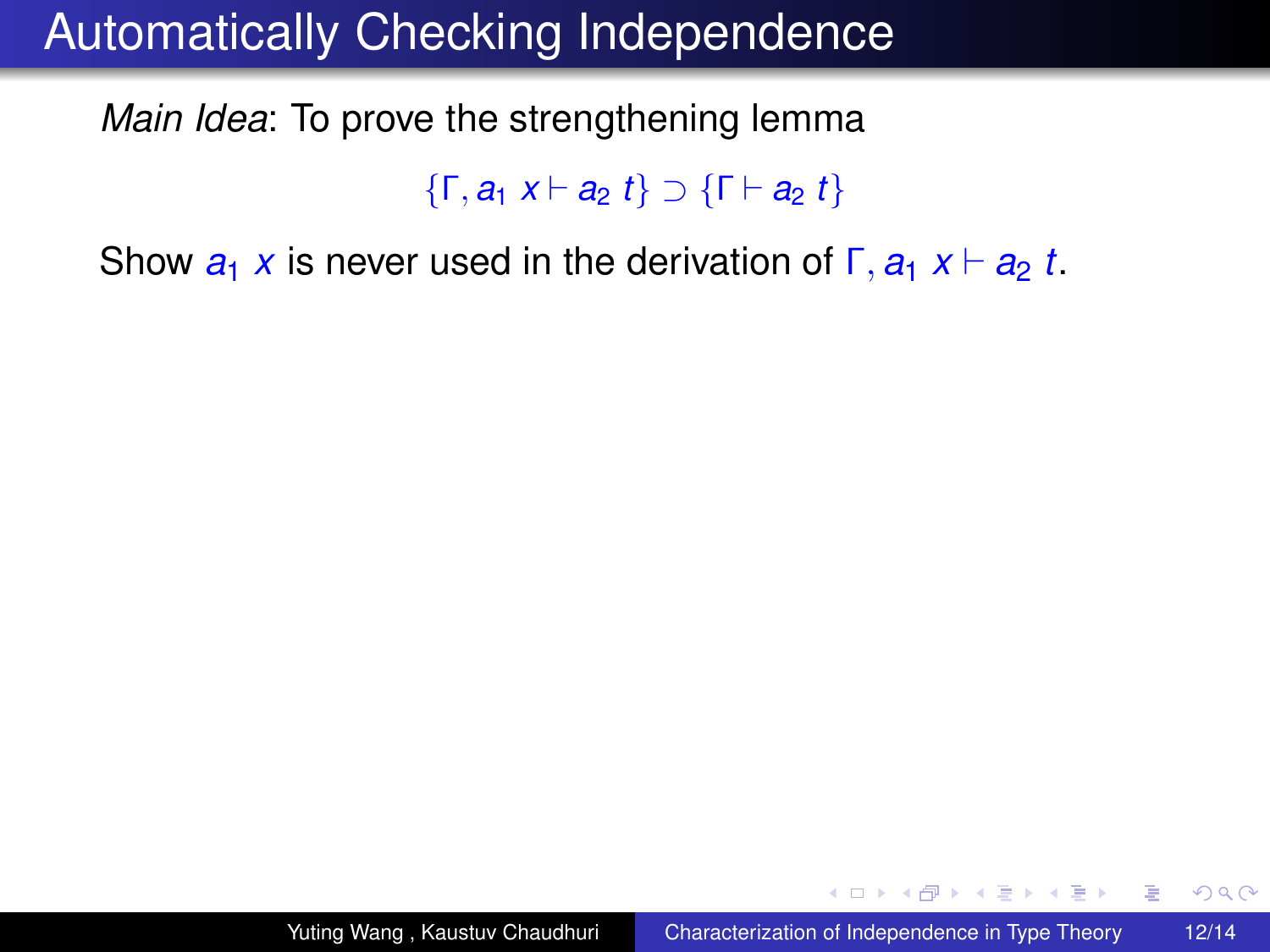*Main Idea*: To prove the strengthening lemma

{Γ, *a*<sup>1</sup> *x* ` *a*<sup>2</sup> *t*} ⊃ {Γ ` *a*<sup>2</sup> *t*}

Show  $a_1 x$  is never used in the derivation of  $\Gamma$ ,  $a_1 x \vdash a_2 t$ .

イロト イ押 トイヨ トイヨ トー

ă.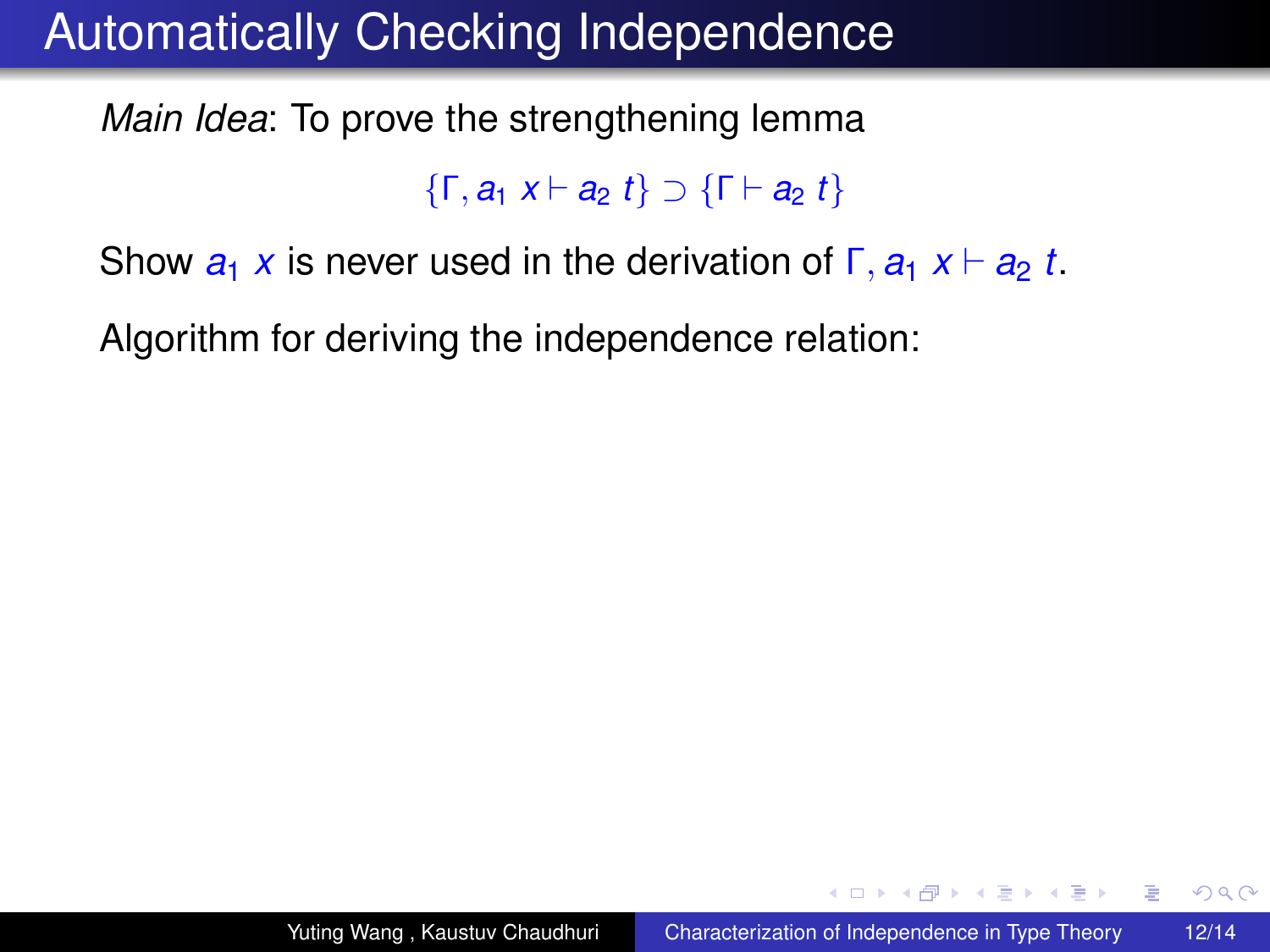*Main Idea*: To prove the strengthening lemma

{Γ, *a*<sup>1</sup> *x* ` *a*<sup>2</sup> *t*} ⊃ {Γ ` *a*<sup>2</sup> *t*}

Show  $a_1 x$  is never used in the derivation of  $\Gamma$ ,  $a_1 x \vdash a_2 t$ .

Algorithm for deriving the independence relation:

イロト イ押 トイヨ トイヨト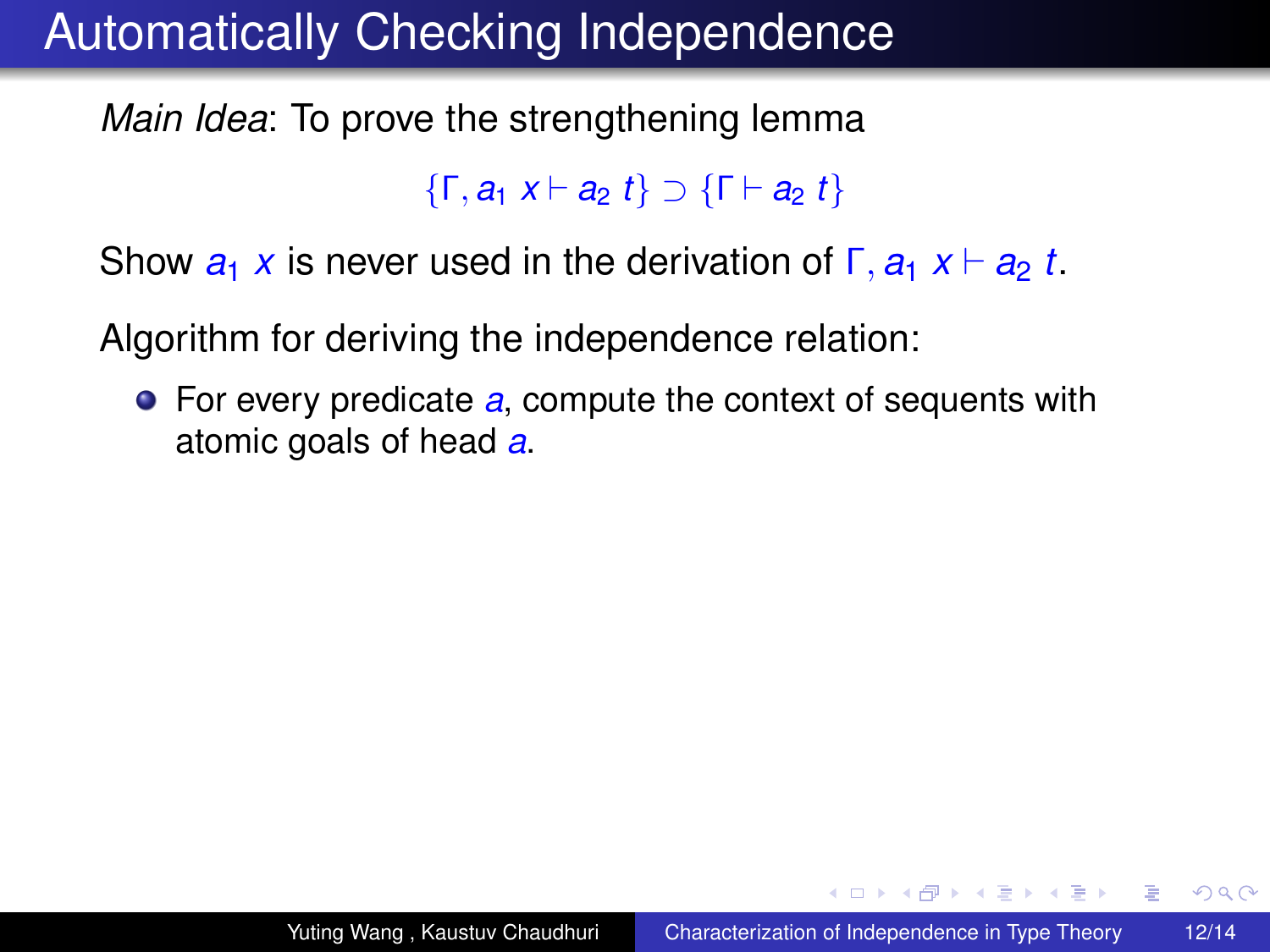*Main Idea*: To prove the strengthening lemma

{Γ, *a*<sup>1</sup> *x* ` *a*<sup>2</sup> *t*} ⊃ {Γ ` *a*<sup>2</sup> *t*}

Show  $a_1 x$  is never used in the derivation of  $\Gamma$ ,  $a_1 x \vdash a_2 t$ .

Algorithm for deriving the independence relation:

For every predicate *a*, compute the context of sequents with atomic goals of head *a*.

イロト イ押 トイヨ トイヨト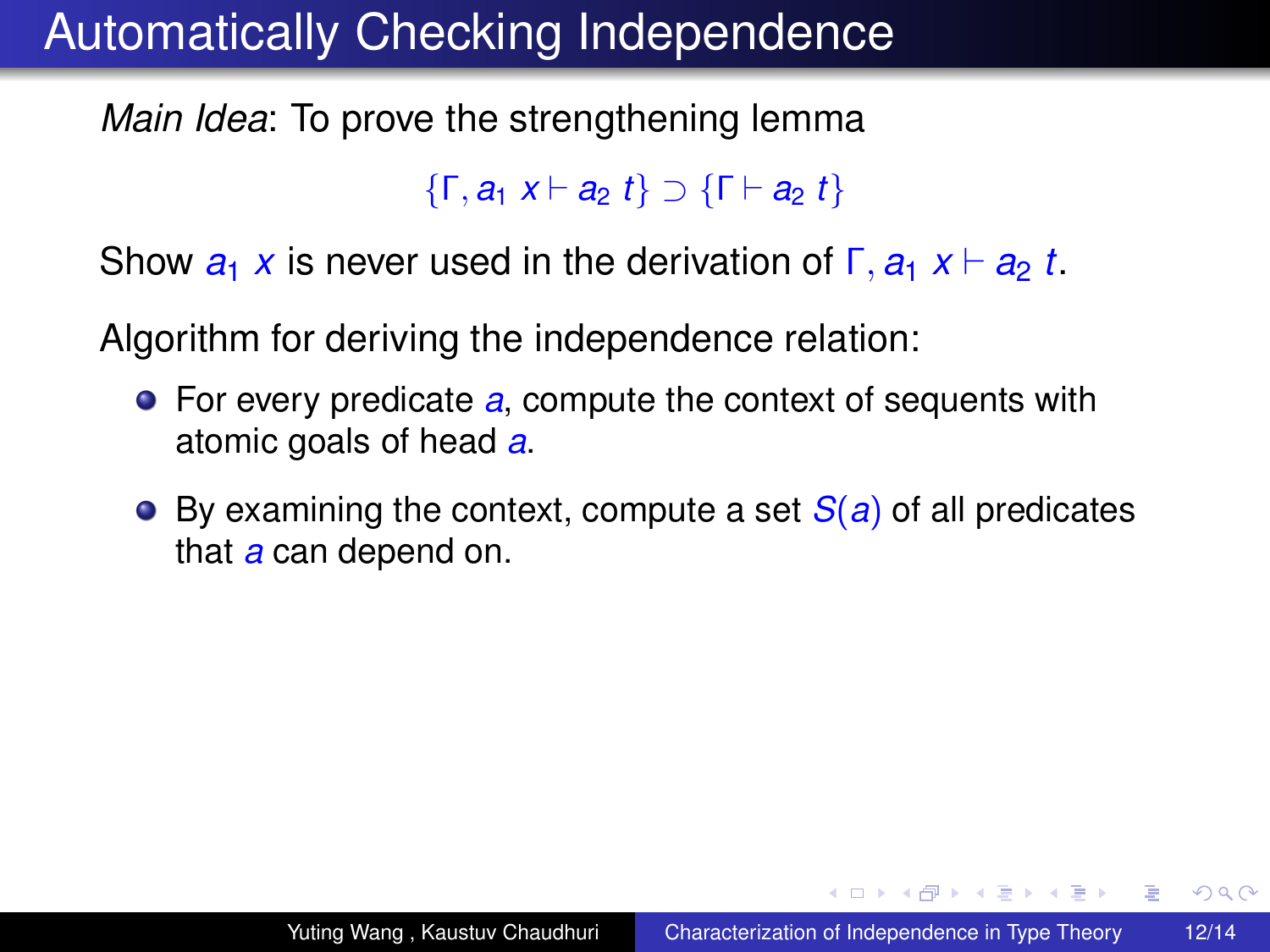*Main Idea*: To prove the strengthening lemma

{Γ, *a*<sup>1</sup> *x* ` *a*<sup>2</sup> *t*} ⊃ {Γ ` *a*<sup>2</sup> *t*}

Show  $a_1 x$  is never used in the derivation of  $\Gamma$ ,  $a_1 x \vdash a_2 t$ .

Algorithm for deriving the independence relation:

- For every predicate *a*, compute the context of sequents with atomic goals of head *a*.
- By examining the context, compute a set *S*(*a*) of all predicates that *a* can depend on.

**≮ロト ⊀伊 ▶ ⊀ ヨ ▶ ⊀ ヨ ▶** 

÷.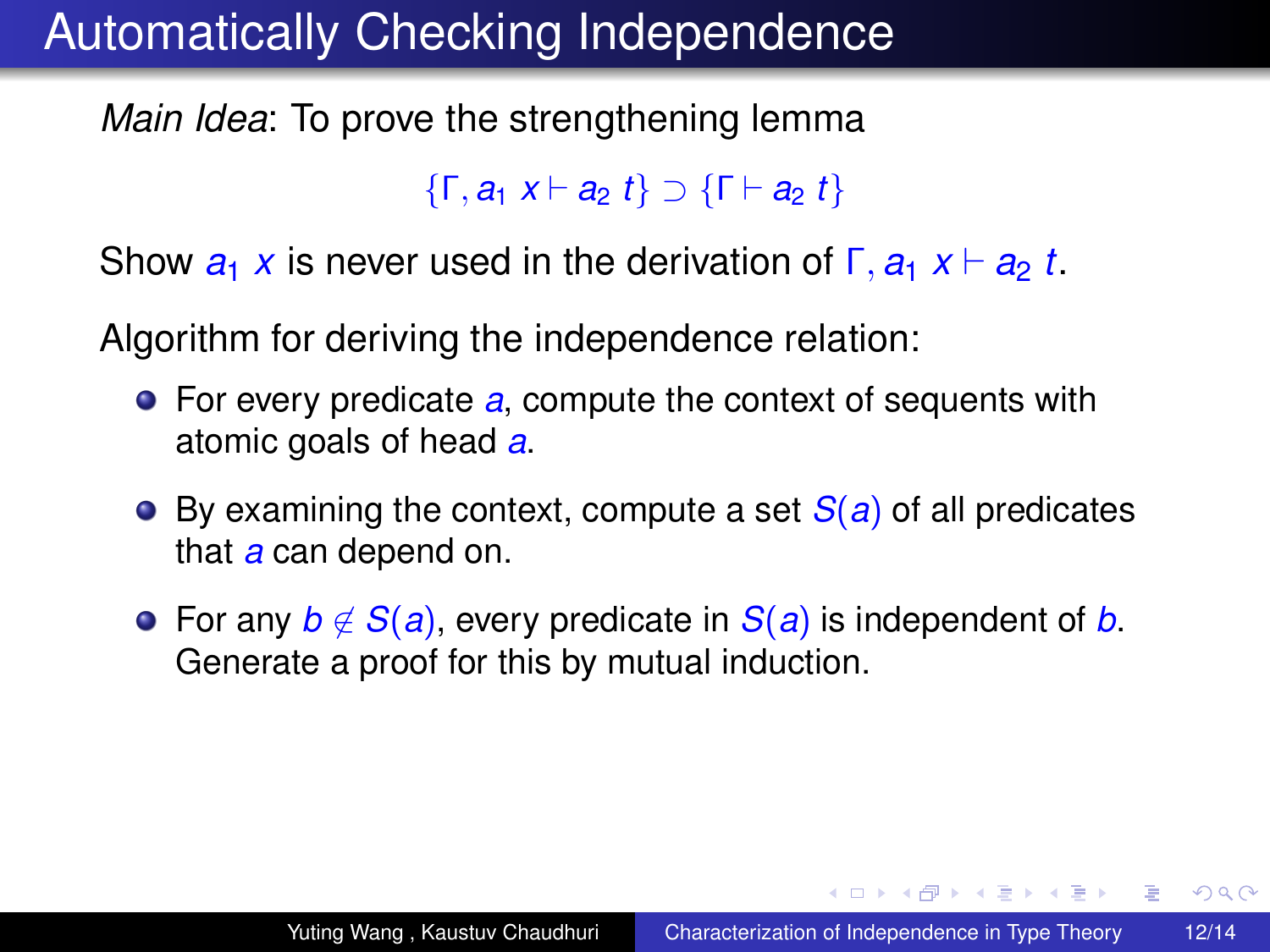*Main Idea*: To prove the strengthening lemma

{Γ, *a*<sup>1</sup> *x* ` *a*<sup>2</sup> *t*} ⊃ {Γ ` *a*<sup>2</sup> *t*}

Show  $a_1 x$  is never used in the derivation of  $\Gamma$ ,  $a_1 x \vdash a_2 t$ .

Algorithm for deriving the independence relation:

- For every predicate *a*, compute the context of sequents with atomic goals of head *a*.
- By examining the context, compute a set *S*(*a*) of all predicates that *a* can depend on.
- **•** For any *b* ∉ *S*(*a*), every predicate in *S*(*a*) is independent of *b*. Generate a proof for this by mutual induction.

**≮ロト ⊀伊 ▶ ⊀ ヨ ▶ ⊀ ヨ ▶** 

 $\equiv$   $\Omega$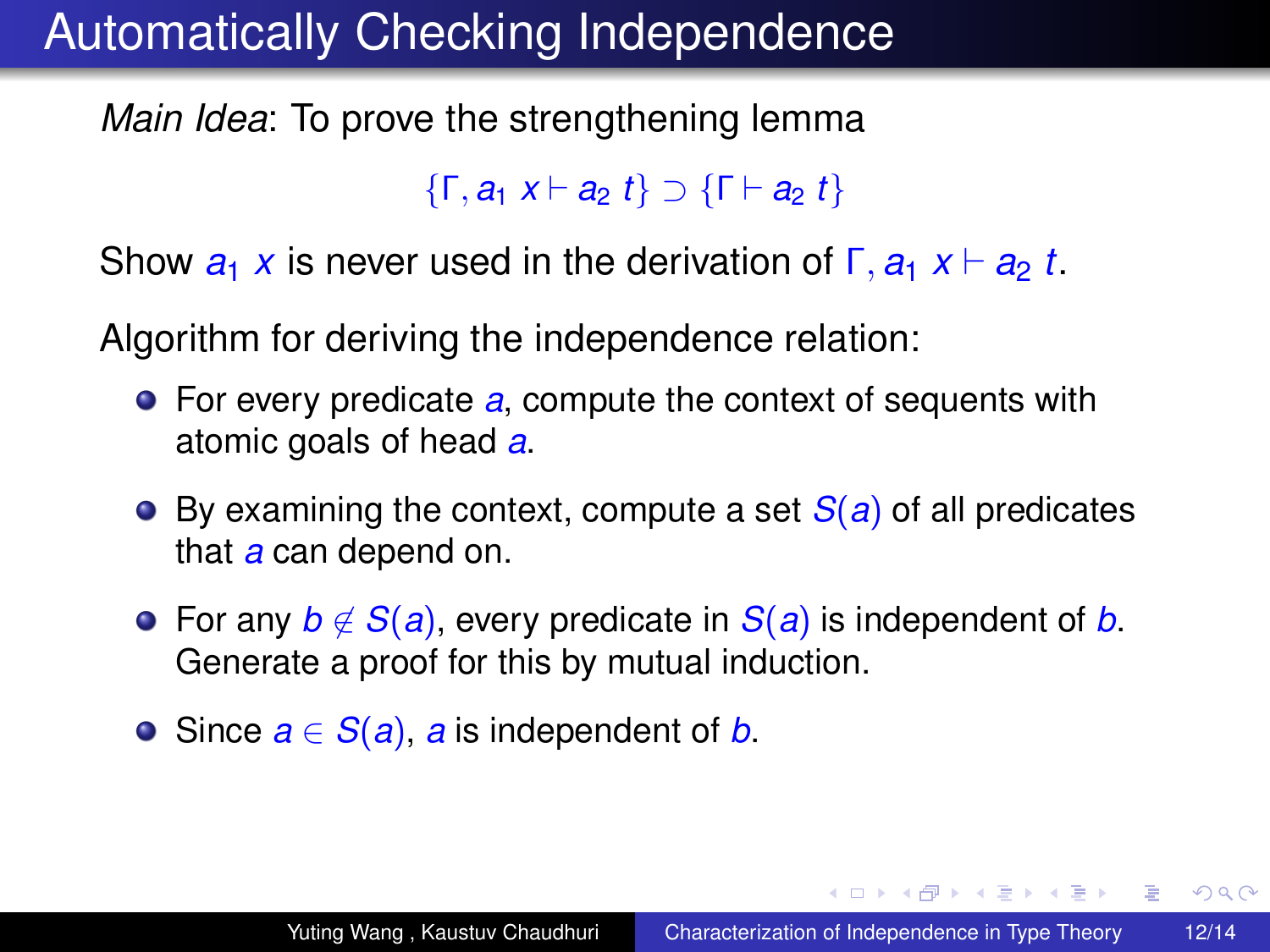*Main Idea*: To prove the strengthening lemma

{Γ, *a*<sup>1</sup> *x* ` *a*<sup>2</sup> *t*} ⊃ {Γ ` *a*<sup>2</sup> *t*}

Show  $a_1 x$  is never used in the derivation of  $\Gamma$ ,  $a_1 x \vdash a_2 t$ .

Algorithm for deriving the independence relation:

- For every predicate *a*, compute the context of sequents with atomic goals of head *a*.
- By examining the context, compute a set *S*(*a*) of all predicates that *a* can depend on.
- **•** For any *b* ∉ *S*(*a*), every predicate in *S*(*a*) is independent of *b*. Generate a proof for this by mutual induction.
- **■** Since  $a \in S(a)$ , *a* is independent of *b*.

KED KAPD KED KED E YORG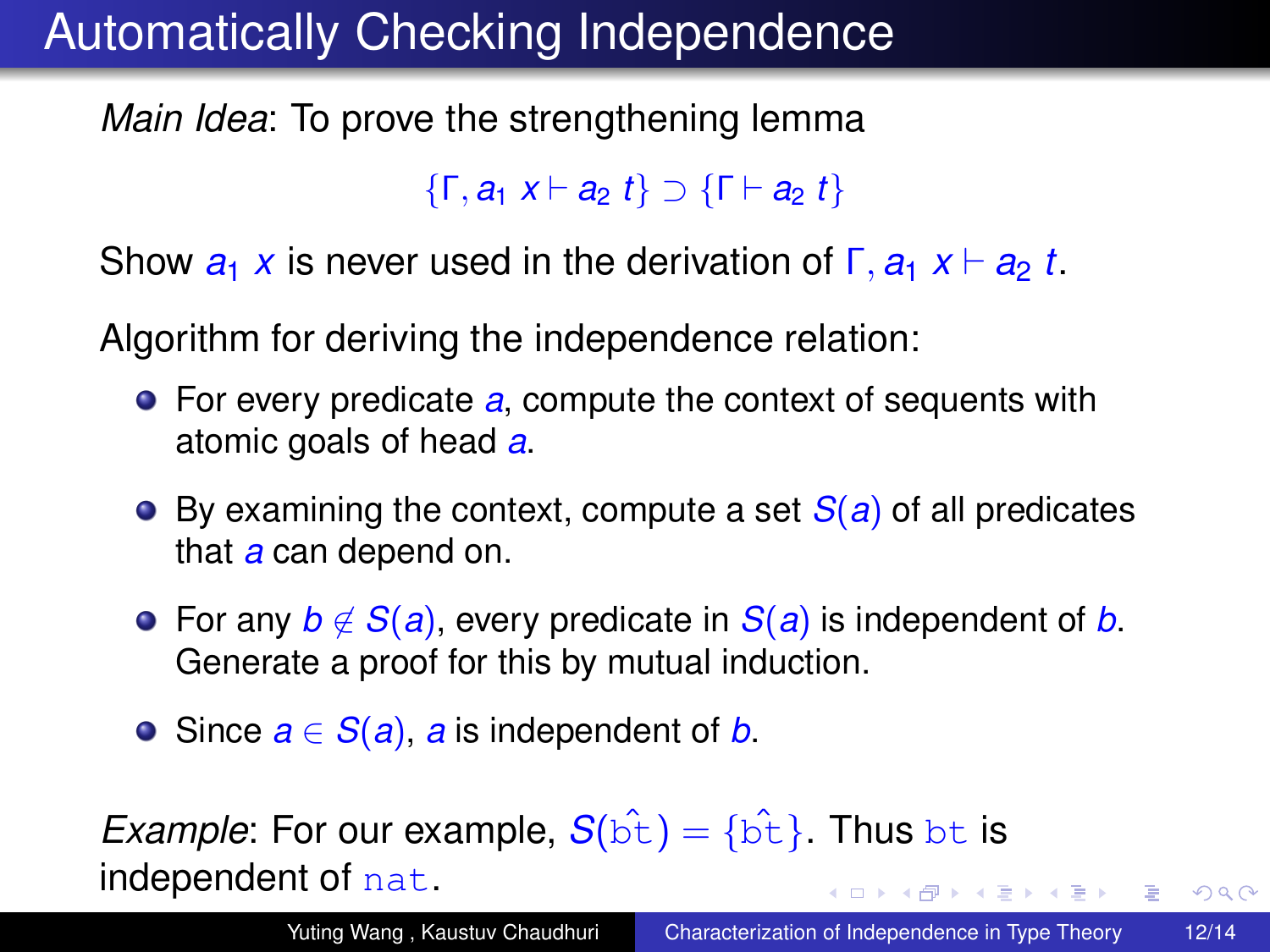*Main Idea*: To prove the strengthening lemma

{Γ, *a*<sup>1</sup> *x* ` *a*<sup>2</sup> *t*} ⊃ {Γ ` *a*<sup>2</sup> *t*}

Show  $a_1 x$  is never used in the derivation of  $\Gamma$ ,  $a_1 x \vdash a_2 t$ .

Algorithm for deriving the independence relation:

- For every predicate *a*, compute the context of sequents with atomic goals of head *a*.
- By examining the context, compute a set *S*(*a*) of all predicates that *a* can depend on.
- **•** For any  $b \notin S(a)$ , every predicate in  $S(a)$  is independent of *b*. Generate a proof for this by mutual induction.
- <span id="page-60-0"></span>**■** Since  $a \in S(a)$ , *a* is independent of *b*.

*Example*: For our example,  $S(\hat{bE}) = {\hat{bE}}$ . Thus bt is independent of nat. KOD KAP KED KED E YA G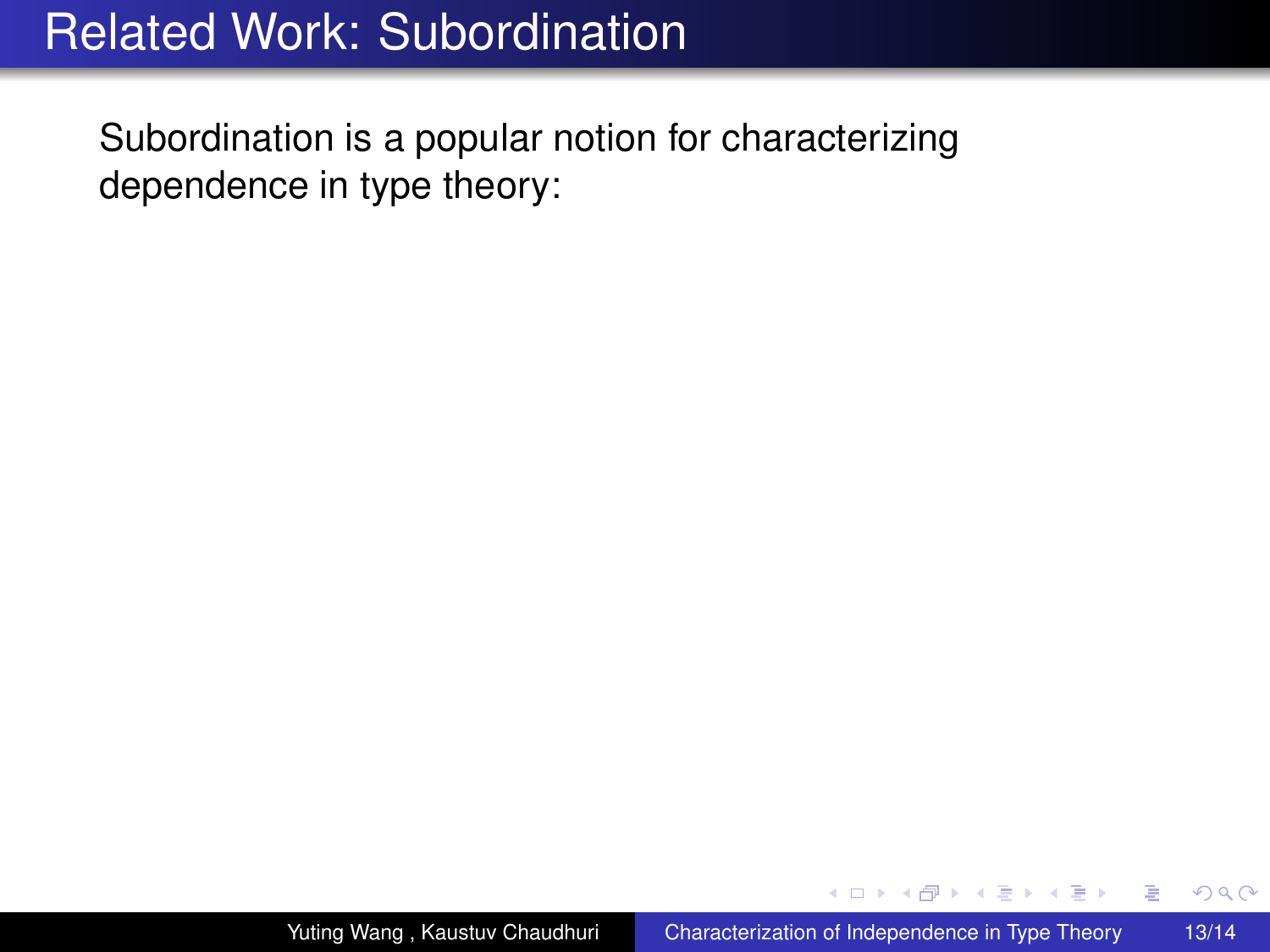Subordination is a popular notion for characterizing dependence in type theory:

 $\leftarrow$   $\Box$ 

4 0 8

ミト メモト

 $2990$ 

<span id="page-61-0"></span>ă.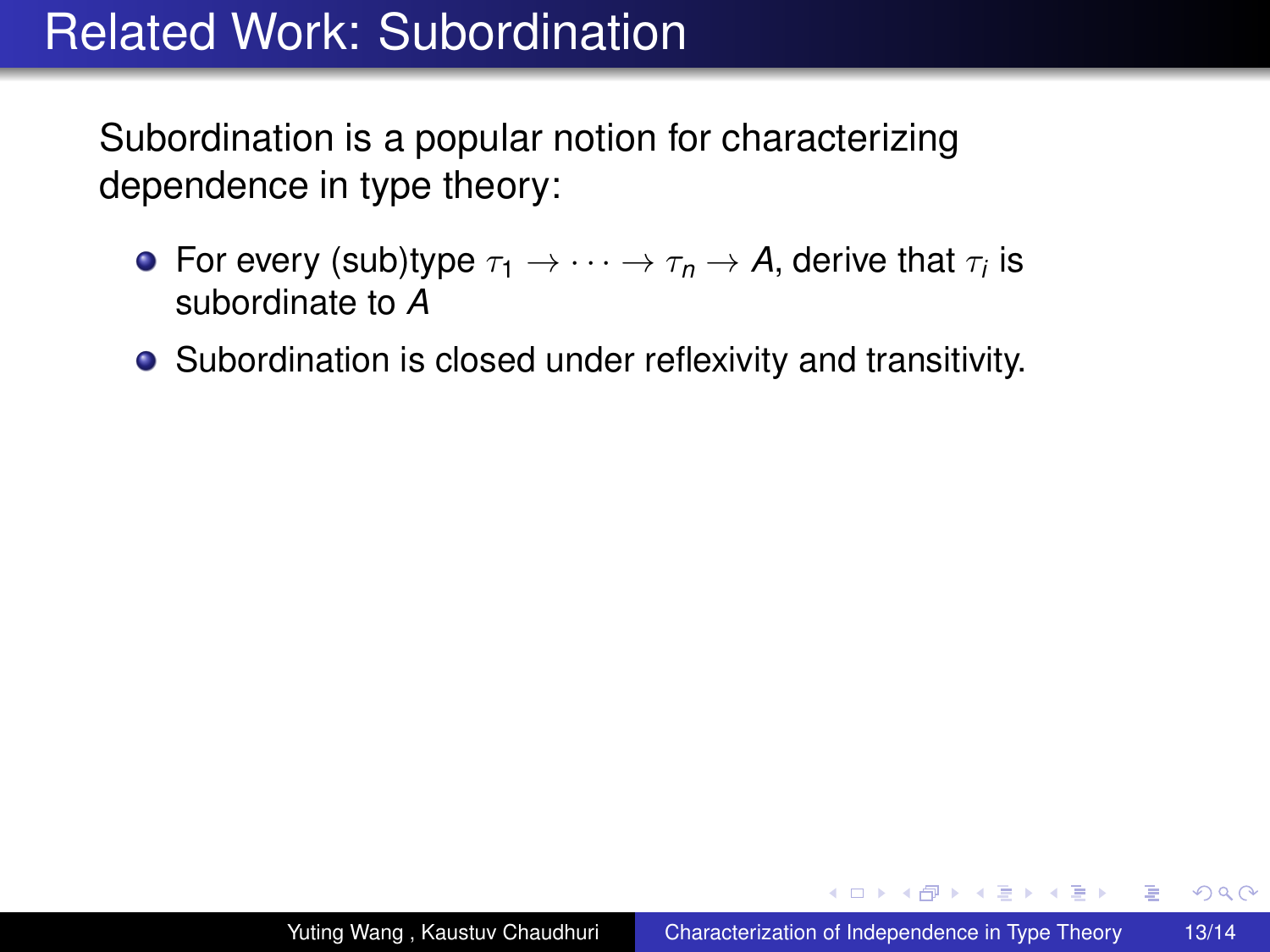Subordination is a popular notion for characterizing dependence in type theory:

- For every (sub)type  $\tau_1 \to \cdots \to \tau_n \to$  A, derive that  $\tau_i$  is subordinate to *A*
- Subordination is closed under reflexivity and transitivity.

イロト イ押 トイヨ トイヨト

 $2Q$ 

э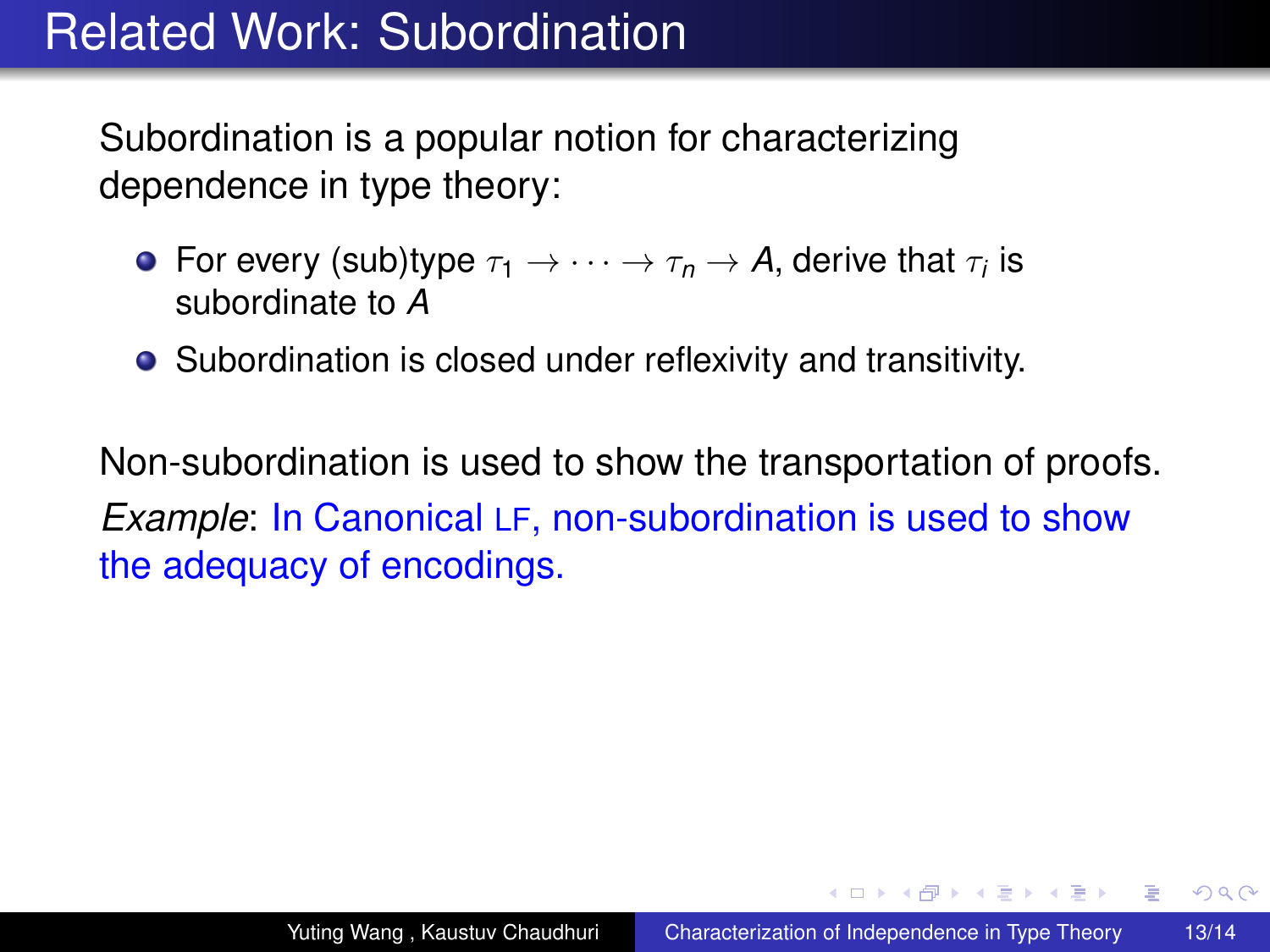Subordination is a popular notion for characterizing dependence in type theory:

- For every (sub)type  $\tau_1 \to \cdots \to \tau_n \to$  A, derive that  $\tau_i$  is subordinate to *A*
- Subordination is closed under reflexivity and transitivity.

Non-subordination is used to show the transportation of proofs. *Example*: In Canonical LF, non-subordination is used to show the adequacy of encodings.

イロト イ押 トイヨ トイヨト

 $2990$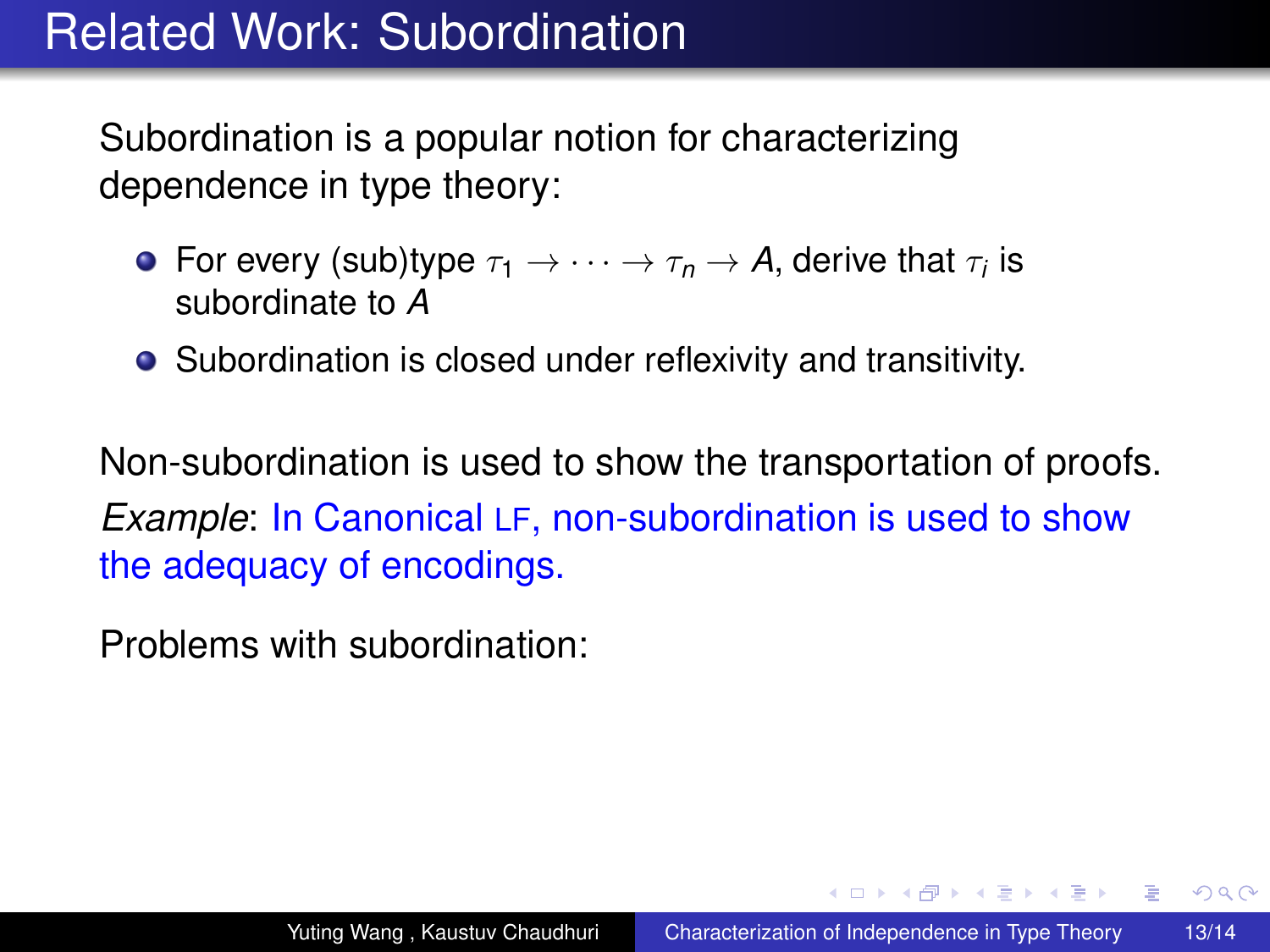Subordination is a popular notion for characterizing dependence in type theory:

- For every (sub)type  $\tau_1 \to \cdots \to \tau_n \to$  A, derive that  $\tau_i$  is subordinate to *A*
- Subordination is closed under reflexivity and transitivity.

Non-subordination is used to show the transportation of proofs. *Example*: In Canonical LF, non-subordination is used to show the adequacy of encodings.

Problems with subordination:

イロト イ押 トイヨ トイヨト

 $2990$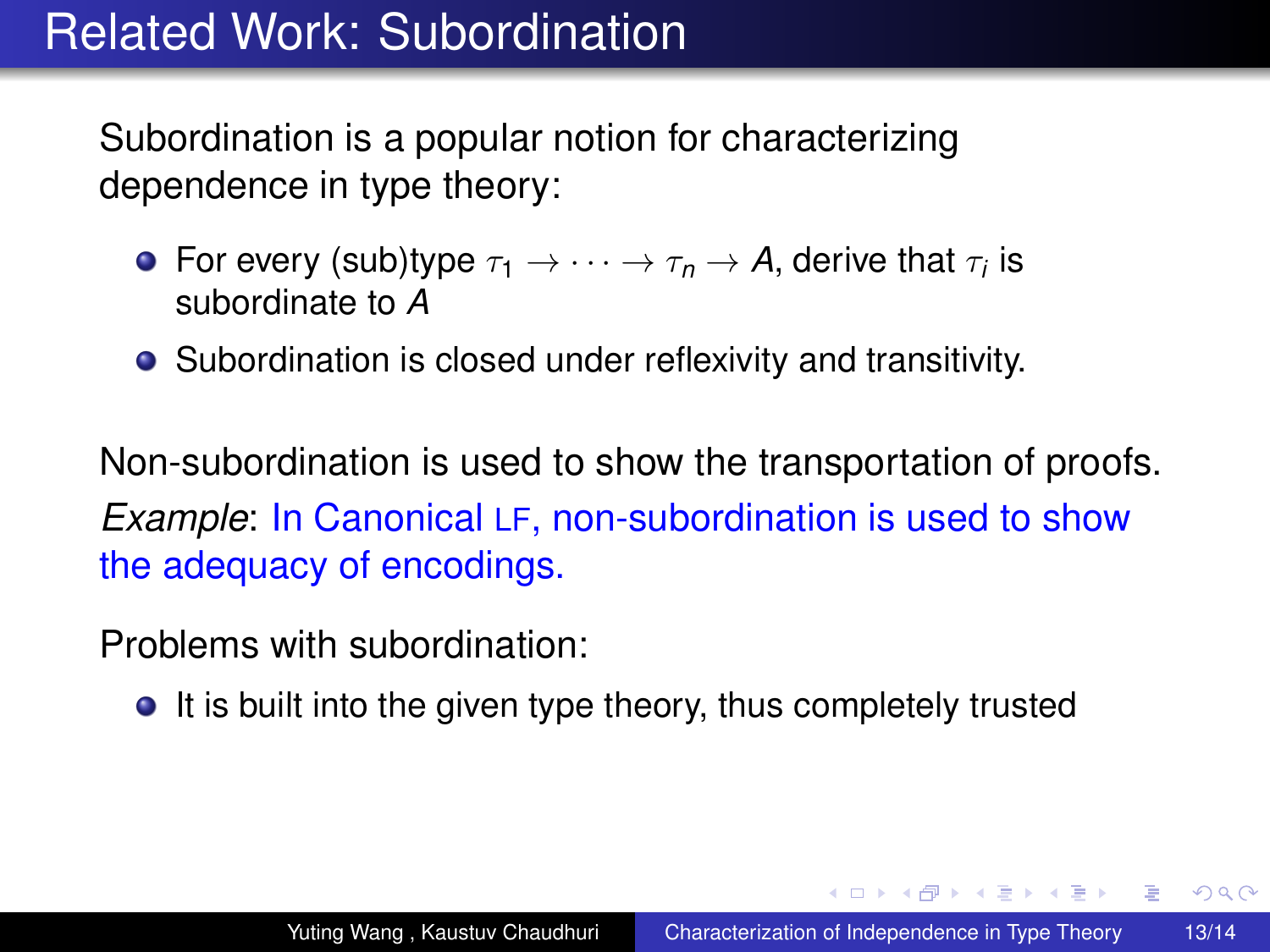Subordination is a popular notion for characterizing dependence in type theory:

- For every (sub)type  $\tau_1 \to \cdots \to \tau_n \to$  A, derive that  $\tau_i$  is subordinate to *A*
- Subordination is closed under reflexivity and transitivity.

Non-subordination is used to show the transportation of proofs. *Example*: In Canonical LF, non-subordination is used to show the adequacy of encodings.

Problems with subordination:

**It is built into the given type theory, thus completely trusted** 

イロト イ押 トイヨ トイヨ トー

<span id="page-65-0"></span>G.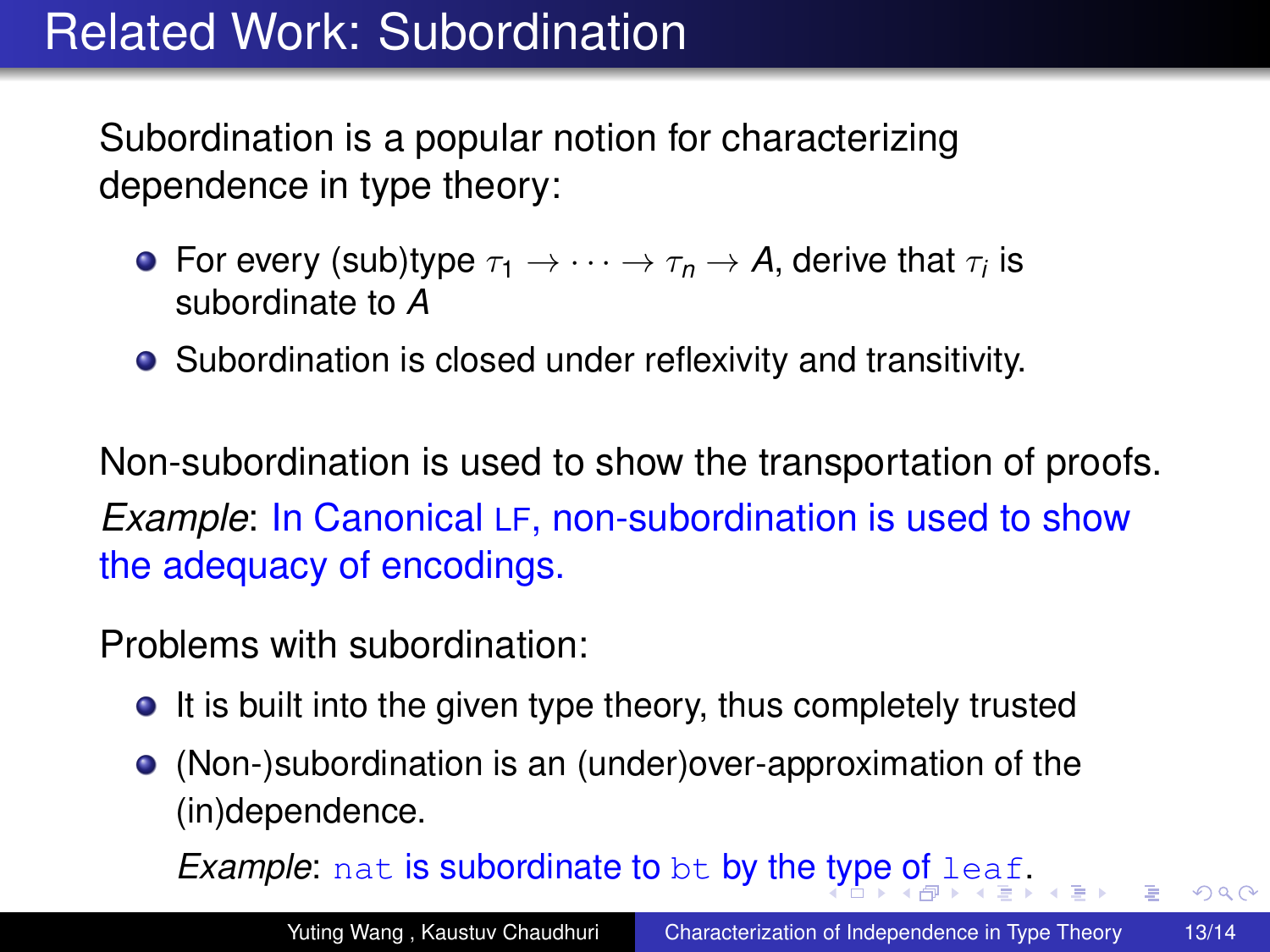Subordination is a popular notion for characterizing dependence in type theory:

- For every (sub)type  $\tau_1 \to \cdots \to \tau_n \to$  A, derive that  $\tau_i$  is subordinate to *A*
- Subordination is closed under reflexivity and transitivity.

Non-subordination is used to show the transportation of proofs. *Example*: In Canonical LF, non-subordination is used to show the adequacy of encodings.

Problems with subordination:

- **It is built into the given type theory, thus completely trusted**
- (Non-)subordination is an (under)over-approximation of the (in)dependence.

*Examp[l](#page-67-0)e*: nat is subordinate to be by the [ty](#page-65-0)[pe](#page-67-0) [o](#page-60-0)[f](#page-71-0) l[ea](#page-0-0)f[.](#page-71-0)

<span id="page-66-0"></span> $2990$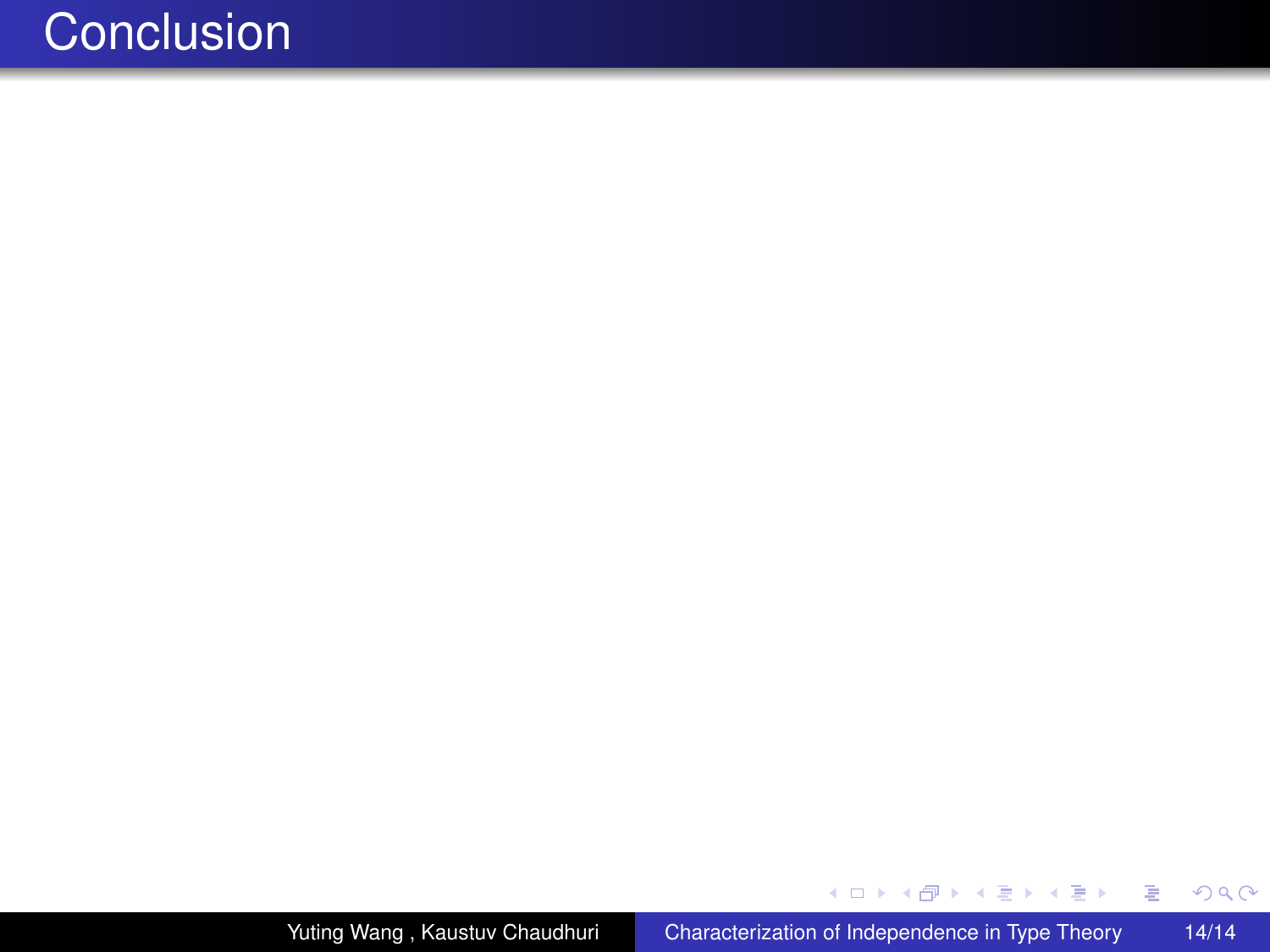メロメメ 倒 メメ きょくきょ

重

<span id="page-67-0"></span> $299$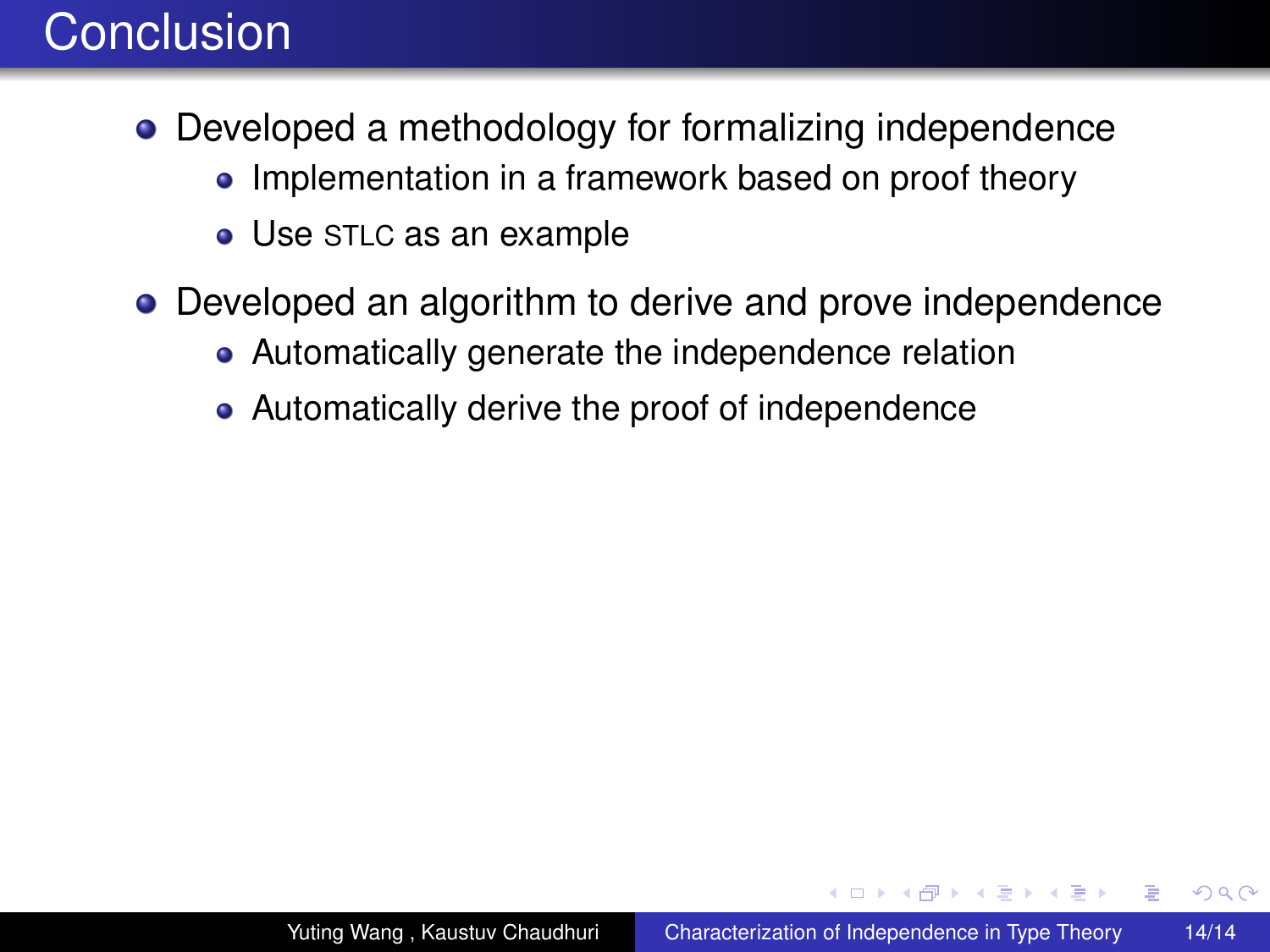- Developed a methodology for formalizing independence
	- Implementation in a framework based on proof theory
	- Use STLC as an example
- Developed an algorithm to derive and prove independence
	- Automatically generate the independence relation
	- Automatically derive the proof of independence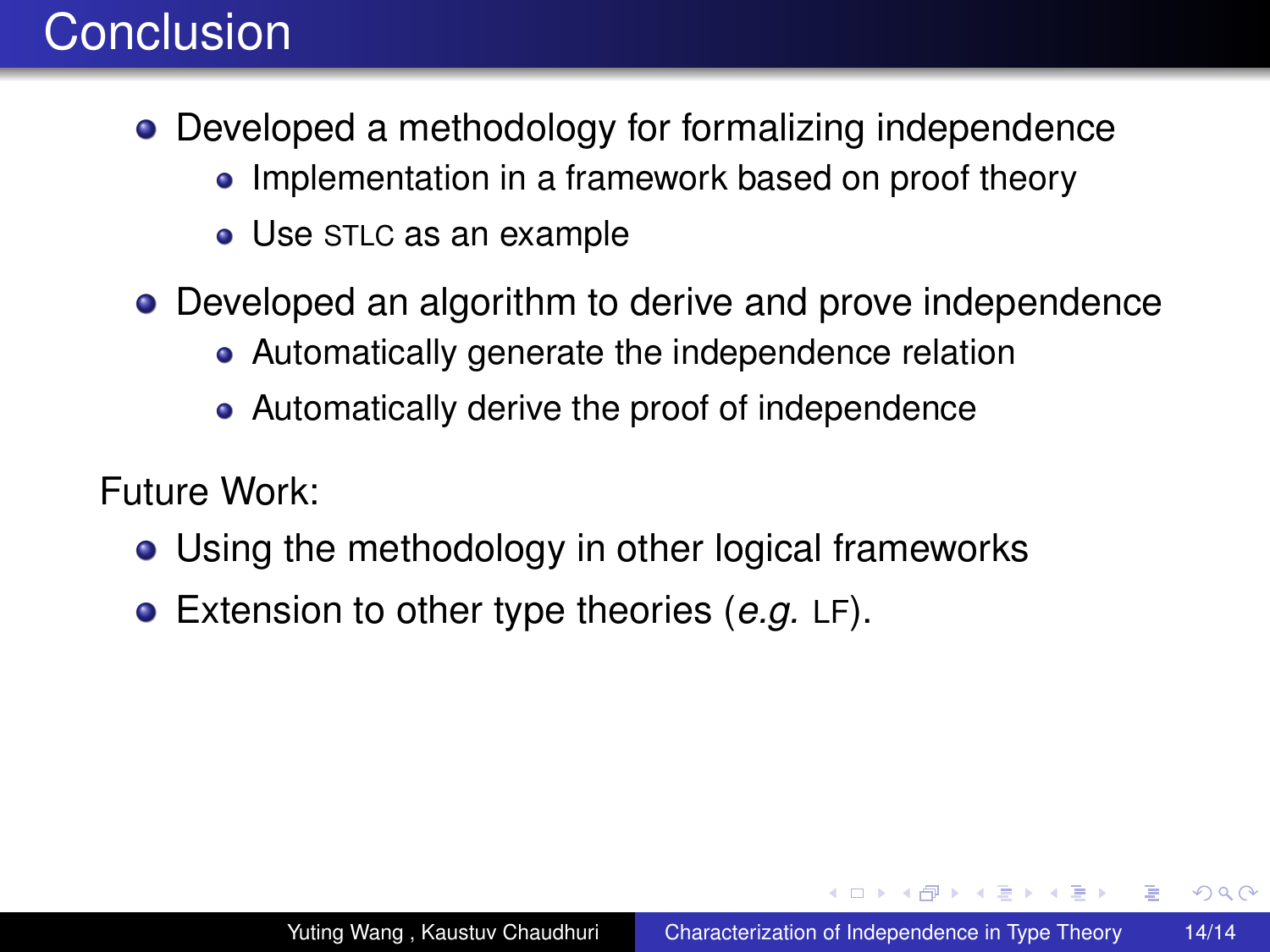- Developed a methodology for formalizing independence
	- Implementation in a framework based on proof theory
	- Use STLC as an example
- Developed an algorithm to derive and prove independence
	- Automatically generate the independence relation
	- Automatically derive the proof of independence

Future Work:

- Using the methodology in other logical frameworks
- Extension to other type theories (*e.g.* LF).

イロト イ押ト イヨト イヨト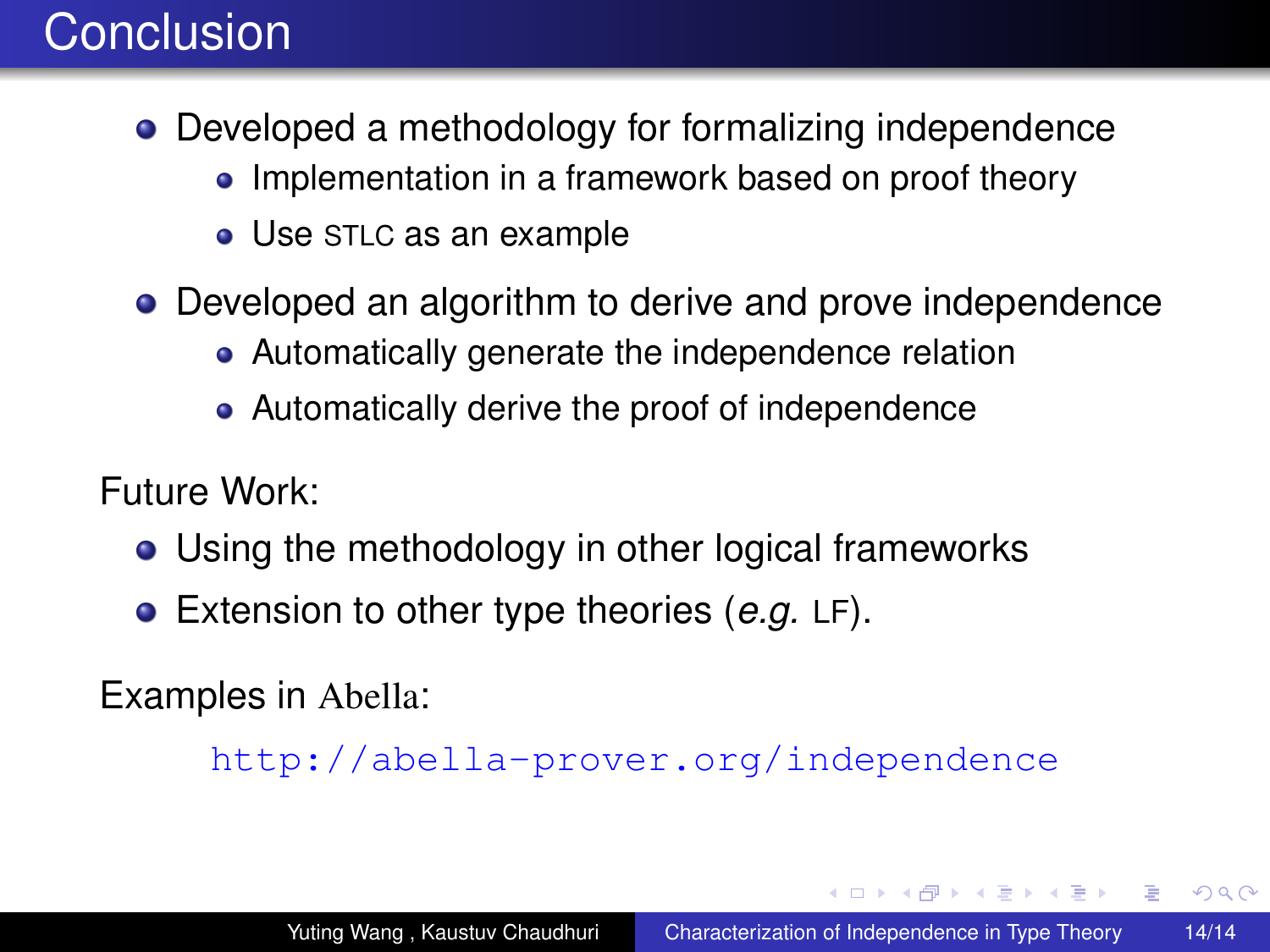- Developed a methodology for formalizing independence
	- Implementation in a framework based on proof theory
	- Use STLC as an example
- Developed an algorithm to derive and prove independence
	- Automatically generate the independence relation
	- Automatically derive the proof of independence

Future Work:

- Using the methodology in other logical frameworks
- Extension to other type theories (*e.g.* LF).

Examples in Abella:

<http://abella-prover.org/independence>

**≮ロ ▶ ⊀ 御 ▶ ⊀ ヨ ▶ ⊀ ヨ ▶** 

G.